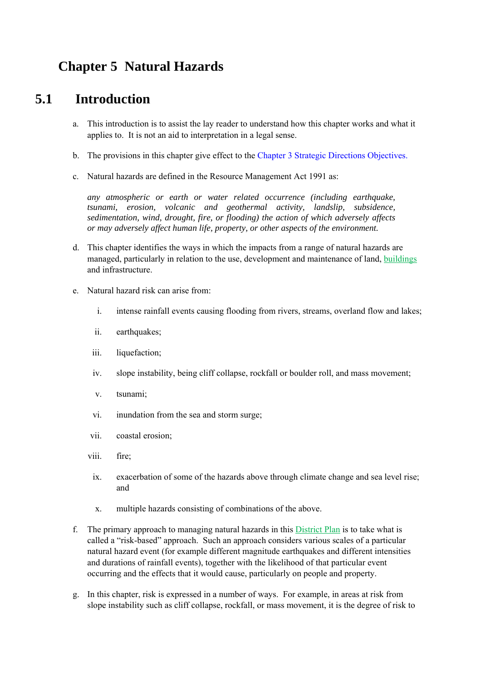# **Chapter 5 Natural Hazards**

# **5.1 Introduction**

- a. This introduction is to assist the lay reader to understand how this chapter works and what it applies to. It is not an aid to interpretation in a legal sense.
- b. The provisions in this chapter give effect to the Chapter 3 Strategic Directions Objectives.
- c. Natural hazards are defined in the Resource Management Act 1991 as:

*any atmospheric or earth or water related occurrence (including earthquake, tsunami, erosion, volcanic and geothermal activity, landslip, subsidence, sedimentation, wind, drought, fire, or flooding) the action of which adversely affects or may adversely affect human life, property, or other aspects of the environment.* 

- d. This chapter identifies the ways in which the impacts from a range of natural hazards are managed, particularly in relation to the use, development and maintenance of land, buildings and infrastructure.
- e. Natural hazard risk can arise from:
	- i. intense rainfall events causing flooding from rivers, streams, overland flow and lakes;
	- ii. earthquakes;
	- iii. liquefaction;
	- iv. slope instability, being cliff collapse, rockfall or boulder roll, and mass movement;
	- v. tsunami;
	- vi. inundation from the sea and storm surge;
	- vii. coastal erosion;
	- viii. fire;
	- ix. exacerbation of some of the hazards above through climate change and sea level rise; and
	- x. multiple hazards consisting of combinations of the above.
- f. The primary approach to managing natural hazards in this District Plan is to take what is called a "risk-based" approach. Such an approach considers various scales of a particular natural hazard event (for example different magnitude earthquakes and different intensities and durations of rainfall events), together with the likelihood of that particular event occurring and the effects that it would cause, particularly on people and property.
- g. In this chapter, risk is expressed in a number of ways. For example, in areas at risk from slope instability such as cliff collapse, rockfall, or mass movement, it is the degree of risk to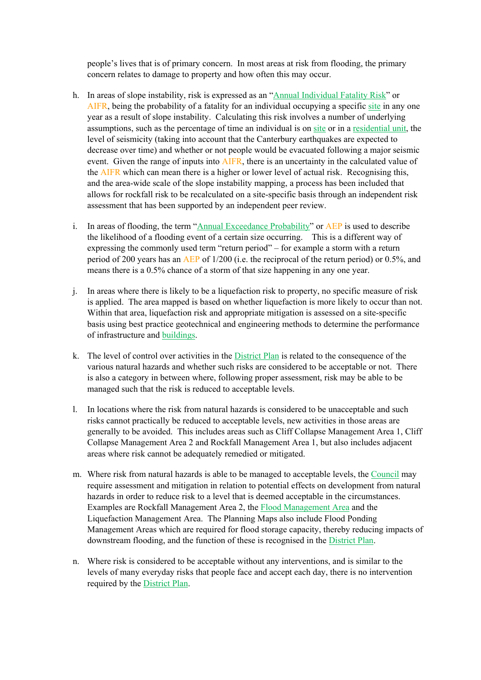people's lives that is of primary concern. In most areas at risk from flooding, the primary concern relates to damage to property and how often this may occur.

- h. In areas of slope instability, risk is expressed as an "Annual Individual Fatality Risk" or AIFR, being the probability of a fatality for an individual occupying a specific site in any one year as a result of slope instability. Calculating this risk involves a number of underlying assumptions, such as the percentage of time an individual is on site or in a residential unit, the level of seismicity (taking into account that the Canterbury earthquakes are expected to decrease over time) and whether or not people would be evacuated following a major seismic event. Given the range of inputs into AIFR, there is an uncertainty in the calculated value of the AIFR which can mean there is a higher or lower level of actual risk. Recognising this, and the area-wide scale of the slope instability mapping, a process has been included that allows for rockfall risk to be recalculated on a site-specific basis through an independent risk assessment that has been supported by an independent peer review.
- i. In areas of flooding, the term "Annual Exceedance Probability" or AEP is used to describe the likelihood of a flooding event of a certain size occurring. This is a different way of expressing the commonly used term "return period" – for example a storm with a return period of 200 years has an AEP of 1/200 (i.e. the reciprocal of the return period) or 0.5%, and means there is a 0.5% chance of a storm of that size happening in any one year.
- j. In areas where there is likely to be a liquefaction risk to property, no specific measure of risk is applied. The area mapped is based on whether liquefaction is more likely to occur than not. Within that area, liquefaction risk and appropriate mitigation is assessed on a site-specific basis using best practice geotechnical and engineering methods to determine the performance of infrastructure and buildings.
- k. The level of control over activities in the District Plan is related to the consequence of the various natural hazards and whether such risks are considered to be acceptable or not. There is also a category in between where, following proper assessment, risk may be able to be managed such that the risk is reduced to acceptable levels.
- l. In locations where the risk from natural hazards is considered to be unacceptable and such risks cannot practically be reduced to acceptable levels, new activities in those areas are generally to be avoided. This includes areas such as Cliff Collapse Management Area 1, Cliff Collapse Management Area 2 and Rockfall Management Area 1, but also includes adjacent areas where risk cannot be adequately remedied or mitigated.
- m. Where risk from natural hazards is able to be managed to acceptable levels, the Council may require assessment and mitigation in relation to potential effects on development from natural hazards in order to reduce risk to a level that is deemed acceptable in the circumstances. Examples are Rockfall Management Area 2, the Flood Management Area and the Liquefaction Management Area. The Planning Maps also include Flood Ponding Management Areas which are required for flood storage capacity, thereby reducing impacts of downstream flooding, and the function of these is recognised in the District Plan.
- n. Where risk is considered to be acceptable without any interventions, and is similar to the levels of many everyday risks that people face and accept each day, there is no intervention required by the District Plan.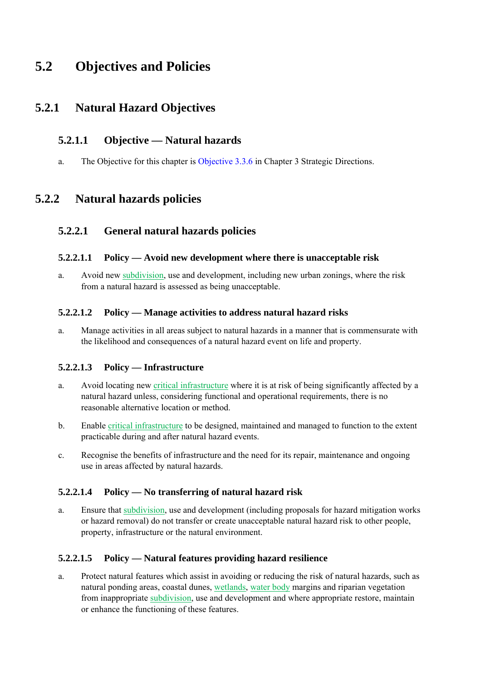# **5.2 Objectives and Policies**

## **5.2.1 Natural Hazard Objectives**

### **5.2.1.1 Objective — Natural hazards**

a. The Objective for this chapter is Objective 3.3.6 in Chapter 3 Strategic Directions.

## **5.2.2 Natural hazards policies**

### **5.2.2.1 General natural hazards policies**

### **5.2.2.1.1 Policy — Avoid new development where there is unacceptable risk**

a. Avoid new subdivision, use and development, including new urban zonings, where the risk from a natural hazard is assessed as being unacceptable.

### **5.2.2.1.2 Policy — Manage activities to address natural hazard risks**

a. Manage activities in all areas subject to natural hazards in a manner that is commensurate with the likelihood and consequences of a natural hazard event on life and property.

### **5.2.2.1.3 Policy — Infrastructure**

- a. Avoid locating new critical infrastructure where it is at risk of being significantly affected by a natural hazard unless, considering functional and operational requirements, there is no reasonable alternative location or method.
- b. Enable critical infrastructure to be designed, maintained and managed to function to the extent practicable during and after natural hazard events.
- c. Recognise the benefits of infrastructure and the need for its repair, maintenance and ongoing use in areas affected by natural hazards.

### **5.2.2.1.4 Policy — No transferring of natural hazard risk**

a. Ensure that subdivision, use and development (including proposals for hazard mitigation works or hazard removal) do not transfer or create unacceptable natural hazard risk to other people, property, infrastructure or the natural environment.

### **5.2.2.1.5 Policy — Natural features providing hazard resilience**

a. Protect natural features which assist in avoiding or reducing the risk of natural hazards, such as natural ponding areas, coastal dunes, wetlands, water body margins and riparian vegetation from inappropriate subdivision, use and development and where appropriate restore, maintain or enhance the functioning of these features.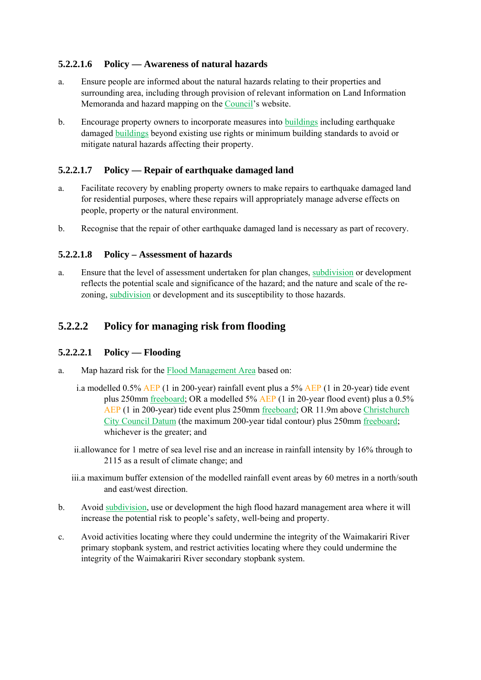### **5.2.2.1.6 Policy — Awareness of natural hazards**

- a. Ensure people are informed about the natural hazards relating to their properties and surrounding area, including through provision of relevant information on Land Information Memoranda and hazard mapping on the Council's website.
- b. Encourage property owners to incorporate measures into buildings including earthquake damaged buildings beyond existing use rights or minimum building standards to avoid or mitigate natural hazards affecting their property.

#### **5.2.2.1.7 Policy — Repair of earthquake damaged land**

- a. Facilitate recovery by enabling property owners to make repairs to earthquake damaged land for residential purposes, where these repairs will appropriately manage adverse effects on people, property or the natural environment.
- b. Recognise that the repair of other earthquake damaged land is necessary as part of recovery.

#### **5.2.2.1.8 Policy – Assessment of hazards**

a. Ensure that the level of assessment undertaken for plan changes, subdivision or development reflects the potential scale and significance of the hazard; and the nature and scale of the rezoning, subdivision or development and its susceptibility to those hazards.

### **5.2.2.2 Policy for managing risk from flooding**

#### **5.2.2.2.1 Policy — Flooding**

- a. Map hazard risk for the Flood Management Area based on:
	- i.a modelled 0.5% AEP (1 in 200-year) rainfall event plus a 5% AEP (1 in 20-year) tide event plus 250mm freeboard; OR a modelled 5% AEP (1 in 20-year flood event) plus a 0.5% AEP (1 in 200-year) tide event plus 250mm freeboard; OR 11.9m above Christchurch City Council Datum (the maximum 200-year tidal contour) plus 250mm freeboard; whichever is the greater; and
	- ii.allowance for 1 metre of sea level rise and an increase in rainfall intensity by 16% through to 2115 as a result of climate change; and
	- iii.a maximum buffer extension of the modelled rainfall event areas by 60 metres in a north/south and east/west direction.
- b. Avoid subdivision, use or development the high flood hazard management area where it will increase the potential risk to people's safety, well-being and property.
- c. Avoid activities locating where they could undermine the integrity of the Waimakariri River primary stopbank system, and restrict activities locating where they could undermine the integrity of the Waimakariri River secondary stopbank system.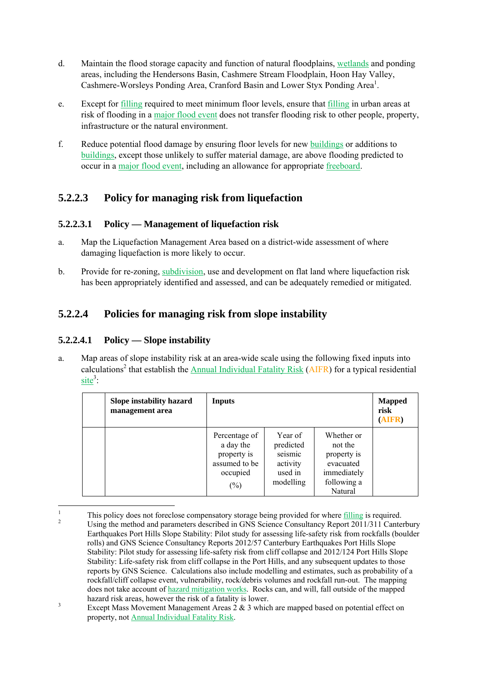- d. Maintain the flood storage capacity and function of natural floodplains, wetlands and ponding areas, including the Hendersons Basin, Cashmere Stream Floodplain, Hoon Hay Valley, Cashmere-Worsleys Ponding Area, Cranford Basin and Lower Styx Ponding Area<sup>1</sup>.
- e. Except for filling required to meet minimum floor levels, ensure that filling in urban areas at risk of flooding in a major flood event does not transfer flooding risk to other people, property, infrastructure or the natural environment.
- f. Reduce potential flood damage by ensuring floor levels for new buildings or additions to buildings, except those unlikely to suffer material damage, are above flooding predicted to occur in a major flood event, including an allowance for appropriate freeboard.

### **5.2.2.3 Policy for managing risk from liquefaction**

### **5.2.2.3.1 Policy — Management of liquefaction risk**

- a. Map the Liquefaction Management Area based on a district-wide assessment of where damaging liquefaction is more likely to occur.
- b. Provide for re-zoning, subdivision, use and development on flat land where liquefaction risk has been appropriately identified and assessed, and can be adequately remedied or mitigated.

### **5.2.2.4 Policies for managing risk from slope instability**

### **5.2.2.4.1 Policy — Slope instability**

a. Map areas of slope instability risk at an area-wide scale using the following fixed inputs into calculations<sup>2</sup> that establish the **Annual Individual Fatality Risk** (AIFR) for a typical residential  $site<sup>3</sup>$ :

| Slope instability hazard<br>management area | Inputs                                                                           |                                                                     |                                                                                            | <b>Mapped</b><br>risk<br>(AIFR) |
|---------------------------------------------|----------------------------------------------------------------------------------|---------------------------------------------------------------------|--------------------------------------------------------------------------------------------|---------------------------------|
|                                             | Percentage of<br>a day the<br>property is<br>assumed to be<br>occupied<br>$(\%)$ | Year of<br>predicted<br>seismic<br>activity<br>used in<br>modelling | Whether or<br>not the<br>property is<br>evacuated<br>immediately<br>following a<br>Natural |                                 |

 $\frac{1}{1}$ This policy does not foreclose compensatory storage being provided for where  $\frac{\text{filling}}{\text{filling}}$  is required. Using the method and parameters described in GNS Science Consultancy Report 2011/311 Canterbury Earthquakes Port Hills Slope Stability: Pilot study for assessing life-safety risk from rockfalls (boulder rolls) and GNS Science Consultancy Reports 2012/57 Canterbury Earthquakes Port Hills Slope Stability: Pilot study for assessing life-safety risk from cliff collapse and 2012/124 Port Hills Slope Stability: Life-safety risk from cliff collapse in the Port Hills, and any subsequent updates to those reports by GNS Science. Calculations also include modelling and estimates, such as probability of a rockfall/cliff collapse event, vulnerability, rock/debris volumes and rockfall run-out. The mapping does not take account of hazard mitigation works. Rocks can, and will, fall outside of the mapped hazard risk areas, however the risk of a fatality is lower.

Except Mass Movement Management Areas 2 & 3 which are mapped based on potential effect on property, not Annual Individual Fatality Risk.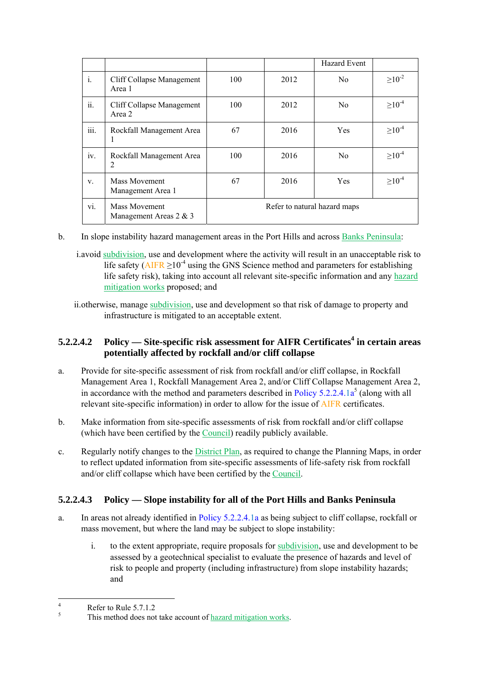|                |                                            |     |                              | Hazard Event |                |
|----------------|--------------------------------------------|-----|------------------------------|--------------|----------------|
| $\mathbf{i}$ . | Cliff Collapse Management<br>Area 1        | 100 | 2012                         | No.          | $\geq 10^{-2}$ |
| ii.            | Cliff Collapse Management<br>Area 2        | 100 | 2012                         | No.          | $\geq 10^{-4}$ |
| iii.           | Rockfall Management Area                   | 67  | 2016                         | <b>Yes</b>   | $\geq 10^{-4}$ |
| iv.            | Rockfall Management Area<br>2              | 100 | 2016                         | No.          | $\geq 10^{-4}$ |
| V.             | Mass Movement<br>Management Area 1         | 67  | 2016                         | <b>Yes</b>   | $\geq 10^{-4}$ |
| V1.            | Mass Movement<br>Management Areas $2 \& 3$ |     | Refer to natural hazard maps |              |                |

b. In slope instability hazard management areas in the Port Hills and across Banks Peninsula:

i.avoid subdivision, use and development where the activity will result in an unacceptable risk to life safety ( $\triangle IFR \ge 10^{-4}$  using the GNS Science method and parameters for establishing life safety risk), taking into account all relevant site-specific information and any hazard mitigation works proposed; and

### **5.2.2.4.2** Policy — Site-specific risk assessment for AIFR Certificates<sup>4</sup> in certain areas **potentially affected by rockfall and/or cliff collapse**

- a. Provide for site-specific assessment of risk from rockfall and/or cliff collapse, in Rockfall Management Area 1, Rockfall Management Area 2, and/or Cliff Collapse Management Area 2, in accordance with the method and parameters described in Policy  $5.2.2.4.1a<sup>5</sup>$  (along with all relevant site-specific information) in order to allow for the issue of AIFR certificates.
- b. Make information from site-specific assessments of risk from rockfall and/or cliff collapse (which have been certified by the Council) readily publicly available.
- c. Regularly notify changes to the District Plan, as required to change the Planning Maps, in order to reflect updated information from site-specific assessments of life-safety risk from rockfall and/or cliff collapse which have been certified by the Council.

### **5.2.2.4.3 Policy — Slope instability for all of the Port Hills and Banks Peninsula**

- a. In areas not already identified in Policy 5.2.2.4.1a as being subject to cliff collapse, rockfall or mass movement, but where the land may be subject to slope instability:
	- i. to the extent appropriate, require proposals for subdivision, use and development to be assessed by a geotechnical specialist to evaluate the presence of hazards and level of risk to people and property (including infrastructure) from slope instability hazards; and

ii.otherwise, manage subdivision, use and development so that risk of damage to property and infrastructure is mitigated to an acceptable extent.

 $\frac{1}{4}$ Refer to Rule 5.7.1.2.

<sup>5</sup> This method does not take account of hazard mitigation works.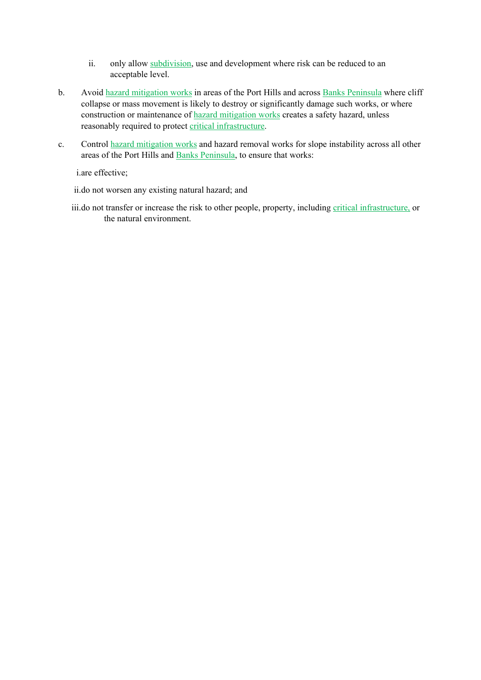- ii. only allow subdivision, use and development where risk can be reduced to an acceptable level.
- b. Avoid hazard mitigation works in areas of the Port Hills and across Banks Peninsula where cliff collapse or mass movement is likely to destroy or significantly damage such works, or where construction or maintenance of hazard mitigation works creates a safety hazard, unless reasonably required to protect critical infrastructure.
- c. Control hazard mitigation works and hazard removal works for slope instability across all other areas of the Port Hills and Banks Peninsula, to ensure that works:

i.are effective;

ii.do not worsen any existing natural hazard; and

iii.do not transfer or increase the risk to other people, property, including critical infrastructure, or the natural environment.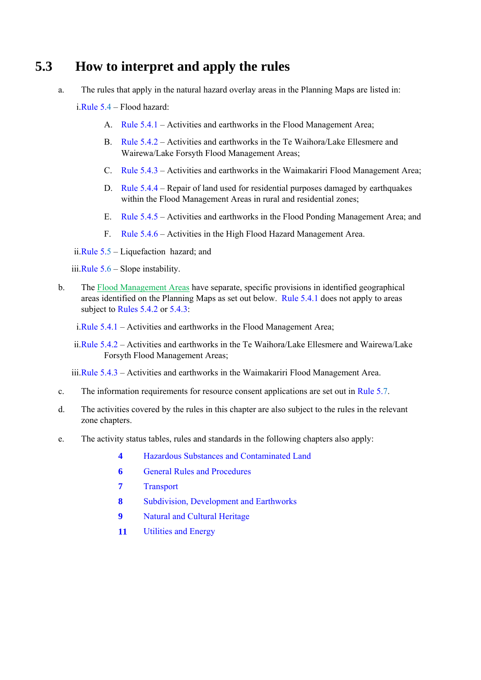# **5.3 How to interpret and apply the rules**

a. The rules that apply in the natural hazard overlay areas in the Planning Maps are listed in:

i.Rule 5.4 – Flood hazard:

- A. Rule 5.4.1 Activities and earthworks in the Flood Management Area;
- B. Rule 5.4.2 Activities and earthworks in the Te Waihora/Lake Ellesmere and Wairewa/Lake Forsyth Flood Management Areas;
- C. Rule 5.4.3 Activities and earthworks in the Waimakariri Flood Management Area;
- D. Rule  $5.4.4$  Repair of land used for residential purposes damaged by earthquakes within the Flood Management Areas in rural and residential zones;
- E. Rule 5.4.5 Activities and earthworks in the Flood Ponding Management Area; and
- F. Rule 5.4.6 Activities in the High Flood Hazard Management Area.

#### ii.Rule 5.5 – Liquefaction hazard; and

iii.Rule  $5.6$  – Slope instability.

b. The Flood Management Areas have separate, specific provisions in identified geographical areas identified on the Planning Maps as set out below. Rule 5.4.1 does not apply to areas subject to Rules 5.4.2 or 5.4.3:

i.Rule 5.4.1 – Activities and earthworks in the Flood Management Area;

ii.Rule 5.4.2 – Activities and earthworks in the Te Waihora/Lake Ellesmere and Wairewa/Lake Forsyth Flood Management Areas;

iii.Rule 5.4.3 – Activities and earthworks in the Waimakariri Flood Management Area.

- c. The information requirements for resource consent applications are set out in Rule 5.7.
- d. The activities covered by the rules in this chapter are also subject to the rules in the relevant zone chapters.
- e. The activity status tables, rules and standards in the following chapters also apply:
	- **4** Hazardous Substances and Contaminated Land
	- **6 General Rules and Procedures**
	- **7** Transport
	- **8** Subdivision, Development and Earthworks
	- **9** Natural and Cultural Heritage
	- **11** Utilities and Energy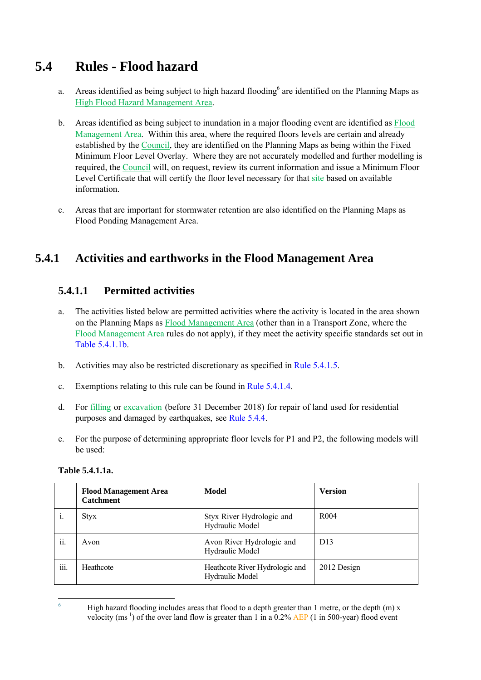# **5.4 Rules - Flood hazard**

- a. Areas identified as being subject to high hazard flooding<sup>6</sup> are identified on the Planning Maps as High Flood Hazard Management Area.
- b. Areas identified as being subject to inundation in a major flooding event are identified as Flood Management Area. Within this area, where the required floors levels are certain and already established by the Council, they are identified on the Planning Maps as being within the Fixed Minimum Floor Level Overlay. Where they are not accurately modelled and further modelling is required, the Council will, on request, review its current information and issue a Minimum Floor Level Certificate that will certify the floor level necessary for that site based on available information.
- c. Areas that are important for stormwater retention are also identified on the Planning Maps as Flood Ponding Management Area.

## **5.4.1 Activities and earthworks in the Flood Management Area**

### **5.4.1.1 Permitted activities**

- a. The activities listed below are permitted activities where the activity is located in the area shown on the Planning Maps as Flood Management Area (other than in a Transport Zone, where the Flood Management Area rules do not apply), if they meet the activity specific standards set out in Table 5.4.1.1b.
- b. Activities may also be restricted discretionary as specified in Rule 5.4.1.5.
- c. Exemptions relating to this rule can be found in Rule 5.4.1.4.
- d. For filling or excavation (before 31 December 2018) for repair of land used for residential purposes and damaged by earthquakes, see Rule 5.4.4.
- e. For the purpose of determining appropriate floor levels for P1 and P2, the following models will be used:

#### **Table 5.4.1.1a.**

|      | <b>Flood Management Area</b><br><b>Catchment</b> | Model                                             | <b>Version</b>   |
|------|--------------------------------------------------|---------------------------------------------------|------------------|
| 1.   | <b>Styx</b>                                      | Styx River Hydrologic and<br>Hydraulic Model      | R <sub>004</sub> |
| ii.  | Avon                                             | Avon River Hydrologic and<br>Hydraulic Model      | D13              |
| iii. | Heathcote                                        | Heathcote River Hydrologic and<br>Hydraulic Model | 2012 Design      |

 $\frac{1}{6}$  High hazard flooding includes areas that flood to a depth greater than 1 metre, or the depth (m) x velocity (ms<sup>-1</sup>) of the over land flow is greater than 1 in a 0.2% AEP (1 in 500-year) flood event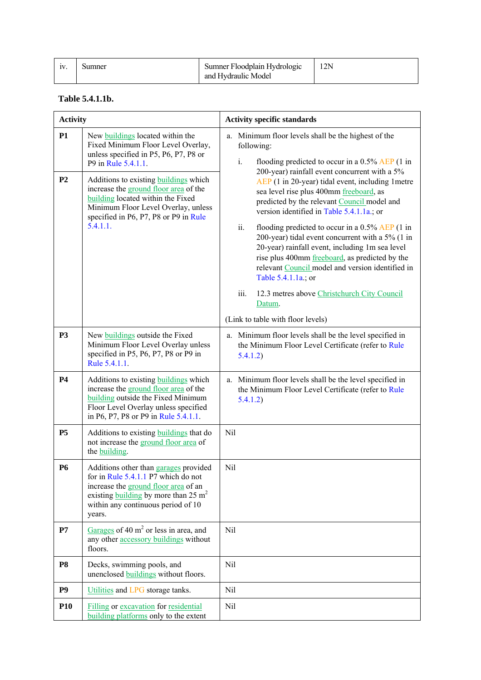| IV. | Sumner | Sumner Floodplain Hydrologic | 2N |
|-----|--------|------------------------------|----|
|     |        | and Hydraulic Model          |    |

#### **Table 5.4.1.1b.**

| <b>Activity</b> |                                                                                                                                                                                                                        | <b>Activity specific standards</b>                                                                                                                                                                                                                                                                                                                                                                                                                                                                                                                                                              |
|-----------------|------------------------------------------------------------------------------------------------------------------------------------------------------------------------------------------------------------------------|-------------------------------------------------------------------------------------------------------------------------------------------------------------------------------------------------------------------------------------------------------------------------------------------------------------------------------------------------------------------------------------------------------------------------------------------------------------------------------------------------------------------------------------------------------------------------------------------------|
| <b>P1</b>       | New buildings located within the<br>Fixed Minimum Floor Level Overlay,<br>unless specified in P5, P6, P7, P8 or<br>P9 in Rule 5.4.1.1.                                                                                 | a. Minimum floor levels shall be the highest of the<br>following:<br>$i$ .<br>flooding predicted to occur in a $0.5\%$ AEP (1 in<br>200-year) rainfall event concurrent with a 5%                                                                                                                                                                                                                                                                                                                                                                                                               |
| P <sub>2</sub>  | Additions to existing <b>buildings</b> which<br>increase the ground floor area of the<br>building located within the Fixed<br>Minimum Floor Level Overlay, unless<br>specified in P6, P7, P8 or P9 in Rule<br>5.4.1.1. | AEP (1 in 20-year) tidal event, including 1 metre<br>sea level rise plus 400mm freeboard, as<br>predicted by the relevant Council model and<br>version identified in Table 5.4.1.1a.; or<br>ii.<br>flooding predicted to occur in a $0.5\%$ AEP (1 in<br>200-year) tidal event concurrent with a 5% (1 in<br>20-year) rainfall event, including 1m sea level<br>rise plus 400mm freeboard, as predicted by the<br>relevant Council model and version identified in<br>Table 5.4.1.1a.; or<br>iii.<br>12.3 metres above Christchurch City Council<br>Datum.<br>(Link to table with floor levels) |
| <b>P3</b>       | New buildings outside the Fixed<br>Minimum Floor Level Overlay unless<br>specified in P5, P6, P7, P8 or P9 in<br>Rule 5.4.1.1.                                                                                         | a. Minimum floor levels shall be the level specified in<br>the Minimum Floor Level Certificate (refer to Rule<br>5.4.1.2)                                                                                                                                                                                                                                                                                                                                                                                                                                                                       |
| <b>P4</b>       | Additions to existing buildings which<br>increase the ground floor area of the<br>building outside the Fixed Minimum<br>Floor Level Overlay unless specified<br>in P6, P7, P8 or P9 in Rule 5.4.1.1.                   | a. Minimum floor levels shall be the level specified in<br>the Minimum Floor Level Certificate (refer to Rule<br>5.4.1.2)                                                                                                                                                                                                                                                                                                                                                                                                                                                                       |
| <b>P5</b>       | Additions to existing buildings that do<br>not increase the ground floor area of<br>the building.                                                                                                                      | Nil                                                                                                                                                                                                                                                                                                                                                                                                                                                                                                                                                                                             |
| <b>P6</b>       | Additions other than garages provided<br>for in Rule 5.4.1.1 P7 which do not<br>increase the ground floor area of an<br>existing building by more than 25 $m2$<br>within any continuous period of 10<br>years.         | Nil                                                                                                                                                                                                                                                                                                                                                                                                                                                                                                                                                                                             |
| P7              | Garages of 40 $m2$ or less in area, and<br>any other accessory buildings without<br>floors.                                                                                                                            | Nil                                                                                                                                                                                                                                                                                                                                                                                                                                                                                                                                                                                             |
| <b>P8</b>       | Decks, swimming pools, and<br>unenclosed buildings without floors.                                                                                                                                                     | Nil                                                                                                                                                                                                                                                                                                                                                                                                                                                                                                                                                                                             |
| P <sub>9</sub>  | Utilities and LPG storage tanks.                                                                                                                                                                                       | Nil                                                                                                                                                                                                                                                                                                                                                                                                                                                                                                                                                                                             |
| <b>P10</b>      | Filling or excavation for residential<br>building platforms only to the extent                                                                                                                                         | Nil                                                                                                                                                                                                                                                                                                                                                                                                                                                                                                                                                                                             |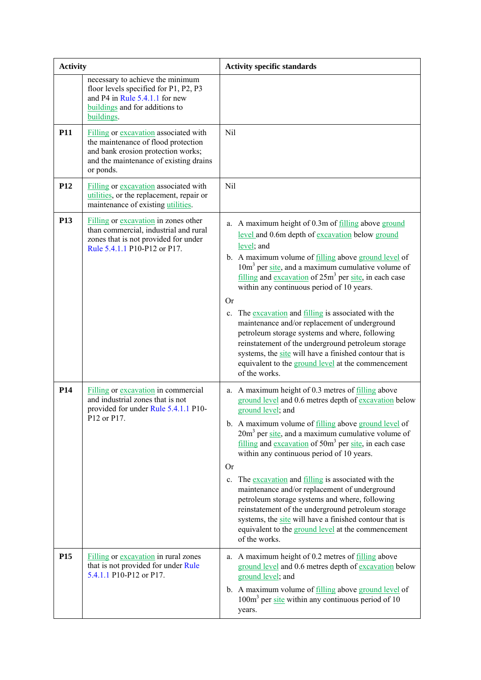| <b>Activity</b> |                                                                                                                                                                           | <b>Activity specific standards</b>                                                                                                                                                                                                                                                                                                                                                                                                                                                                                                                                                                                                                                                                                                    |
|-----------------|---------------------------------------------------------------------------------------------------------------------------------------------------------------------------|---------------------------------------------------------------------------------------------------------------------------------------------------------------------------------------------------------------------------------------------------------------------------------------------------------------------------------------------------------------------------------------------------------------------------------------------------------------------------------------------------------------------------------------------------------------------------------------------------------------------------------------------------------------------------------------------------------------------------------------|
|                 | necessary to achieve the minimum<br>floor levels specified for P1, P2, P3<br>and P4 in Rule 5.4.1.1 for new<br>buildings and for additions to<br>buildings.               |                                                                                                                                                                                                                                                                                                                                                                                                                                                                                                                                                                                                                                                                                                                                       |
| <b>P11</b>      | Filling or excavation associated with<br>the maintenance of flood protection<br>and bank erosion protection works;<br>and the maintenance of existing drains<br>or ponds. | Nil                                                                                                                                                                                                                                                                                                                                                                                                                                                                                                                                                                                                                                                                                                                                   |
| P <sub>12</sub> | Filling or excavation associated with<br>utilities, or the replacement, repair or<br>maintenance of existing utilities.                                                   | Nil                                                                                                                                                                                                                                                                                                                                                                                                                                                                                                                                                                                                                                                                                                                                   |
| P <sub>13</sub> | Filling or excavation in zones other<br>than commercial, industrial and rural<br>zones that is not provided for under<br>Rule 5.4.1.1 P10-P12 or P17.                     | a. A maximum height of 0.3m of filling above ground<br>level and 0.6m depth of excavation below ground<br>level; and<br>b. A maximum volume of filling above ground level of<br>$10m3$ per site, and a maximum cumulative volume of<br>filling and excavation of $25m^3$ per site, in each case<br>within any continuous period of 10 years.<br><b>Or</b><br>The excavation and filling is associated with the<br>$c_{\cdot}$<br>maintenance and/or replacement of underground<br>petroleum storage systems and where, following<br>reinstatement of the underground petroleum storage<br>systems, the site will have a finished contour that is<br>equivalent to the ground level at the commencement<br>of the works.               |
| P <sub>14</sub> | <b>Filling or excavation in commercial</b><br>and industrial zones that is not<br>provided for under Rule 5.4.1.1 P10-<br>P12 or P17.                                     | a. A maximum height of 0.3 metres of filling above<br>ground level and 0.6 metres depth of excavation below<br>ground level; and<br>b. A maximum volume of filling above ground level of<br>$20m3$ per site, and a maximum cumulative volume of<br>$filling$ and excavation of 50 $m3$ per site, in each case<br>within any continuous period of 10 years.<br><b>Or</b><br>The excavation and filling is associated with the<br>$c_{\cdot}$<br>maintenance and/or replacement of underground<br>petroleum storage systems and where, following<br>reinstatement of the underground petroleum storage<br>systems, the site will have a finished contour that is<br>equivalent to the ground level at the commencement<br>of the works. |
| P <sub>15</sub> | Filling or excavation in rural zones<br>that is not provided for under Rule<br>5.4.1.1 P10-P12 or P17.                                                                    | a. A maximum height of 0.2 metres of filling above<br>ground level and 0.6 metres depth of excavation below<br>ground level; and<br>b. A maximum volume of filling above ground level of<br>$100m3$ per site within any continuous period of 10<br>years.                                                                                                                                                                                                                                                                                                                                                                                                                                                                             |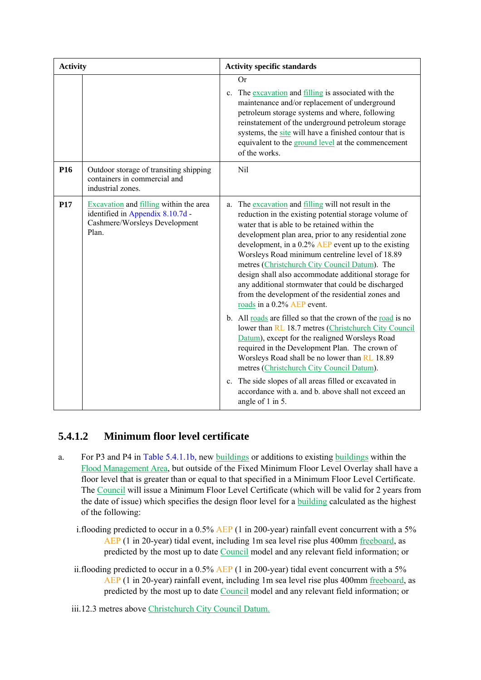| <b>Activity</b> |                                                                                                                      |             | <b>Activity specific standards</b>                                                                                                                                                                                                                                                                                                                                                                                                                                                                                                                                                                                                                                                                                                                                                                                                                                                                                                                                                                                                              |
|-----------------|----------------------------------------------------------------------------------------------------------------------|-------------|-------------------------------------------------------------------------------------------------------------------------------------------------------------------------------------------------------------------------------------------------------------------------------------------------------------------------------------------------------------------------------------------------------------------------------------------------------------------------------------------------------------------------------------------------------------------------------------------------------------------------------------------------------------------------------------------------------------------------------------------------------------------------------------------------------------------------------------------------------------------------------------------------------------------------------------------------------------------------------------------------------------------------------------------------|
|                 |                                                                                                                      | $c_{\cdot}$ | <b>Or</b><br>The excavation and filling is associated with the<br>maintenance and/or replacement of underground<br>petroleum storage systems and where, following<br>reinstatement of the underground petroleum storage<br>systems, the site will have a finished contour that is<br>equivalent to the ground level at the commencement<br>of the works.                                                                                                                                                                                                                                                                                                                                                                                                                                                                                                                                                                                                                                                                                        |
| P <sub>16</sub> | Outdoor storage of transiting shipping<br>containers in commercial and<br>industrial zones.                          |             | Nil                                                                                                                                                                                                                                                                                                                                                                                                                                                                                                                                                                                                                                                                                                                                                                                                                                                                                                                                                                                                                                             |
| P17             | Excavation and filling within the area<br>identified in Appendix 8.10.7d -<br>Cashmere/Worsleys Development<br>Plan. | a.          | The excavation and filling will not result in the<br>reduction in the existing potential storage volume of<br>water that is able to be retained within the<br>development plan area, prior to any residential zone<br>development, in a $0.2\%$ AEP event up to the existing<br>Worsleys Road minimum centreline level of 18.89<br>metres (Christchurch City Council Datum). The<br>design shall also accommodate additional storage for<br>any additional stormwater that could be discharged<br>from the development of the residential zones and<br>roads in a 0.2% AEP event.<br>b. All roads are filled so that the crown of the road is no<br>lower than RL 18.7 metres (Christchurch City Council<br>Datum), except for the realigned Worsleys Road<br>required in the Development Plan. The crown of<br>Worsleys Road shall be no lower than RL 18.89<br>metres (Christchurch City Council Datum).<br>c. The side slopes of all areas filled or excavated in<br>accordance with a. and b. above shall not exceed an<br>angle of 1 in 5. |

### **5.4.1.2 Minimum floor level certificate**

- a. For P3 and P4 in Table 5.4.1.1b, new buildings or additions to existing buildings within the Flood Management Area, but outside of the Fixed Minimum Floor Level Overlay shall have a floor level that is greater than or equal to that specified in a Minimum Floor Level Certificate. The Council will issue a Minimum Floor Level Certificate (which will be valid for 2 years from the date of issue) which specifies the design floor level for a building calculated as the highest of the following:
	- i.flooding predicted to occur in a 0.5% AEP (1 in 200-year) rainfall event concurrent with a 5% AEP (1 in 20-year) tidal event, including 1m sea level rise plus 400mm freeboard, as predicted by the most up to date Council model and any relevant field information; or
	- ii.flooding predicted to occur in a 0.5% AEP (1 in 200-year) tidal event concurrent with a 5% AEP (1 in 20-year) rainfall event, including 1m sea level rise plus 400mm freeboard, as predicted by the most up to date Council model and any relevant field information; or

iii.12.3 metres above Christchurch City Council Datum.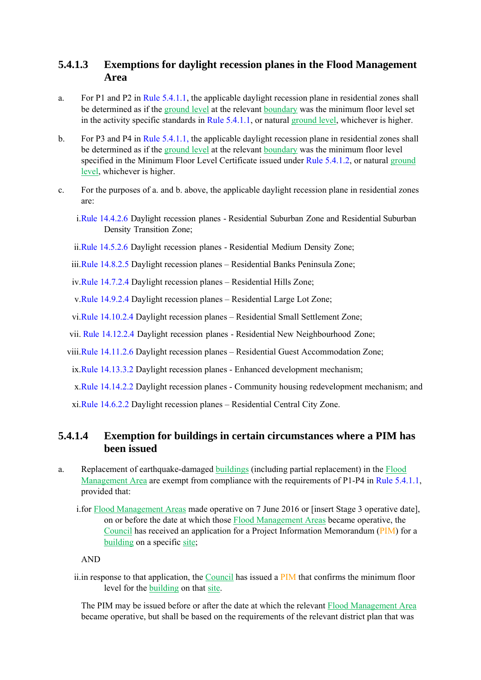### **5.4.1.3 Exemptions for daylight recession planes in the Flood Management Area**

- a. For P1 and P2 in Rule 5.4.1.1, the applicable daylight recession plane in residential zones shall be determined as if the ground level at the relevant boundary was the minimum floor level set in the activity specific standards in Rule 5.4.1.1, or natural ground level, whichever is higher.
- b. For P3 and P4 in Rule 5.4.1.1, the applicable daylight recession plane in residential zones shall be determined as if the ground level at the relevant boundary was the minimum floor level specified in the Minimum Floor Level Certificate issued under Rule 5.4.1.2, or natural ground level, whichever is higher.
- c. For the purposes of a. and b. above, the applicable daylight recession plane in residential zones are:
	- i.Rule 14.4.2.6 Daylight recession planes Residential Suburban Zone and Residential Suburban Density Transition Zone;
	- ii.Rule 14.5.2.6 Daylight recession planes Residential Medium Density Zone;
	- iii.Rule 14.8.2.5 Daylight recession planes Residential Banks Peninsula Zone;
	- iv.Rule 14.7.2.4 Daylight recession planes Residential Hills Zone;

v.Rule 14.9.2.4 Daylight recession planes – Residential Large Lot Zone;

vi.Rule 14.10.2.4 Daylight recession planes – Residential Small Settlement Zone;

vii. Rule 14.12.2.4 Daylight recession planes - Residential New Neighbourhood Zone;

viii.Rule 14.11.2.6 Daylight recession planes – Residential Guest Accommodation Zone;

ix.Rule 14.13.3.2 Daylight recession planes - Enhanced development mechanism;

x.Rule 14.14.2.2 Daylight recession planes - Community housing redevelopment mechanism; and

xi.Rule 14.6.2.2 Daylight recession planes – Residential Central City Zone.

### **5.4.1.4 Exemption for buildings in certain circumstances where a PIM has been issued**

- a. Replacement of earthquake-damaged buildings (including partial replacement) in the Flood Management Area are exempt from compliance with the requirements of P1-P4 in Rule 5.4.1.1, provided that:
	- i.for Flood Management Areas made operative on 7 June 2016 or [insert Stage 3 operative date], on or before the date at which those Flood Management Areas became operative, the Council has received an application for a Project Information Memorandum (PIM) for a building on a specific site;

AND

ii. in response to that application, the Council has issued a PIM that confirms the minimum floor level for the building on that site.

The PIM may be issued before or after the date at which the relevant Flood Management Area became operative, but shall be based on the requirements of the relevant district plan that was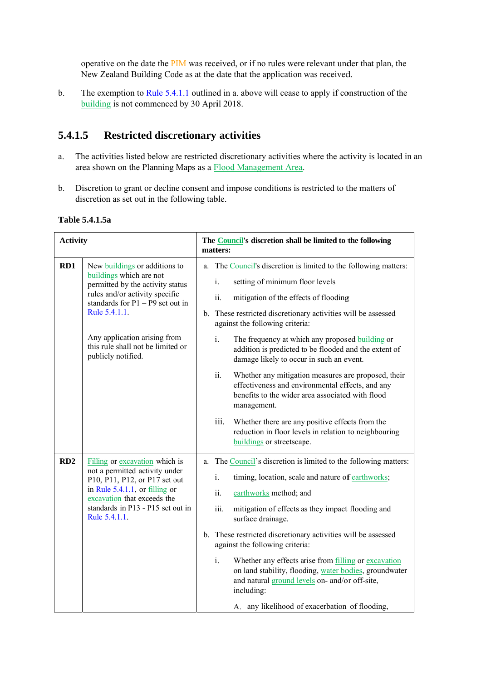operative on the date the PIM was received, or if no rules were relevant under that plan, the New Zealand Building Code as at the date that the application was received.

b. The exemption to Rule 5.4.1.1 outlined in a. above will cease to apply if construction of the building is not commenced by 30 April 2018.

#### **5.4.1.5 5** Restricted discretionary activities

- a. The activities listed below are restricted discretionary activities where the activity is located in an area shown on the Planning Maps as a **Flood Management Area**.
- b. Discretion to grant or decline consent and impose conditions is restricted to the matters of discretion as set out in the following table.

| <b>Activity</b> |                                                                                                                                                                                                                                                                                  | The <b>Council's</b> discretion shall be limited to the following<br>matters: |                                                                                                                                                                                                                                                                                                                                                                                                                                                                                                                                                                                                                                                                                                                                                                          |
|-----------------|----------------------------------------------------------------------------------------------------------------------------------------------------------------------------------------------------------------------------------------------------------------------------------|-------------------------------------------------------------------------------|--------------------------------------------------------------------------------------------------------------------------------------------------------------------------------------------------------------------------------------------------------------------------------------------------------------------------------------------------------------------------------------------------------------------------------------------------------------------------------------------------------------------------------------------------------------------------------------------------------------------------------------------------------------------------------------------------------------------------------------------------------------------------|
| RD1             | New buildings or additions to<br>buildings which are not<br>permitted by the activity status<br>rules and/or activity specific<br>standards for $P1 - P9$ set out in<br>Rule 5.4.1.1.<br>Any application arising from<br>this rule shall not be limited or<br>publicly notified. |                                                                               | a. The Council's discretion is limited to the following matters:<br>setting of minimum floor levels<br>i.<br>ii.<br>mitigation of the effects of flooding<br>b. These restricted discretionary activities will be assessed<br>against the following criteria:<br>i.<br>The frequency at which any proposed <b>building</b> or<br>addition is predicted to be flooded and the extent of<br>damage likely to occur in such an event.<br>ii.<br>Whether any mitigation measures are proposed, their<br>effectiveness and environmental effects, and any<br>benefits to the wider area associated with flood<br>management.<br>iii.<br>Whether there are any positive effects from the<br>reduction in floor levels in relation to neighbouring<br>buildings or streetscape. |
| RD2             | Filling or excavation which is<br>not a permitted activity under<br>P10, P11, P12, or P17 set out<br>in Rule $5.4.1.1$ , or filling or<br>excavation that exceeds the<br>standards in P13 - P15 set out in<br>Rule 5.4.1.1.                                                      |                                                                               | a. The Council's discretion is limited to the following matters:<br>i.<br>timing, location, scale and nature of earthworks;<br>ii.<br>earthworks method; and<br>iii.<br>mitigation of effects as they impact flooding and<br>surface drainage.<br>b. These restricted discretionary activities will be assessed<br>against the following criteria:<br>i.<br>Whether any effects arise from filling or excavation<br>on land stability, flooding, water bodies, groundwater<br>and natural ground levels on- and/or off-site,<br>including:<br>A. any likelihood of exacerbation of flooding,                                                                                                                                                                             |

#### **Table 5 .4.1.5a**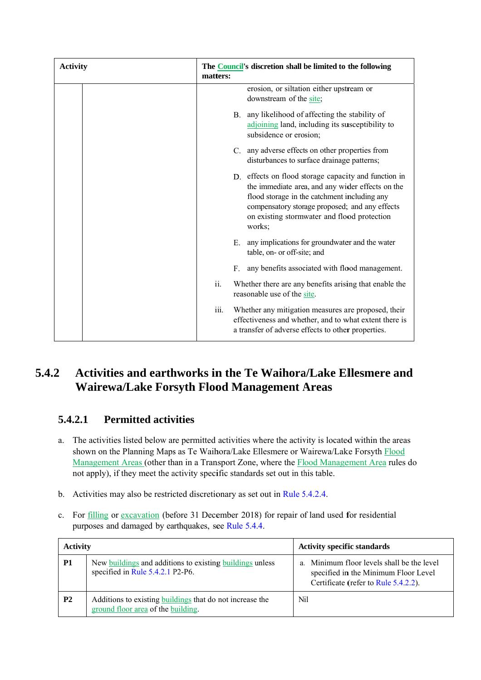| <b>Activity</b> | matters: | The <b>Council's</b> discretion shall be limited to the following                                                                                                                                                                                                   |
|-----------------|----------|---------------------------------------------------------------------------------------------------------------------------------------------------------------------------------------------------------------------------------------------------------------------|
|                 |          | erosion, or siltation either upstream or<br>downstream of the site;                                                                                                                                                                                                 |
|                 |          | any likelihood of affecting the stability of<br>$B_{-}$<br>adjoining land, including its susceptibility to<br>subsidence or erosion;                                                                                                                                |
|                 |          | C. any adverse effects on other properties from<br>disturbances to surface drainage patterns;                                                                                                                                                                       |
|                 |          | D. effects on flood storage capacity and function in<br>the immediate area, and any wider effects on the<br>flood storage in the catchment including any<br>compensatory storage proposed; and any effects<br>on existing stormwater and flood protection<br>works; |
|                 |          | any implications for groundwater and the water<br>Е.<br>table, on- or off-site; and                                                                                                                                                                                 |
|                 |          | any benefits associated with flood management.<br>$F_{\cdot}$                                                                                                                                                                                                       |
|                 | ii.      | Whether there are any benefits arising that enable the<br>reasonable use of the site.                                                                                                                                                                               |
|                 | iii.     | Whether any mitigation measures are proposed, their<br>effectiveness and whether, and to what extent there is<br>a transfer of adverse effects to other properties.                                                                                                 |
|                 |          | Activities and earthworks in the Te Waihora/Lake Ellesmere and                                                                                                                                                                                                      |

#### **5. 4.2 Ac W Wairewa/L Lake For syth Floo od Mana agement A Areas**  and earthworks in the Te Waihora/Lake Ellesmere and

#### **5.4.2.1 1 Permitted activities**

- a. The activities listed below are permitted activities where the activity is located within the areas shown on the Planning Maps as Te Waihora/Lake Ellesmere or Wairewa/Lake Forsyth Flood Management Areas (other than in a Transport Zone, where the Flood Management Area rules do not apply), if they meet the activity specific standards set out in this table.
- b. Activities may also be restricted discretionary as set out in Rule 5.4.2.4.
- c. For **filling** or excavation (before 31 December 2018) for repair of land used for residential purposes and damaged by earthquakes, see Rule 5.4.4.

| <b>Activity</b> |                                                                                                | <b>Activity specific standards</b>                                                                                         |
|-----------------|------------------------------------------------------------------------------------------------|----------------------------------------------------------------------------------------------------------------------------|
| <b>P1</b>       | New buildings and additions to existing buildings unless<br>specified in Rule 5.4.2.1 P2-P6.   | a. Minimum floor levels shall be the level<br>specified in the Minimum Floor Level<br>Certificate (refer to Rule 5.4.2.2). |
| P <sub>2</sub>  | Additions to existing buildings that do not increase the<br>ground floor area of the building. | Nil                                                                                                                        |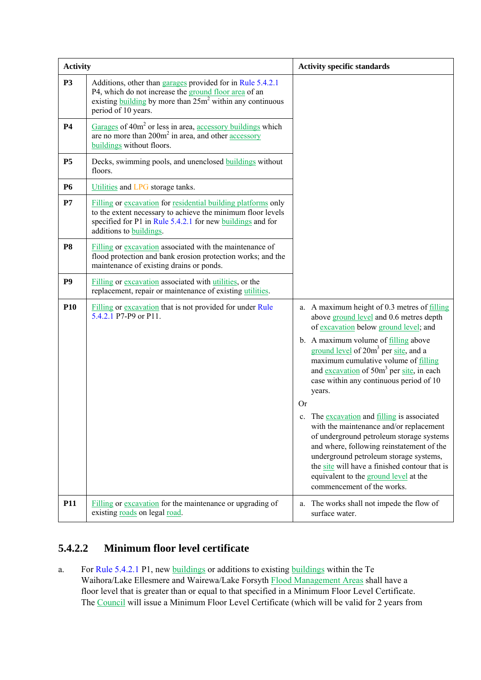| <b>Activity</b> |                                                                                                                                                                                                                       | <b>Activity specific standards</b>                                                                                                                                                                                                                                                                                                                                                                                                                                                                                                                                                     |
|-----------------|-----------------------------------------------------------------------------------------------------------------------------------------------------------------------------------------------------------------------|----------------------------------------------------------------------------------------------------------------------------------------------------------------------------------------------------------------------------------------------------------------------------------------------------------------------------------------------------------------------------------------------------------------------------------------------------------------------------------------------------------------------------------------------------------------------------------------|
| <b>P3</b>       | Additions, other than garages provided for in Rule 5.4.2.1<br>P4, which do not increase the ground floor area of an<br>existing building by more than $25m^2$ within any continuous<br>period of 10 years.            |                                                                                                                                                                                                                                                                                                                                                                                                                                                                                                                                                                                        |
| <b>P4</b>       | Garages of $40m^2$ or less in area, accessory buildings which<br>are no more than $200m^2$ in area, and other $\frac{accessory}{}$<br>buildings without floors.                                                       |                                                                                                                                                                                                                                                                                                                                                                                                                                                                                                                                                                                        |
| <b>P5</b>       | Decks, swimming pools, and unenclosed <b>buildings</b> without<br>floors.                                                                                                                                             |                                                                                                                                                                                                                                                                                                                                                                                                                                                                                                                                                                                        |
| <b>P6</b>       | Utilities and LPG storage tanks.                                                                                                                                                                                      |                                                                                                                                                                                                                                                                                                                                                                                                                                                                                                                                                                                        |
| P7              | Filling or excavation for residential building platforms only<br>to the extent necessary to achieve the minimum floor levels<br>specified for P1 in Rule 5.4.2.1 for new buildings and for<br>additions to buildings. |                                                                                                                                                                                                                                                                                                                                                                                                                                                                                                                                                                                        |
| <b>P8</b>       | Filling or excavation associated with the maintenance of<br>flood protection and bank erosion protection works; and the<br>maintenance of existing drains or ponds.                                                   |                                                                                                                                                                                                                                                                                                                                                                                                                                                                                                                                                                                        |
| P <sub>9</sub>  | Filling or excavation associated with utilities, or the<br>replacement, repair or maintenance of existing utilities.                                                                                                  |                                                                                                                                                                                                                                                                                                                                                                                                                                                                                                                                                                                        |
| <b>P10</b>      | Filling or excavation that is not provided for under Rule<br>5.4.2.1 P7-P9 or P11.                                                                                                                                    | a. A maximum height of 0.3 metres of filling<br>above ground level and 0.6 metres depth<br>of excavation below ground level; and<br>b. A maximum volume of filling above<br>ground level of 20m <sup>3</sup> per site, and a<br>maximum cumulative volume of filling<br>and excavation of 50m <sup>3</sup> per site, in each<br>case within any continuous period of 10<br>years.<br>Or<br>The excavation and filling is associated<br>$c_{\cdot}$<br>with the maintenance and/or replacement<br>of underground petroleum storage systems<br>and where, following reinstatement of the |
| <b>P11</b>      | Filling or excavation for the maintenance or upgrading of<br>existing roads on legal road.                                                                                                                            | underground petroleum storage systems,<br>the site will have a finished contour that is<br>equivalent to the ground level at the<br>commencement of the works.<br>The works shall not impede the flow of<br>a.<br>surface water.                                                                                                                                                                                                                                                                                                                                                       |

### **5.4.2.2 Minimum floor level certificate**

a. For Rule 5.4.2.1 P1, new buildings or additions to existing buildings within the Te Waihora/Lake Ellesmere and Wairewa/Lake Forsyth Flood Management Areas shall have a floor level that is greater than or equal to that specified in a Minimum Floor Level Certificate. The Council will issue a Minimum Floor Level Certificate (which will be valid for 2 years from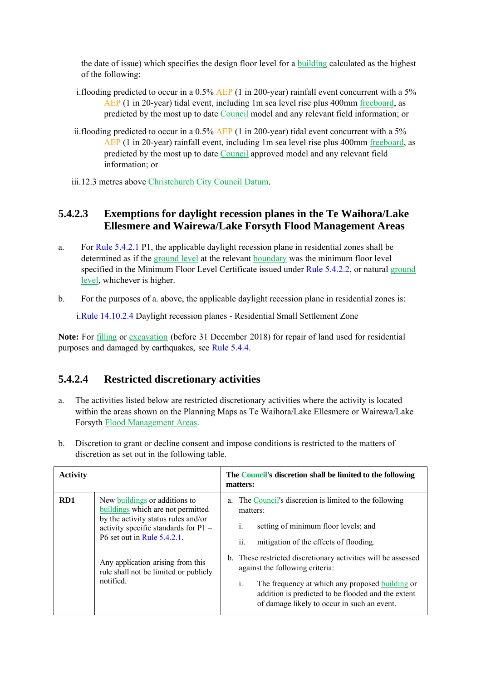the date of issue) which specifies the design floor level for a building calculated as the highest of the following:

- i.flooding predicted to occur in a 0.5% AEP (1 in 200-year) rainfall event concurrent with a 5% AEP (1 in 20-year) tidal event, including 1m sea level rise plus 400mm freeboard, as predicted by the most up to date Council model and any relevant field information; or
- ii.flooding predicted to occur in a  $0.5\%$  AEP (1 in 200-year) tidal event concurrent with a 5% AEP (1 in 20-year) rainfall event, including 1m sea level rise plus 400mm freeboard, as predicted by the most up to date Council approved model and any relevant field information; or
- iii.12.3 metres above Christchurch City Council Datum.

### **5.4.2.3 Exemptions for daylight recession planes in the Te Waihora/Lake Ellesmere and Wairewa/Lake Forsyth Flood Management Areas**

- a. For Rule 5.4.2.1 P1, the applicable daylight recession plane in residential zones shall be determined as if the ground level at the relevant boundary was the minimum floor level specified in the Minimum Floor Level Certificate issued under Rule 5.4.2.2, or natural ground level, whichever is higher.
- b. For the purposes of a. above, the applicable daylight recession plane in residential zones is:

i.Rule 14.10.2.4 Daylight recession planes - Residential Small Settlement Zone

**Note:** For filling or excavation (before 31 December 2018) for repair of land used for residential purposes and damaged by earthquakes, see Rule 5.4.4.

### **5.4.2.4 Restricted discretionary activities**

- a. The activities listed below are restricted discretionary activities where the activity is located within the areas shown on the Planning Maps as Te Waihora/Lake Ellesmere or Wairewa/Lake Forsyth Flood Management Areas.
- b. Discretion to grant or decline consent and impose conditions is restricted to the matters of discretion as set out in the following table.

| <b>Activity</b> |                                                                                                                                                                                         | The Council's discretion shall be limited to the following<br>matters:                                                                                                                                                                                         |
|-----------------|-----------------------------------------------------------------------------------------------------------------------------------------------------------------------------------------|----------------------------------------------------------------------------------------------------------------------------------------------------------------------------------------------------------------------------------------------------------------|
| RD <sub>1</sub> | New buildings or additions to<br>buildings which are not permitted<br>by the activity status rules and/or<br>activity specific standards for $P1 -$<br>$P6$ set out in Rule $5.4.2.1$ . | The Council's discretion is limited to the following<br>a.<br>matters:<br>setting of minimum floor levels; and<br>$\mathbf{1}$ .<br>ii.<br>mitigation of the effects of flooding.                                                                              |
|                 | Any application arising from this<br>rule shall not be limited or publicly<br>notified.                                                                                                 | b. These restricted discretionary activities will be assessed<br>against the following criteria:<br>i.<br>The frequency at which any proposed building or<br>addition is predicted to be flooded and the extent<br>of damage likely to occur in such an event. |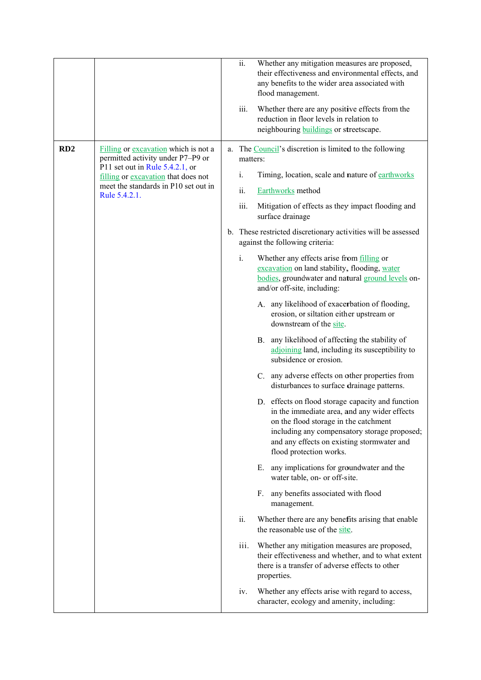|     |                                                                           | ii.<br>iii.    | Whether any mitigation measures are proposed,<br>their effectiveness and environmental effects, and<br>any benefits to the wider area associated with<br>flood management.<br>Whether there are any positive effects from the<br>reduction in floor levels in relation to<br>neighbouring <b>buildings</b> or streetscape. |
|-----|---------------------------------------------------------------------------|----------------|----------------------------------------------------------------------------------------------------------------------------------------------------------------------------------------------------------------------------------------------------------------------------------------------------------------------------|
| RD2 | Filling or excavation which is not a<br>permitted activity under P7-P9 or | matters:       | a. The Council's discretion is limited to the following                                                                                                                                                                                                                                                                    |
|     | P11 set out in Rule $5.4.2.1$ , or<br>filling or excavation that does not | $\mathbf{i}$ . | Timing, location, scale and nature of earthworks                                                                                                                                                                                                                                                                           |
|     | meet the standards in P10 set out in<br>Rule 5.4.2.1.                     | ii.            | Earthworks method                                                                                                                                                                                                                                                                                                          |
|     |                                                                           | iii.           | Mitigation of effects as they impact flooding and<br>surface drainage                                                                                                                                                                                                                                                      |
|     |                                                                           |                | b. These restricted discretionary activities will be assessed<br>against the following criteria:                                                                                                                                                                                                                           |
|     |                                                                           | $i$ .          | Whether any effects arise from filling or<br>excavation on land stability, flooding, water<br>bodies, groundwater and natural ground levels on-<br>and/or off-site, including:                                                                                                                                             |
|     |                                                                           |                | A. any likelihood of exacerbation of flooding,<br>erosion, or siltation either upstream or<br>downstream of the site.                                                                                                                                                                                                      |
|     |                                                                           |                | any likelihood of affecting the stability of<br>B.<br>adjoining land, including its susceptibility to<br>subsidence or erosion.                                                                                                                                                                                            |
|     |                                                                           |                | any adverse effects on other properties from<br>$C_{\cdot}$<br>disturbances to surface drainage patterns.                                                                                                                                                                                                                  |
|     |                                                                           |                | D. effects on flood storage capacity and function<br>in the immediate area, and any wider effects<br>on the flood storage in the catchment<br>including any compensatory storage proposed;<br>and any effects on existing stormwater and<br>flood protection works.                                                        |
|     |                                                                           |                | any implications for groundwater and the<br>Е.<br>water table, on- or off-site.                                                                                                                                                                                                                                            |
|     |                                                                           |                | any benefits associated with flood<br>$F_{\cdot}$<br>management.                                                                                                                                                                                                                                                           |
|     |                                                                           | ii.            | Whether there are any benefits arising that enable<br>the reasonable use of the site.                                                                                                                                                                                                                                      |
|     |                                                                           | iii.           | Whether any mitigation measures are proposed,<br>their effectiveness and whether, and to what extent<br>there is a transfer of adverse effects to other<br>properties.                                                                                                                                                     |
|     |                                                                           | iv.            | Whether any effects arise with regard to access,<br>character, ecology and amenity, including:                                                                                                                                                                                                                             |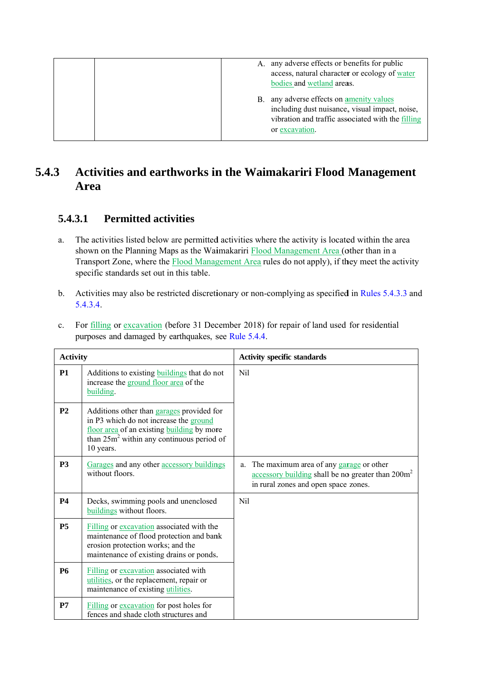|  |    | A. any adverse effects or benefits for public     |
|--|----|---------------------------------------------------|
|  |    | access, natural character or ecology of water     |
|  |    | bodies and wetland areas.                         |
|  | В. | any adverse effects on amenity values             |
|  |    | including dust nuisance, visual impact, noise,    |
|  |    | vibration and traffic associated with the filling |
|  |    | or excavation.                                    |
|  |    |                                                   |

#### **5.4.3 Ac Ar rea**  ctivities and earthworks in the Waimakariri Flood Management

#### **5.4.3.1 1 Permitted activities**

- a. The activities listed below are permitted activities where the activity is located within the area shown on the Planning Maps as the Waimakariri **Flood Management Area** (other than in a Transport Zone, where the **Flood Management Area** rules do not apply), if they meet the activity specific standards set out in this table.
- b. Activities may also be restricted discretionary or non-complying as specified in Rules 5.4.3.3 and 5.4 .3.4.

| <b>Activity</b> |                                                                                                                                                                                                | <b>Activity specific standards</b>                                                                                                                                  |  |  |
|-----------------|------------------------------------------------------------------------------------------------------------------------------------------------------------------------------------------------|---------------------------------------------------------------------------------------------------------------------------------------------------------------------|--|--|
| <b>P1</b>       | Additions to existing <b>buildings</b> that do not<br>increase the ground floor area of the<br>building.                                                                                       | N <sub>i</sub>                                                                                                                                                      |  |  |
| P <sub>2</sub>  | Additions other than garages provided for<br>in P3 which do not increase the ground<br>floor area of an existing building by more<br>than $25m^2$ within any continuous period of<br>10 years. |                                                                                                                                                                     |  |  |
| <b>P3</b>       | Garages and any other accessory buildings<br>without floors.                                                                                                                                   | The maximum area of any garage or other<br>a.<br>$\frac{1}{2}$ accessory building shall be no greater than 200 $\text{m}^2$<br>in rural zones and open space zones. |  |  |
| <b>P4</b>       | Decks, swimming pools and unenclosed<br>buildings without floors.                                                                                                                              | N <sub>i</sub>                                                                                                                                                      |  |  |
| <b>P5</b>       | Filling or excavation associated with the<br>maintenance of flood protection and bank<br>erosion protection works; and the<br>maintenance of existing drains or ponds.                         |                                                                                                                                                                     |  |  |
| <b>P6</b>       | Filling or excavation associated with<br>utilities, or the replacement, repair or<br>maintenance of existing utilities.                                                                        |                                                                                                                                                                     |  |  |
| P7              | Filling or excavation for post holes for<br>fences and shade cloth structures and                                                                                                              |                                                                                                                                                                     |  |  |

c. For filling or excavation (before 31 December 2018) for repair of land used for residential purposes and damaged by earthquakes, see Rule 5.4.4.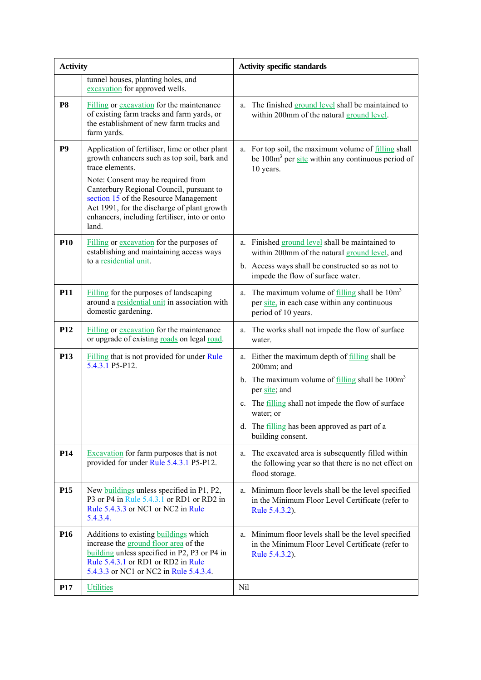| <b>Activity</b> |                                                                                                                                                                                                                                                                                                                                                      | <b>Activity specific standards</b>                                                                                                                                                                                                                                                                                                  |  |  |
|-----------------|------------------------------------------------------------------------------------------------------------------------------------------------------------------------------------------------------------------------------------------------------------------------------------------------------------------------------------------------------|-------------------------------------------------------------------------------------------------------------------------------------------------------------------------------------------------------------------------------------------------------------------------------------------------------------------------------------|--|--|
|                 | tunnel houses, planting holes, and<br>excavation for approved wells.                                                                                                                                                                                                                                                                                 |                                                                                                                                                                                                                                                                                                                                     |  |  |
| <b>P8</b>       | Filling or excavation for the maintenance<br>of existing farm tracks and farm yards, or<br>the establishment of new farm tracks and<br>farm yards.                                                                                                                                                                                                   | The finished ground level shall be maintained to<br>a.<br>within 200mm of the natural ground level.                                                                                                                                                                                                                                 |  |  |
| P <sub>9</sub>  | Application of fertiliser, lime or other plant<br>growth enhancers such as top soil, bark and<br>trace elements.<br>Note: Consent may be required from<br>Canterbury Regional Council, pursuant to<br>section 15 of the Resource Management<br>Act 1991, for the discharge of plant growth<br>enhancers, including fertiliser, into or onto<br>land. | a. For top soil, the maximum volume of filling shall<br>be $100m3$ per site within any continuous period of<br>10 years.                                                                                                                                                                                                            |  |  |
| <b>P10</b>      | Filling or excavation for the purposes of<br>establishing and maintaining access ways<br>to a residential unit.                                                                                                                                                                                                                                      | a. Finished ground level shall be maintained to<br>within 200mm of the natural ground level, and<br>b. Access ways shall be constructed so as not to<br>impede the flow of surface water.                                                                                                                                           |  |  |
| <b>P11</b>      | Filling for the purposes of landscaping<br>around a residential unit in association with<br>domestic gardening.                                                                                                                                                                                                                                      | The maximum volume of $\frac{filling}{quad}$ shall be $10m3$<br>a.<br>per site, in each case within any continuous<br>period of 10 years.                                                                                                                                                                                           |  |  |
| P <sub>12</sub> | Filling or excavation for the maintenance<br>or upgrade of existing roads on legal road.                                                                                                                                                                                                                                                             | a. The works shall not impede the flow of surface<br>water.                                                                                                                                                                                                                                                                         |  |  |
| <b>P13</b>      | Filling that is not provided for under Rule<br>5.4.3.1 P5-P12.                                                                                                                                                                                                                                                                                       | a. Either the maximum depth of <u>filling</u> shall be<br>200mm; and<br>b. The maximum volume of $\frac{filling}{quad}$ shall be 100m <sup>3</sup><br>per site; and<br>The <b>filling</b> shall not impede the flow of surface<br>$\mathbf{c}$ .<br>water; or<br>d. The filling has been approved as part of a<br>building consent. |  |  |
| <b>P14</b>      | Excavation for farm purposes that is not<br>provided for under Rule 5.4.3.1 P5-P12.                                                                                                                                                                                                                                                                  | The excavated area is subsequently filled within<br>a.<br>the following year so that there is no net effect on<br>flood storage.                                                                                                                                                                                                    |  |  |
| P <sub>15</sub> | New buildings unless specified in P1, P2,<br>P3 or P4 in Rule 5.4.3.1 or RD1 or RD2 in<br>Rule 5.4.3.3 or NC1 or NC2 in Rule<br>5.4.3.4.                                                                                                                                                                                                             | a. Minimum floor levels shall be the level specified<br>in the Minimum Floor Level Certificate (refer to<br>Rule 5.4.3.2).                                                                                                                                                                                                          |  |  |
| P <sub>16</sub> | Additions to existing <b>buildings</b> which<br>increase the ground floor area of the<br>building unless specified in P2, P3 or P4 in<br>Rule 5.4.3.1 or RD1 or RD2 in Rule<br>5.4.3.3 or NC1 or NC2 in Rule 5.4.3.4.                                                                                                                                | Minimum floor levels shall be the level specified<br>a.<br>in the Minimum Floor Level Certificate (refer to<br>Rule 5.4.3.2).                                                                                                                                                                                                       |  |  |
| <b>P17</b>      | <b>Utilities</b>                                                                                                                                                                                                                                                                                                                                     | Nil                                                                                                                                                                                                                                                                                                                                 |  |  |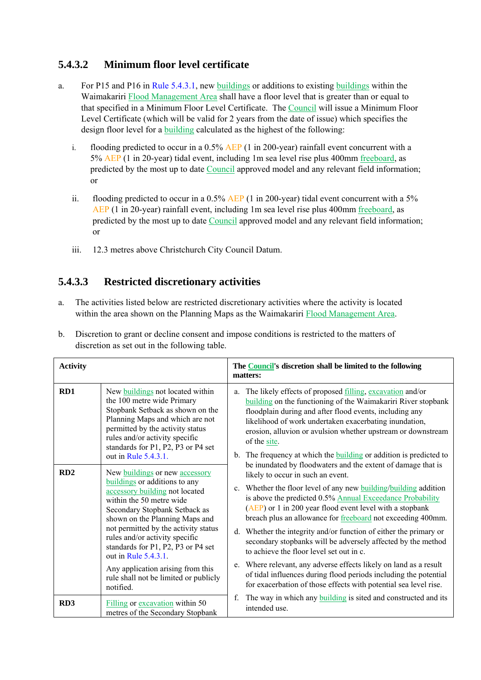### **5.4.3.2 Minimum floor level certificate**

- a. For P15 and P16 in Rule 5.4.3.1, new buildings or additions to existing buildings within the Waimakariri Flood Management Area shall have a floor level that is greater than or equal to that specified in a Minimum Floor Level Certificate. The Council will issue a Minimum Floor Level Certificate (which will be valid for 2 years from the date of issue) which specifies the design floor level for a building calculated as the highest of the following:
	- i. flooding predicted to occur in a  $0.5\%$  AEP (1 in 200-year) rainfall event concurrent with a 5% AEP (1 in 20-year) tidal event, including 1m sea level rise plus 400mm freeboard, as predicted by the most up to date Council approved model and any relevant field information; or
	- ii. flooding predicted to occur in a 0.5% AEP (1 in 200-year) tidal event concurrent with a 5% AEP (1 in 20-year) rainfall event, including 1m sea level rise plus 400mm freeboard, as predicted by the most up to date Council approved model and any relevant field information; or
	- iii. 12.3 metres above Christchurch City Council Datum.

### **5.4.3.3 Restricted discretionary activities**

a. The activities listed below are restricted discretionary activities where the activity is located within the area shown on the Planning Maps as the Waimakariri Flood Management Area.

| <b>Activity</b> |                                                                                                                                                                                                                                                                                                                                                                                                                                     | The Council's discretion shall be limited to the following<br>matters:                                                                                                                                                                                                                                                                                                                                                                                                                                                                                                                                                                                                                                                                                      |
|-----------------|-------------------------------------------------------------------------------------------------------------------------------------------------------------------------------------------------------------------------------------------------------------------------------------------------------------------------------------------------------------------------------------------------------------------------------------|-------------------------------------------------------------------------------------------------------------------------------------------------------------------------------------------------------------------------------------------------------------------------------------------------------------------------------------------------------------------------------------------------------------------------------------------------------------------------------------------------------------------------------------------------------------------------------------------------------------------------------------------------------------------------------------------------------------------------------------------------------------|
| RD1             | New buildings not located within<br>the 100 metre wide Primary<br>Stopbank Setback as shown on the<br>Planning Maps and which are not<br>permitted by the activity status<br>rules and/or activity specific<br>standards for P1, P2, P3 or P4 set<br>out in Rule 5.4.3.1.                                                                                                                                                           | The likely effects of proposed filling, excavation and/or<br>a.<br>building on the functioning of the Waimakariri River stopbank<br>floodplain during and after flood events, including any<br>likelihood of work undertaken exacerbating inundation,<br>erosion, alluvion or avulsion whether upstream or downstream<br>of the site.<br>b. The frequency at which the <b>building</b> or addition is predicted to                                                                                                                                                                                                                                                                                                                                          |
| RD2             | New buildings or new accessory<br>buildings or additions to any<br>accessory building not located<br>within the 50 metre wide<br>Secondary Stopbank Setback as<br>shown on the Planning Maps and<br>not permitted by the activity status<br>rules and/or activity specific<br>standards for P1, P2, P3 or P4 set<br>out in Rule 5.4.3.1.<br>Any application arising from this<br>rule shall not be limited or publicly<br>notified. | be inundated by floodwaters and the extent of damage that is<br>likely to occur in such an event.<br>c. Whether the floor level of any new building/building addition<br>is above the predicted 0.5% Annual Exceedance Probability<br>(AEP) or 1 in 200 year flood event level with a stopbank<br>breach plus an allowance for freeboard not exceeding 400mm.<br>d. Whether the integrity and/or function of either the primary or<br>secondary stopbanks will be adversely affected by the method<br>to achieve the floor level set out in c.<br>e. Where relevant, any adverse effects likely on land as a result<br>of tidal influences during flood periods including the potential<br>for exacerbation of those effects with potential sea level rise. |
| RD <sub>3</sub> | Filling or excavation within 50<br>metres of the Secondary Stopbank                                                                                                                                                                                                                                                                                                                                                                 | The way in which any building is sited and constructed and its<br>f.<br>intended use.                                                                                                                                                                                                                                                                                                                                                                                                                                                                                                                                                                                                                                                                       |

b. Discretion to grant or decline consent and impose conditions is restricted to the matters of discretion as set out in the following table.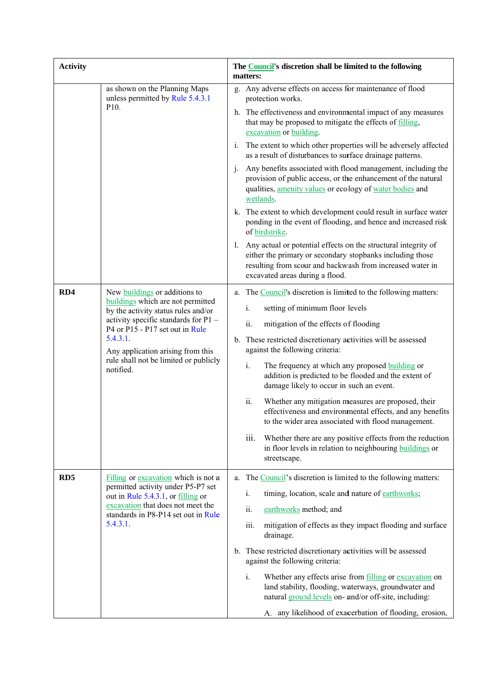| <b>Activity</b> |                                                                                                                                                                                                                       | The <b>Council's</b> discretion shall be limited to the following<br>matters:                                                                                                                                                     |  |  |
|-----------------|-----------------------------------------------------------------------------------------------------------------------------------------------------------------------------------------------------------------------|-----------------------------------------------------------------------------------------------------------------------------------------------------------------------------------------------------------------------------------|--|--|
|                 | as shown on the Planning Maps<br>unless permitted by Rule 5.4.3.1<br>P <sub>10</sub> .                                                                                                                                | g. Any adverse effects on access for maintenance of flood<br>protection works.<br>h. The effectiveness and environmental impact of any measures<br>that may be proposed to mitigate the effects of filling,                       |  |  |
|                 |                                                                                                                                                                                                                       | excavation or building.<br>i. The extent to which other properties will be adversely affected<br>as a result of disturbances to surface drainage patterns.                                                                        |  |  |
|                 |                                                                                                                                                                                                                       | Any benefits associated with flood management, including the<br>$\mathbf{1}$ .<br>provision of public access, or the enhancement of the natural<br>qualities, amenity values or ecology of water bodies and<br>wetlands.          |  |  |
|                 |                                                                                                                                                                                                                       | k. The extent to which development could result in surface water<br>ponding in the event of flooding, and hence and increased risk<br>of birdstrike.                                                                              |  |  |
|                 |                                                                                                                                                                                                                       | Any actual or potential effects on the structural integrity of<br>I.<br>either the primary or secondary stopbanks including those<br>resulting from scour and backwash from increased water in<br>excavated areas during a flood. |  |  |
| RD4             | New buildings or additions to<br>buildings which are not permitted                                                                                                                                                    | a. The Council's discretion is limited to the following matters:                                                                                                                                                                  |  |  |
|                 | by the activity status rules and/or<br>activity specific standards for P1 -<br>P4 or P15 - P17 set out in Rule<br>5.4.3.1.<br>Any application arising from this<br>rule shall not be limited or publicly<br>notified. | setting of minimum floor levels<br>i.                                                                                                                                                                                             |  |  |
|                 |                                                                                                                                                                                                                       | ii.<br>mitigation of the effects of flooding                                                                                                                                                                                      |  |  |
|                 |                                                                                                                                                                                                                       | b. These restricted discretionary activities will be assessed<br>against the following criteria:                                                                                                                                  |  |  |
|                 |                                                                                                                                                                                                                       | i.<br>The frequency at which any proposed building or<br>addition is predicted to be flooded and the extent of<br>damage likely to occur in such an event.                                                                        |  |  |
|                 |                                                                                                                                                                                                                       | ii.<br>Whether any mitigation measures are proposed, their<br>effectiveness and environmental effects, and any benefits<br>to the wider area associated with flood management.                                                    |  |  |
|                 |                                                                                                                                                                                                                       | iii.<br>Whether there are any positive effects from the reduction<br>in floor levels in relation to neighbouring buildings or<br>streetscape.                                                                                     |  |  |
| RD <sub>5</sub> | Filling or excavation which is not a                                                                                                                                                                                  | a. The Council's discretion is limited to the following matters:                                                                                                                                                                  |  |  |
|                 | permitted activity under P5-P7 set<br>out in Rule 5.4.3.1, or filling or                                                                                                                                              | timing, location, scale and nature of earthworks;<br>i.                                                                                                                                                                           |  |  |
|                 | excavation that does not meet the<br>standards in P8-P14 set out in Rule                                                                                                                                              | ii.<br>earthworks method; and                                                                                                                                                                                                     |  |  |
|                 | 5.4.3.1.                                                                                                                                                                                                              | iii.<br>mitigation of effects as they impact flooding and surface<br>drainage.                                                                                                                                                    |  |  |
|                 |                                                                                                                                                                                                                       | b. These restricted discretionary activities will be assessed<br>against the following criteria:                                                                                                                                  |  |  |
|                 |                                                                                                                                                                                                                       | $i$ .<br>Whether any effects arise from filling or excavation on<br>land stability, flooding, waterways, groundwater and<br>natural ground levels on- and/or off-site, including:                                                 |  |  |
|                 |                                                                                                                                                                                                                       | A. any likelihood of exacerbation of flooding, erosion,                                                                                                                                                                           |  |  |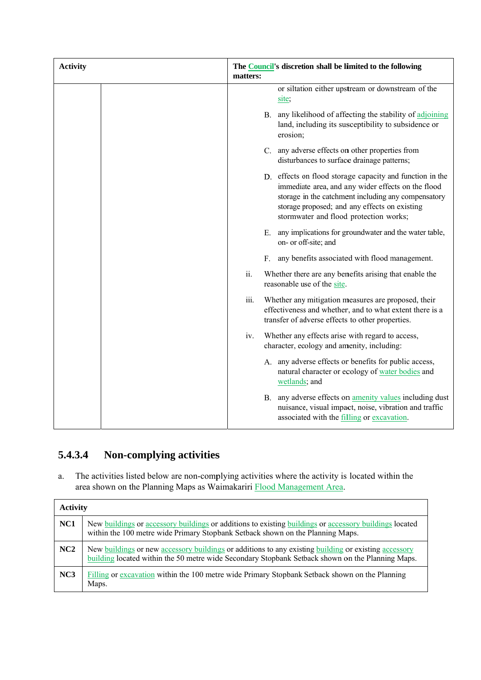| <b>Activity</b> |      | The Council's discretion shall be limited to the following<br>matters:                                                                                                                                                                                           |
|-----------------|------|------------------------------------------------------------------------------------------------------------------------------------------------------------------------------------------------------------------------------------------------------------------|
|                 |      | or siltation either upstream or downstream of the<br>site;                                                                                                                                                                                                       |
|                 |      | B. any likelihood of affecting the stability of adjoining<br>land, including its susceptibility to subsidence or<br>erosion;                                                                                                                                     |
|                 |      | C. any adverse effects on other properties from<br>disturbances to surface drainage patterns;                                                                                                                                                                    |
|                 |      | D. effects on flood storage capacity and function in the<br>immediate area, and any wider effects on the flood<br>storage in the catchment including any compensatory<br>storage proposed; and any effects on existing<br>stormwater and flood protection works; |
|                 |      | any implications for groundwater and the water table,<br>Е.<br>on- or off-site; and                                                                                                                                                                              |
|                 |      | any benefits associated with flood management.<br>$F_{\tau}$                                                                                                                                                                                                     |
|                 | ii.  | Whether there are any benefits arising that enable the<br>reasonable use of the site.                                                                                                                                                                            |
|                 | iii. | Whether any mitigation measures are proposed, their<br>effectiveness and whether, and to what extent there is a<br>transfer of adverse effects to other properties.                                                                                              |
|                 | iv.  | Whether any effects arise with regard to access,<br>character, ecology and amenity, including:                                                                                                                                                                   |
|                 |      | A. any adverse effects or benefits for public access,<br>natural character or ecology of water bodies and<br>wetlands; and                                                                                                                                       |
|                 |      | B. any adverse effects on <b>amenity values</b> including dust<br>nuisance, visual impact, noise, vibration and traffic<br>associated with the filling or excavation.                                                                                            |

#### **5.4.3.4 4 Non-c complying g activities s**

a. The activities listed below are non-complying activities where the activity is located within the area shown on the Planning Maps as Waimakariri **Flood Management Area**.

| <b>Activity</b> |                                                                                                                                                                                                          |
|-----------------|----------------------------------------------------------------------------------------------------------------------------------------------------------------------------------------------------------|
| NC1             | New buildings or accessory buildings or additions to existing buildings or accessory buildings located<br>within the 100 metre wide Primary Stopbank Setback shown on the Planning Maps.                 |
| NC2             | New buildings or new accessory buildings or additions to any existing building or existing accessory<br>building located within the 50 metre wide Secondary Stopbank Setback shown on the Planning Maps. |
| NC3             | Filling or excavation within the 100 metre wide Primary Stopbank Setback shown on the Planning<br>Maps.                                                                                                  |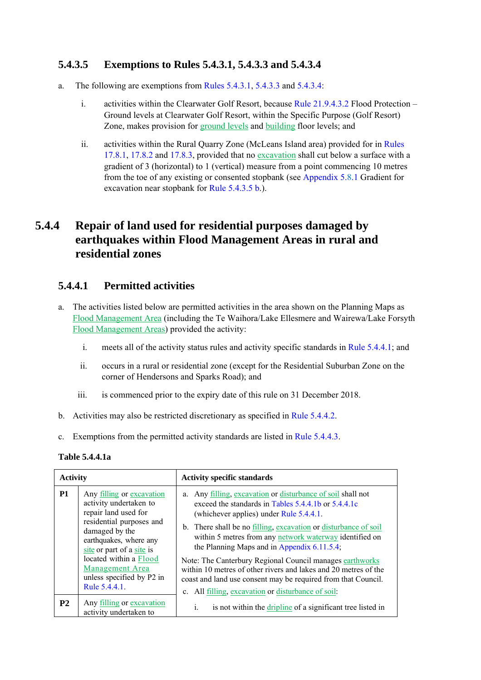### **5.4.3.5 Exemptions to Rules 5.4.3.1, 5.4.3.3 and 5.4.3.4**

- a. The following are exemptions from Rules 5.4.3.1, 5.4.3.3 and 5.4.3.4:
	- i. activities within the Clearwater Golf Resort, because Rule 21.9.4.3.2 Flood Protection Ground levels at Clearwater Golf Resort, within the Specific Purpose (Golf Resort) Zone, makes provision for ground levels and building floor levels; and
	- ii. activities within the Rural Quarry Zone (McLeans Island area) provided for in Rules 17.8.1, 17.8.2 and 17.8.3, provided that no excavation shall cut below a surface with a gradient of 3 (horizontal) to 1 (vertical) measure from a point commencing 10 metres from the toe of any existing or consented stopbank (see Appendix 5.8.1 Gradient for excavation near stopbank for Rule 5.4.3.5 b.).

## **5.4.4 Repair of land used for residential purposes damaged by earthquakes within Flood Management Areas in rural and residential zones**

### **5.4.4.1 Permitted activities**

- a. The activities listed below are permitted activities in the area shown on the Planning Maps as Flood Management Area (including the Te Waihora/Lake Ellesmere and Wairewa/Lake Forsyth Flood Management Areas) provided the activity:
	- i. meets all of the activity status rules and activity specific standards in Rule 5.4.4.1; and
	- ii. occurs in a rural or residential zone (except for the Residential Suburban Zone on the corner of Hendersons and Sparks Road); and
	- iii. is commenced prior to the expiry date of this rule on 31 December 2018.
- b. Activities may also be restricted discretionary as specified in Rule 5.4.4.2.
- c. Exemptions from the permitted activity standards are listed in Rule 5.4.4.3.

#### **Table 5.4.4.1a**

| <b>Activity</b> |                                                                                                                                                                                                                                                                             | <b>Activity specific standards</b>                                                                                                                                                                                                                                                                                                                                                                                                                                                                                                                                                                       |  |
|-----------------|-----------------------------------------------------------------------------------------------------------------------------------------------------------------------------------------------------------------------------------------------------------------------------|----------------------------------------------------------------------------------------------------------------------------------------------------------------------------------------------------------------------------------------------------------------------------------------------------------------------------------------------------------------------------------------------------------------------------------------------------------------------------------------------------------------------------------------------------------------------------------------------------------|--|
| <b>P1</b>       | Any filling or excavation<br>activity undertaken to<br>repair land used for<br>residential purposes and<br>damaged by the<br>earthquakes, where any<br>site or part of a site is<br>located within a Flood<br>Management Area<br>unless specified by P2 in<br>Rule 5.4.4.1. | a. Any filling, excavation or disturbance of soil shall not<br>exceed the standards in Tables 5.4.4.1b or 5.4.4.1c<br>(whichever applies) under Rule 5.4.4.1.<br>b. There shall be no <u>filling</u> , excavation or disturbance of soil<br>within 5 metres from any network waterway identified on<br>the Planning Maps and in Appendix 6.11.5.4;<br>Note: The Canterbury Regional Council manages earthworks<br>within 10 metres of other rivers and lakes and 20 metres of the<br>coast and land use consent may be required from that Council.<br>c. All filling, excavation or disturbance of soil: |  |
| <b>P2</b>       | Any filling or excavation<br>activity undertaken to                                                                                                                                                                                                                         | i.<br>is not within the dripline of a significant tree listed in                                                                                                                                                                                                                                                                                                                                                                                                                                                                                                                                         |  |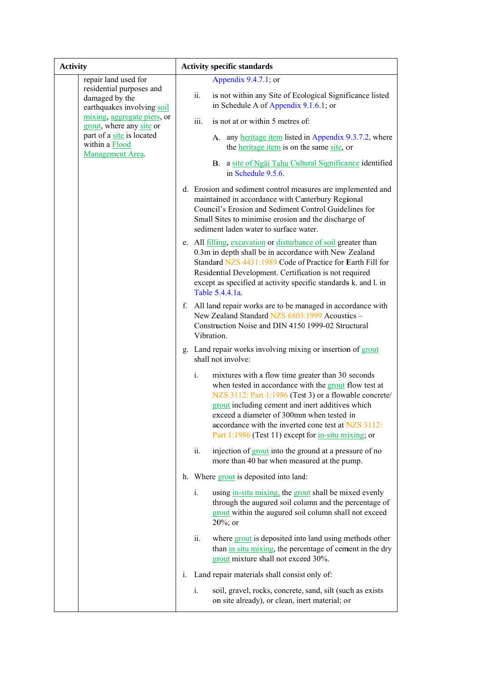| <b>Activity</b>                                                                                                                                                                                            | <b>Activity specific standards</b>                                                                                                                                                                                                                                                                                                                                                           |
|------------------------------------------------------------------------------------------------------------------------------------------------------------------------------------------------------------|----------------------------------------------------------------------------------------------------------------------------------------------------------------------------------------------------------------------------------------------------------------------------------------------------------------------------------------------------------------------------------------------|
| repair land used for<br>residential purposes and<br>damaged by the<br>earthquakes involving soil<br>mixing, aggregate piers, or<br>grout, where any site or<br>part of a site is located<br>within a Flood | Appendix $9.4.7.1$ ; or<br>is not within any Site of Ecological Significance listed<br>ii.<br>in Schedule A of Appendix $9.1.6.1$ ; or<br>iii.<br>is not at or within 5 metres of:<br>A. any heritage item listed in Appendix 9.3.7.2, where<br>the heritage item is on the same site, or                                                                                                    |
| Management Area.                                                                                                                                                                                           | a site of Ngai Tahu Cultural Significance identified<br>В.<br>in Schedule 9.5.6.                                                                                                                                                                                                                                                                                                             |
|                                                                                                                                                                                                            | d. Erosion and sediment control measures are implemented and<br>maintained in accordance with Canterbury Regional<br>Council's Erosion and Sediment Control Guidelines for<br>Small Sites to minimise erosion and the discharge of<br>sediment laden water to surface water.                                                                                                                 |
|                                                                                                                                                                                                            | e. All filling, excavation or disturbance of soil greater than<br>0.3m in depth shall be in accordance with New Zealand<br>Standard NZS 4431:1989 Code of Practice for Earth Fill for<br>Residential Development. Certification is not required<br>except as specified at activity specific standards k. and l. in<br>Table 5.4.4.1a.                                                        |
|                                                                                                                                                                                                            | f. All land repair works are to be managed in accordance with<br>New Zealand Standard NZS 6803:1999 Acoustics -<br>Construction Noise and DIN 4150 1999-02 Structural<br>Vibration.                                                                                                                                                                                                          |
|                                                                                                                                                                                                            | g. Land repair works involving mixing or insertion of grout<br>shall not involve:                                                                                                                                                                                                                                                                                                            |
|                                                                                                                                                                                                            | $i$ .<br>mixtures with a flow time greater than 30 seconds<br>when tested in accordance with the grout flow test at<br>NZS 3112: Part 1:1986 (Test 3) or a flowable concrete/<br>grout including cement and inert additives which<br>exceed a diameter of 300mm when tested in<br>accordance with the inverted cone test at NZS 3112:<br>Part 1:1986 (Test 11) except for in-situ mixing; or |
|                                                                                                                                                                                                            | ii.<br>injection of grout into the ground at a pressure of no<br>more than 40 bar when measured at the pump.                                                                                                                                                                                                                                                                                 |
|                                                                                                                                                                                                            | h. Where grout is deposited into land:                                                                                                                                                                                                                                                                                                                                                       |
|                                                                                                                                                                                                            | using in-situ mixing, the grout shall be mixed evenly<br>$i_{\cdot}$<br>through the augured soil column and the percentage of<br>grout within the augured soil column shall not exceed<br>$20\%$ ; or                                                                                                                                                                                        |
|                                                                                                                                                                                                            | ii.<br>where grout is deposited into land using methods other<br>than in situ mixing, the percentage of cement in the dry<br>grout mixture shall not exceed 30%.                                                                                                                                                                                                                             |
|                                                                                                                                                                                                            | Land repair materials shall consist only of:<br>$\mathbf{i}$ .                                                                                                                                                                                                                                                                                                                               |
|                                                                                                                                                                                                            | i.<br>soil, gravel, rocks, concrete, sand, silt (such as exists<br>on site already), or clean, inert material; or                                                                                                                                                                                                                                                                            |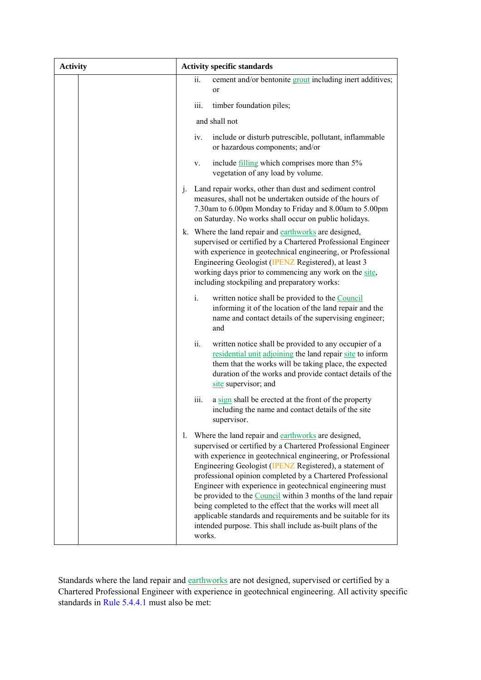| <b>Activity</b> | <b>Activity specific standards</b>                                                                                                                                                                                                                                                                                                                                                                                                                                                                                                                                                                                                                      |  |  |  |
|-----------------|---------------------------------------------------------------------------------------------------------------------------------------------------------------------------------------------------------------------------------------------------------------------------------------------------------------------------------------------------------------------------------------------------------------------------------------------------------------------------------------------------------------------------------------------------------------------------------------------------------------------------------------------------------|--|--|--|
|                 | cement and/or bentonite grout including inert additives;<br>ii.<br>or                                                                                                                                                                                                                                                                                                                                                                                                                                                                                                                                                                                   |  |  |  |
|                 | iii.<br>timber foundation piles;                                                                                                                                                                                                                                                                                                                                                                                                                                                                                                                                                                                                                        |  |  |  |
|                 | and shall not                                                                                                                                                                                                                                                                                                                                                                                                                                                                                                                                                                                                                                           |  |  |  |
|                 | iv.<br>include or disturb putrescible, pollutant, inflammable<br>or hazardous components; and/or                                                                                                                                                                                                                                                                                                                                                                                                                                                                                                                                                        |  |  |  |
|                 | include filling which comprises more than 5%<br>V.<br>vegetation of any load by volume.                                                                                                                                                                                                                                                                                                                                                                                                                                                                                                                                                                 |  |  |  |
|                 | Land repair works, other than dust and sediment control<br>$\mathbf{1}$ .<br>measures, shall not be undertaken outside of the hours of<br>7.30am to 6.00pm Monday to Friday and 8.00am to 5.00pm<br>on Saturday. No works shall occur on public holidays.                                                                                                                                                                                                                                                                                                                                                                                               |  |  |  |
|                 | k. Where the land repair and earthworks are designed,<br>supervised or certified by a Chartered Professional Engineer<br>with experience in geotechnical engineering, or Professional<br>Engineering Geologist (IPENZ Registered), at least 3<br>working days prior to commencing any work on the site,<br>including stockpiling and preparatory works:                                                                                                                                                                                                                                                                                                 |  |  |  |
|                 | i.<br>written notice shall be provided to the Council<br>informing it of the location of the land repair and the<br>name and contact details of the supervising engineer;<br>and                                                                                                                                                                                                                                                                                                                                                                                                                                                                        |  |  |  |
|                 | ii.<br>written notice shall be provided to any occupier of a<br>residential unit adjoining the land repair site to inform<br>them that the works will be taking place, the expected<br>duration of the works and provide contact details of the<br>site supervisor; and                                                                                                                                                                                                                                                                                                                                                                                 |  |  |  |
|                 | iii.<br>a sign shall be erected at the front of the property<br>including the name and contact details of the site<br>supervisor.                                                                                                                                                                                                                                                                                                                                                                                                                                                                                                                       |  |  |  |
|                 | Where the land repair and earthworks are designed,<br>1.<br>supervised or certified by a Chartered Professional Engineer<br>with experience in geotechnical engineering, or Professional<br>Engineering Geologist (IPENZ Registered), a statement of<br>professional opinion completed by a Chartered Professional<br>Engineer with experience in geotechnical engineering must<br>be provided to the Council within 3 months of the land repair<br>being completed to the effect that the works will meet all<br>applicable standards and requirements and be suitable for its<br>intended purpose. This shall include as-built plans of the<br>works. |  |  |  |

Standards where the land repair and earthworks are not designed, supervised or certified by a Chartered Professional Engineer with experience in geotechnical engineering. All activity specific standards in Rule 5.4.4.1 must also be met: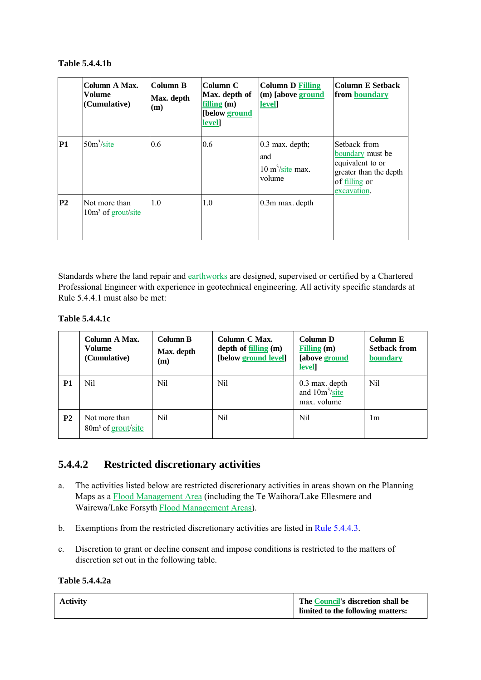#### **Table 5.4.4.1b**

|                | Column A Max.<br>Volume<br>(Cumulative)         | Column B<br>Max. depth<br>(m) | Column C<br>Max. depth of<br>filling $(m)$<br>[below ground<br>level] | <b>Column D Filling</b><br>(m) [above ground<br><b>level</b>            | Column E Setback <br>from boundary                                                                                    |
|----------------|-------------------------------------------------|-------------------------------|-----------------------------------------------------------------------|-------------------------------------------------------------------------|-----------------------------------------------------------------------------------------------------------------------|
| <b>P1</b>      | $50m^3\text{/site}$                             | 0.6                           | 0.6                                                                   | $0.3$ max. depth;<br>and<br>$10 \text{ m}^3/\text{site}$ max.<br>volume | <b>Setback from</b><br>boundary must be<br>equivalent to or<br>greater than the depth<br>of filling or<br>excavation. |
| P <sub>2</sub> | Not more than<br>10m <sup>3</sup> of grout/site | 1.0                           | 1.0                                                                   | $0.3m$ max. depth                                                       |                                                                                                                       |

Standards where the land repair and earthworks are designed, supervised or certified by a Chartered Professional Engineer with experience in geotechnical engineering. All activity specific standards at Rule 5.4.4.1 must also be met:

#### **Table 5.4.4.1c**

|                | Column A Max.<br>Volume<br>(Cumulative)                     | <b>Column B</b><br>Max. depth<br>(m) | Column C Max.<br>depth of $filling(m)$<br>[below ground level] | <b>Column D</b><br>Filling $(m)$<br>[above ground<br>level] | Column E<br><b>Setback from</b><br>boundary |
|----------------|-------------------------------------------------------------|--------------------------------------|----------------------------------------------------------------|-------------------------------------------------------------|---------------------------------------------|
| P <sub>1</sub> | Nil                                                         | Nil                                  | Nil.                                                           | $0.3$ max. depth<br>and $10m^3/site$<br>max. volume         | Nil                                         |
| P <sub>2</sub> | Not more than<br>80 <sub>m</sub> <sup>3</sup> of grout/site | Nil                                  | Nil                                                            | Nil                                                         | 1m                                          |

### **5.4.4.2 Restricted discretionary activities**

- a. The activities listed below are restricted discretionary activities in areas shown on the Planning Maps as a Flood Management Area (including the Te Waihora/Lake Ellesmere and Wairewa/Lake Forsyth Flood Management Areas).
- b. Exemptions from the restricted discretionary activities are listed in Rule 5.4.4.3.
- c. Discretion to grant or decline consent and impose conditions is restricted to the matters of discretion set out in the following table.

**Table 5.4.4.2a** 

| <b>Activity</b> | The Council's discretion shall be<br>limited to the following matters: |
|-----------------|------------------------------------------------------------------------|
|                 |                                                                        |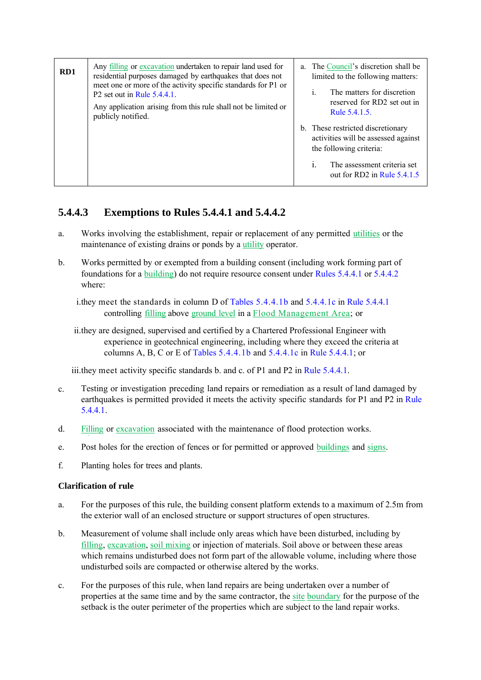| RD1 | Any <u>filling</u> or excavation undertaken to repair land used for<br>residential purposes damaged by earthquakes that does not<br>meet one or more of the activity specific standards for P1 or<br>P2 set out in Rule $5.4.4.1$ .<br>Any application arising from this rule shall not be limited or<br>publicly notified. | a. The Council's discretion shall be<br>limited to the following matters:<br>The matters for discretion<br>$\mathbf{1}$ .<br>reserved for RD2 set out in<br>Rule 5.4.1.5.             |
|-----|-----------------------------------------------------------------------------------------------------------------------------------------------------------------------------------------------------------------------------------------------------------------------------------------------------------------------------|---------------------------------------------------------------------------------------------------------------------------------------------------------------------------------------|
|     |                                                                                                                                                                                                                                                                                                                             | b. These restricted discretionary<br>activities will be assessed against<br>the following criteria:<br>The assessment criteria set<br>$\mathbf{1}$ .<br>out for RD2 in Rule $5.4.1.5$ |

### **5.4.4.3 Exemptions to Rules 5.4.4.1 and 5.4.4.2**

- a. Works involving the establishment, repair or replacement of any permitted utilities or the maintenance of existing drains or ponds by a utility operator.
- b. Works permitted by or exempted from a building consent (including work forming part of foundations for a building) do not require resource consent under Rules 5.4.4.1 or 5.4.4.2 where:

i.they meet the standards in column D of Tables 5.4.4.1b and 5.4.4.1c in Rule 5.4.4.1 controlling filling above ground level in a Flood Management Area; or

iii.they meet activity specific standards b. and c. of P1 and P2 in Rule 5.4.4.1.

- c. Testing or investigation preceding land repairs or remediation as a result of land damaged by earthquakes is permitted provided it meets the activity specific standards for P1 and P2 in Rule 5.4.4.1.
- d. Filling or excavation associated with the maintenance of flood protection works.
- e. Post holes for the erection of fences or for permitted or approved buildings and signs.
- f. Planting holes for trees and plants.

#### **Clarification of rule**

- a. For the purposes of this rule, the building consent platform extends to a maximum of 2.5m from the exterior wall of an enclosed structure or support structures of open structures.
- b. Measurement of volume shall include only areas which have been disturbed, including by filling, excavation, soil mixing or injection of materials. Soil above or between these areas which remains undisturbed does not form part of the allowable volume, including where those undisturbed soils are compacted or otherwise altered by the works.
- c. For the purposes of this rule, when land repairs are being undertaken over a number of properties at the same time and by the same contractor, the site boundary for the purpose of the setback is the outer perimeter of the properties which are subject to the land repair works.

ii.they are designed, supervised and certified by a Chartered Professional Engineer with experience in geotechnical engineering, including where they exceed the criteria at columns A, B, C or E of Tables  $5.4.4.1b$  and  $5.4.4.1c$  in Rule  $5.4.4.1c$  or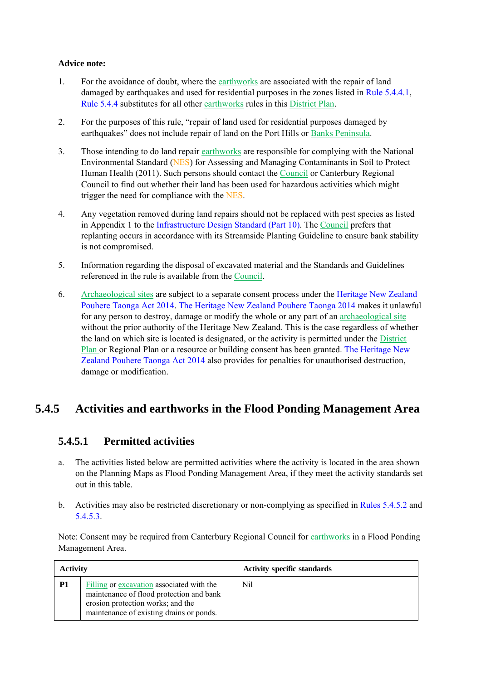#### **Advice note:**

- 1. For the avoidance of doubt, where the earthworks are associated with the repair of land damaged by earthquakes and used for residential purposes in the zones listed in Rule 5.4.4.1, Rule 5.4.4 substitutes for all other earthworks rules in this District Plan.
- 2. For the purposes of this rule, "repair of land used for residential purposes damaged by earthquakes" does not include repair of land on the Port Hills or Banks Peninsula.
- 3. Those intending to do land repair earthworks are responsible for complying with the National Environmental Standard (NES) for Assessing and Managing Contaminants in Soil to Protect Human Health (2011). Such persons should contact the Council or Canterbury Regional Council to find out whether their land has been used for hazardous activities which might trigger the need for compliance with the NES.
- 4. Any vegetation removed during land repairs should not be replaced with pest species as listed in Appendix 1 to the Infrastructure Design Standard (Part 10). The Council prefers that replanting occurs in accordance with its Streamside Planting Guideline to ensure bank stability is not compromised.
- 5. Information regarding the disposal of excavated material and the Standards and Guidelines referenced in the rule is available from the Council.
- 6. Archaeological sites are subject to a separate consent process under the Heritage New Zealand Pouhere Taonga Act 2014. The Heritage New Zealand Pouhere Taonga 2014 makes it unlawful for any person to destroy, damage or modify the whole or any part of an archaeological site without the prior authority of the Heritage New Zealand. This is the case regardless of whether the land on which site is located is designated, or the activity is permitted under the District Plan or Regional Plan or a resource or building consent has been granted. The Heritage New Zealand Pouhere Taonga Act 2014 also provides for penalties for unauthorised destruction, damage or modification.

## **5.4.5 Activities and earthworks in the Flood Ponding Management Area**

### **5.4.5.1 Permitted activities**

- a. The activities listed below are permitted activities where the activity is located in the area shown on the Planning Maps as Flood Ponding Management Area, if they meet the activity standards set out in this table.
- b. Activities may also be restricted discretionary or non-complying as specified in Rules 5.4.5.2 and 5.4.5.3.

Note: Consent may be required from Canterbury Regional Council for earthworks in a Flood Ponding Management Area.

| <b>Activity</b> |                                                                                                                                                                        | <b>Activity specific standards</b> |
|-----------------|------------------------------------------------------------------------------------------------------------------------------------------------------------------------|------------------------------------|
| P <sub>1</sub>  | Filling or excavation associated with the<br>maintenance of flood protection and bank<br>erosion protection works; and the<br>maintenance of existing drains or ponds. | Nil                                |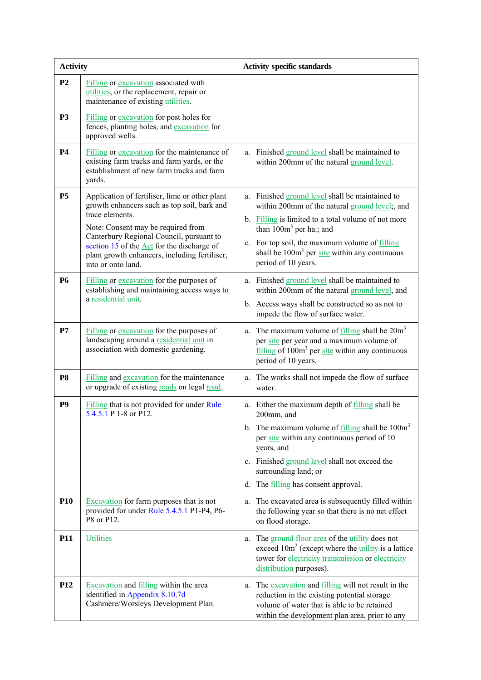| <b>Activity</b> |                                                                                                                                                                                                                                                                                                                         | <b>Activity specific standards</b>                                                                                                                                                                                                                                                                                                                       |  |
|-----------------|-------------------------------------------------------------------------------------------------------------------------------------------------------------------------------------------------------------------------------------------------------------------------------------------------------------------------|----------------------------------------------------------------------------------------------------------------------------------------------------------------------------------------------------------------------------------------------------------------------------------------------------------------------------------------------------------|--|
| P <sub>2</sub>  | Filling or excavation associated with<br>utilities, or the replacement, repair or<br>maintenance of existing utilities.                                                                                                                                                                                                 |                                                                                                                                                                                                                                                                                                                                                          |  |
| P <sub>3</sub>  | Filling or excavation for post holes for<br>fences, planting holes, and excavation for<br>approved wells.                                                                                                                                                                                                               |                                                                                                                                                                                                                                                                                                                                                          |  |
| <b>P4</b>       | Filling or excavation for the maintenance of<br>existing farm tracks and farm yards, or the<br>establishment of new farm tracks and farm<br>yards.                                                                                                                                                                      | a. Finished ground level shall be maintained to<br>within 200mm of the natural ground level.                                                                                                                                                                                                                                                             |  |
| <b>P5</b>       | Application of fertiliser, lime or other plant<br>growth enhancers such as top soil, bark and<br>trace elements.<br>Note: Consent may be required from<br>Canterbury Regional Council, pursuant to<br>section 15 of the Act for the discharge of<br>plant growth enhancers, including fertiliser,<br>into or onto land. | a. Finished ground level shall be maintained to<br>within 200mm of the natural ground level;, and<br>b. Filling is limited to a total volume of not more<br>than $100m3$ per ha.; and<br>c. For top soil, the maximum volume of filling<br>shall be $100m3$ per site within any continuous<br>period of 10 years.                                        |  |
| <b>P6</b>       | Filling or excavation for the purposes of<br>establishing and maintaining access ways to<br>a residential unit.                                                                                                                                                                                                         | a. Finished ground level shall be maintained to<br>within 200mm of the natural ground level, and<br>b. Access ways shall be constructed so as not to<br>impede the flow of surface water.                                                                                                                                                                |  |
| P7              | Filling or excavation for the purposes of<br>landscaping around a residential unit in<br>association with domestic gardening.                                                                                                                                                                                           | a. The maximum volume of $\frac{f_{\text{illing}}}{f_{\text{all}}}$ shall be $20m^3$<br>per site per year and a maximum volume of<br>$\frac{\text{filling}}{\text{ifiling}}$ of 100 $\text{m}^3$ per site within any continuous<br>period of 10 years.                                                                                                   |  |
| P <sub>8</sub>  | Filling and excavation for the maintenance<br>or upgrade of existing roads on legal road.                                                                                                                                                                                                                               | a. The works shall not impede the flow of surface<br>water.                                                                                                                                                                                                                                                                                              |  |
| P <sub>9</sub>  | Filling that is not provided for under Rule<br>5.4.5.1 P 1-8 or P12.                                                                                                                                                                                                                                                    | a. Either the maximum depth of filling shall be<br>200mm, and<br>b. The maximum volume of $\frac{f_{\text{illing}}}{f_{\text{illing}}}$ shall be $100\text{m}^3$<br>per site within any continuous period of 10<br>years, and<br>c. Finished ground level shall not exceed the<br>surrounding land; or<br>The <u>filling</u> has consent approval.<br>d. |  |
| <b>P10</b>      | <b>Excavation</b> for farm purposes that is not<br>provided for under Rule 5.4.5.1 P1-P4, P6-<br>P8 or P12.                                                                                                                                                                                                             | The excavated area is subsequently filled within<br>a.<br>the following year so that there is no net effect<br>on flood storage.                                                                                                                                                                                                                         |  |
| P11             | <b>Utilities</b>                                                                                                                                                                                                                                                                                                        | a. The ground floor area of the utility does not<br>exceed $10m2$ (except where the <i>utility</i> is a lattice<br>tower for electricity transmission or electricity<br>distribution purposes).                                                                                                                                                          |  |
| P <sub>12</sub> | <b>Excavation</b> and <u>filling</u> within the area<br>identified in Appendix 8.10.7d -<br>Cashmere/Worsleys Development Plan.                                                                                                                                                                                         | The excavation and filling will not result in the<br>a.<br>reduction in the existing potential storage<br>volume of water that is able to be retained<br>within the development plan area, prior to any                                                                                                                                                  |  |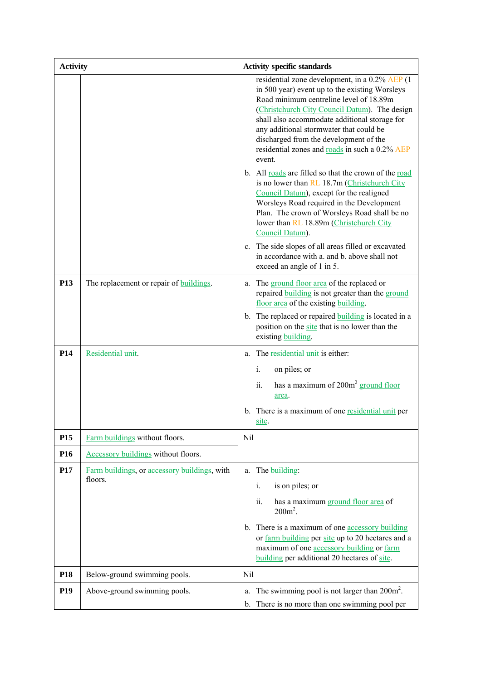| <b>Activity</b> |                                                         | <b>Activity specific standards</b>                                                                                                                                                                                                                                                                                                                                                                                                                |
|-----------------|---------------------------------------------------------|---------------------------------------------------------------------------------------------------------------------------------------------------------------------------------------------------------------------------------------------------------------------------------------------------------------------------------------------------------------------------------------------------------------------------------------------------|
|                 |                                                         | residential zone development, in a 0.2% AEP (1<br>in 500 year) event up to the existing Worsleys<br>Road minimum centreline level of 18.89m<br>(Christchurch City Council Datum). The design<br>shall also accommodate additional storage for<br>any additional stormwater that could be<br>discharged from the development of the<br>residential zones and roads in such a 0.2% AEP<br>event.                                                    |
|                 |                                                         | b. All roads are filled so that the crown of the road<br>is no lower than RL 18.7m (Christchurch City<br>Council Datum), except for the realigned<br>Worsleys Road required in the Development<br>Plan. The crown of Worsleys Road shall be no<br>lower than RL 18.89m (Christchurch City<br>Council Datum).<br>c. The side slopes of all areas filled or excavated<br>in accordance with a. and b. above shall not<br>exceed an angle of 1 in 5. |
| <b>P13</b>      | The replacement or repair of <b>buildings</b> .         | a. The ground floor area of the replaced or<br>repaired <b>building</b> is not greater than the ground                                                                                                                                                                                                                                                                                                                                            |
|                 |                                                         | floor area of the existing building.<br>b. The replaced or repaired <b>building</b> is located in a<br>position on the site that is no lower than the<br>existing building.                                                                                                                                                                                                                                                                       |
| <b>P14</b>      | Residential unit.                                       | The residential unit is either:<br>a.<br>i.<br>on piles; or                                                                                                                                                                                                                                                                                                                                                                                       |
|                 |                                                         | has a maximum of $200m^2$ ground floor<br>ii.<br>area.                                                                                                                                                                                                                                                                                                                                                                                            |
|                 |                                                         | b. There is a maximum of one residential unit per<br>site.                                                                                                                                                                                                                                                                                                                                                                                        |
| P <sub>15</sub> | Farm buildings without floors.                          | Nil                                                                                                                                                                                                                                                                                                                                                                                                                                               |
| P <sub>16</sub> | Accessory buildings without floors.                     |                                                                                                                                                                                                                                                                                                                                                                                                                                                   |
| P17             | Farm buildings, or accessory buildings, with<br>floors. | The <b>building</b> :<br>a.<br>i.<br>is on piles; or<br>ii.<br>has a maximum ground floor area of<br>$200m^2$ .<br>There is a maximum of one accessory building<br>$\mathbf{b}$ .<br>or farm building per site up to 20 hectares and a<br>maximum of one accessory building or farm<br>building per additional 20 hectares of site.                                                                                                               |
| P <sub>18</sub> | Below-ground swimming pools.                            | Nil                                                                                                                                                                                                                                                                                                                                                                                                                                               |
| P <sub>19</sub> | Above-ground swimming pools.                            | The swimming pool is not larger than $200m^2$ .<br>a.<br>b. There is no more than one swimming pool per                                                                                                                                                                                                                                                                                                                                           |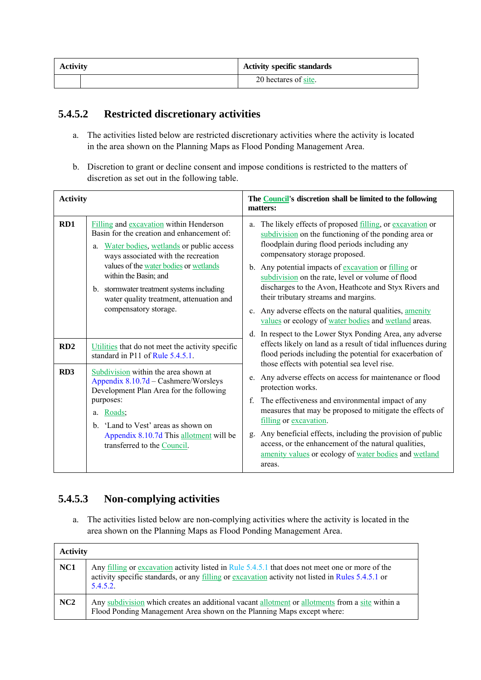| <b>Activity</b> | <b>Activity specific standards</b> |
|-----------------|------------------------------------|
|                 | 20 hectares of site.               |

### **5.4.5.2 Restricted discretionary activities**

- a. The activities listed below are restricted discretionary activities where the activity is located in the area shown on the Planning Maps as Flood Ponding Management Area.
- b. Discretion to grant or decline consent and impose conditions is restricted to the matters of discretion as set out in the following table.

| <b>Activity</b> |                                                                                                                                                                                                                                                                                                                                                                 | The <b>Council</b> 's discretion shall be limited to the following<br>matters:                                                                                                                                                                                                                                                                                                                                                                                                       |  |
|-----------------|-----------------------------------------------------------------------------------------------------------------------------------------------------------------------------------------------------------------------------------------------------------------------------------------------------------------------------------------------------------------|--------------------------------------------------------------------------------------------------------------------------------------------------------------------------------------------------------------------------------------------------------------------------------------------------------------------------------------------------------------------------------------------------------------------------------------------------------------------------------------|--|
| RD1             | Filling and excavation within Henderson<br>Basin for the creation and enhancement of:<br>a. Water bodies, wetlands or public access<br>ways associated with the recreation<br>values of the water bodies or wetlands<br>within the Basin; and<br>b. stormwater treatment systems including<br>water quality treatment, attenuation and<br>compensatory storage. | The likely effects of proposed filling, or excavation or<br>a.<br>subdivision on the functioning of the ponding area or<br>floodplain during flood periods including any<br>compensatory storage proposed.<br>b. Any potential impacts of excavation or filling or<br>subdivision on the rate, level or volume of flood<br>discharges to the Avon, Heathcote and Styx Rivers and<br>their tributary streams and margins.<br>c. Any adverse effects on the natural qualities, amenity |  |
|                 |                                                                                                                                                                                                                                                                                                                                                                 | values or ecology of water bodies and wetland areas.                                                                                                                                                                                                                                                                                                                                                                                                                                 |  |
| RD2             | Utilities that do not meet the activity specific<br>standard in P11 of Rule 5.4.5.1.                                                                                                                                                                                                                                                                            | d. In respect to the Lower Styx Ponding Area, any adverse<br>effects likely on land as a result of tidal influences during<br>flood periods including the potential for exacerbation of<br>those effects with potential sea level rise.                                                                                                                                                                                                                                              |  |
| RD <sub>3</sub> | Subdivision within the area shown at<br>Appendix 8.10.7d - Cashmere/Worsleys<br>Development Plan Area for the following                                                                                                                                                                                                                                         | e. Any adverse effects on access for maintenance or flood<br>protection works.                                                                                                                                                                                                                                                                                                                                                                                                       |  |
|                 | purposes:<br>Roads;<br>a.<br>b. 'Land to Vest' areas as shown on<br>Appendix 8.10.7d This allotment will be<br>transferred to the Council.                                                                                                                                                                                                                      | The effectiveness and environmental impact of any<br>f.<br>measures that may be proposed to mitigate the effects of<br>filling or excavation.<br>Any beneficial effects, including the provision of public<br>$\mathbf{g}$ .<br>access, or the enhancement of the natural qualities,                                                                                                                                                                                                 |  |
|                 |                                                                                                                                                                                                                                                                                                                                                                 | amenity values or ecology of water bodies and wetland<br>areas.                                                                                                                                                                                                                                                                                                                                                                                                                      |  |

## **5.4.5.3 Non-complying activities**

a. The activities listed below are non-complying activities where the activity is located in the area shown on the Planning Maps as Flood Ponding Management Area.

| <b>Activity</b> |                                                                                                                                                                                                                 |  |
|-----------------|-----------------------------------------------------------------------------------------------------------------------------------------------------------------------------------------------------------------|--|
| NC <sub>1</sub> | Any filling or excavation activity listed in Rule 5.4.5.1 that does not meet one or more of the<br>activity specific standards, or any filling or excavation activity not listed in Rules 5.4.5.1 or<br>5.4.5.2 |  |
| NC2             | Any subdivision which creates an additional vacant allotment or allotments from a site within a<br>Flood Ponding Management Area shown on the Planning Maps except where:                                       |  |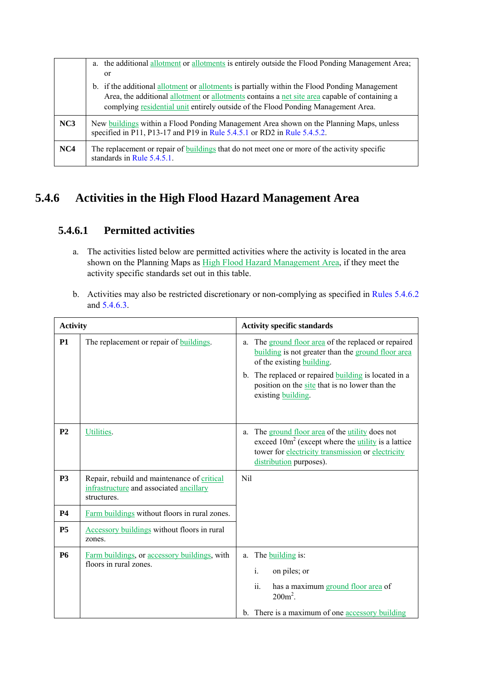|     | a. the additional allotment or allotments is entirely outside the Flood Ponding Management Area;<br><sub>or</sub>                                                                                                                                                                   |
|-----|-------------------------------------------------------------------------------------------------------------------------------------------------------------------------------------------------------------------------------------------------------------------------------------|
|     | b. if the additional allotment or allotments is partially within the Flood Ponding Management<br>Area, the additional allotment or allotments contains a net site area capable of containing a<br>complying residential unit entirely outside of the Flood Ponding Management Area. |
| NC3 | New buildings within a Flood Ponding Management Area shown on the Planning Maps, unless<br>specified in P11, P13-17 and P19 in Rule 5.4.5.1 or RD2 in Rule 5.4.5.2.                                                                                                                 |
| NC4 | The replacement or repair of buildings that do not meet one or more of the activity specific<br>standards in Rule 5.4.5.1.                                                                                                                                                          |

# **5.4.6 Activities in the High Flood Hazard Management Area**

### **5.4.6.1 Permitted activities**

- a. The activities listed below are permitted activities where the activity is located in the area shown on the Planning Maps as High Flood Hazard Management Area, if they meet the activity specific standards set out in this table.
- b. Activities may also be restricted discretionary or non-complying as specified in Rules 5.4.6.2 and 5.4.6.3.

| <b>Activity</b> |                                                                                                              | <b>Activity specific standards</b>                                                                                                                                                                         |  |
|-----------------|--------------------------------------------------------------------------------------------------------------|------------------------------------------------------------------------------------------------------------------------------------------------------------------------------------------------------------|--|
| <b>P1</b>       | The replacement or repair of <b>buildings</b> .                                                              | The ground floor area of the replaced or repaired<br>a.<br>building is not greater than the ground floor area<br>of the existing building.                                                                 |  |
|                 |                                                                                                              | b. The replaced or repaired <b>building</b> is located in a<br>position on the site that is no lower than the<br>existing building.                                                                        |  |
| P <sub>2</sub>  | Utilities.                                                                                                   | The ground floor area of the <i>utility</i> does not<br>a.<br>exceed $10m^2$ (except where the <i>utility</i> is a lattice<br>tower for electricity transmission or electricity<br>distribution purposes). |  |
| <b>P3</b>       | Repair, rebuild and maintenance of critical<br>infrastructure and associated <b>ancillary</b><br>structures. | Nil                                                                                                                                                                                                        |  |
| <b>P4</b>       | Farm buildings without floors in rural zones.                                                                |                                                                                                                                                                                                            |  |
| P <sub>5</sub>  | <b>Accessory buildings</b> without floors in rural<br>zones.                                                 |                                                                                                                                                                                                            |  |
| <b>P6</b>       | Farm buildings, or accessory buildings, with                                                                 | The building is:<br>a.                                                                                                                                                                                     |  |
|                 | floors in rural zones.                                                                                       | $\mathbf{i}$ .<br>on piles; or                                                                                                                                                                             |  |
|                 |                                                                                                              | ii.<br>has a maximum ground floor area of<br>$200m^2$ .                                                                                                                                                    |  |
|                 |                                                                                                              | b. There is a maximum of one accessory building                                                                                                                                                            |  |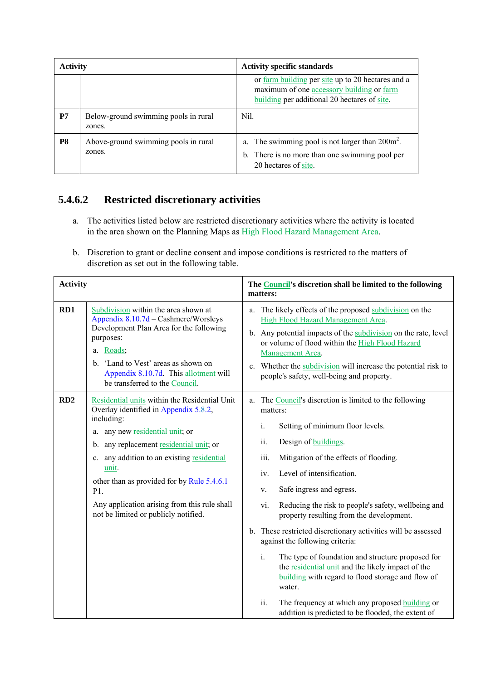| <b>Activity</b> |                                                | <b>Activity specific standards</b>                                                                                                                    |  |
|-----------------|------------------------------------------------|-------------------------------------------------------------------------------------------------------------------------------------------------------|--|
|                 |                                                | or <u>farm building</u> per site up to 20 hectares and a<br>maximum of one accessory building or farm<br>building per additional 20 hectares of site. |  |
| P7              | Below-ground swimming pools in rural<br>zones. | Nil.                                                                                                                                                  |  |
| P8              | Above-ground swimming pools in rural<br>zones. | a. The swimming pool is not larger than $200m^2$ .<br>b. There is no more than one swimming pool per<br>20 hectares of site.                          |  |

## **5.4.6.2 Restricted discretionary activities**

- a. The activities listed below are restricted discretionary activities where the activity is located in the area shown on the Planning Maps as High Flood Hazard Management Area.
- b. Discretion to grant or decline consent and impose conditions is restricted to the matters of discretion as set out in the following table.

| <b>Activity</b> |                                                                                                                                                                                                                                                                                                                                                                                        | The Council's discretion shall be limited to the following<br>matters:                                                                                                                                                                                                                                                                                                                                                                                                                                                                                                                                                                                                                                                                                                                      |
|-----------------|----------------------------------------------------------------------------------------------------------------------------------------------------------------------------------------------------------------------------------------------------------------------------------------------------------------------------------------------------------------------------------------|---------------------------------------------------------------------------------------------------------------------------------------------------------------------------------------------------------------------------------------------------------------------------------------------------------------------------------------------------------------------------------------------------------------------------------------------------------------------------------------------------------------------------------------------------------------------------------------------------------------------------------------------------------------------------------------------------------------------------------------------------------------------------------------------|
| RD1             | Subdivision within the area shown at<br>Appendix 8.10.7d – Cashmere/Worsleys<br>Development Plan Area for the following<br>purposes:<br>a. Roads;<br>b. 'Land to Vest' areas as shown on<br>Appendix 8.10.7d. This allotment will<br>be transferred to the Council.                                                                                                                    | a. The likely effects of the proposed subdivision on the<br>High Flood Hazard Management Area.<br>b. Any potential impacts of the subdivision on the rate, level<br>or volume of flood within the High Flood Hazard<br>Management Area.<br>c. Whether the subdivision will increase the potential risk to<br>people's safety, well-being and property.                                                                                                                                                                                                                                                                                                                                                                                                                                      |
| RD2             | Residential units within the Residential Unit<br>Overlay identified in Appendix 5.8.2,<br>including:<br>a. any new residential unit; or<br>b. any replacement residential unit; or<br>c. any addition to an existing residential<br>unit.<br>other than as provided for by Rule 5.4.6.1<br>P1.<br>Any application arising from this rule shall<br>not be limited or publicly notified. | The Council's discretion is limited to the following<br>a.<br>matters:<br>Setting of minimum floor levels.<br>i.<br>ii.<br>Design of buildings.<br>iii.<br>Mitigation of the effects of flooding.<br>Level of intensification.<br>iv.<br>Safe ingress and egress.<br>V.<br>Reducing the risk to people's safety, wellbeing and<br>vi.<br>property resulting from the development.<br>b. These restricted discretionary activities will be assessed<br>against the following criteria:<br>i.<br>The type of foundation and structure proposed for<br>the residential unit and the likely impact of the<br><b>building</b> with regard to flood storage and flow of<br>water.<br>ii.<br>The frequency at which any proposed building or<br>addition is predicted to be flooded, the extent of |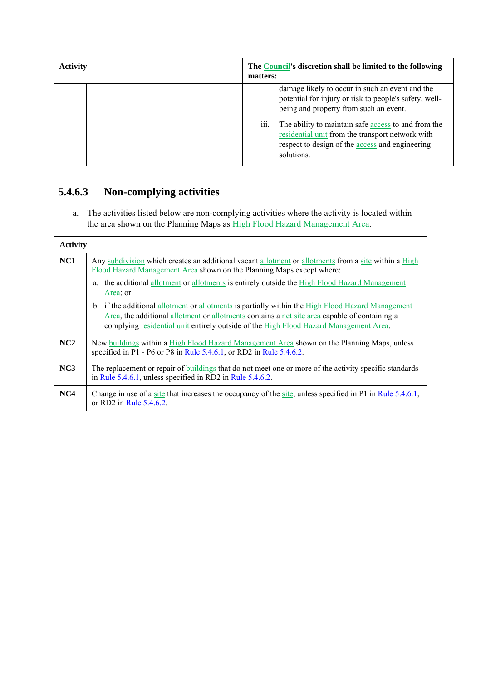| <b>Activity</b> | The Council's discretion shall be limited to the following<br>matters:                                                                                                                                                                                                                                                                         |  |  |  |
|-----------------|------------------------------------------------------------------------------------------------------------------------------------------------------------------------------------------------------------------------------------------------------------------------------------------------------------------------------------------------|--|--|--|
|                 | damage likely to occur in such an event and the<br>potential for injury or risk to people's safety, well-<br>being and property from such an event.<br>iii.<br>The ability to maintain safe access to and from the<br>residential unit from the transport network with<br>respect to design of the <b>access</b> and engineering<br>solutions. |  |  |  |

# **5.4.6.3 Non-complying activities**

a. The activities listed below are non-complying activities where the activity is located within the area shown on the Planning Maps as High Flood Hazard Management Area.

| <b>Activity</b> |                                                                                                                                                                                                                                                                                             |
|-----------------|---------------------------------------------------------------------------------------------------------------------------------------------------------------------------------------------------------------------------------------------------------------------------------------------|
| NC1             | Any subdivision which creates an additional vacant allotment or allotments from a site within a High<br>Flood Hazard Management Area shown on the Planning Maps except where:<br>a. the additional allotment or allotments is entirely outside the High Flood Hazard Management<br>Area; or |
|                 | b. if the additional allotment or allotments is partially within the High Flood Hazard Management<br>Area, the additional allotment or allotments contains a net site area capable of containing a<br>complying residential unit entirely outside of the High Flood Hazard Management Area. |
| NC2             | New buildings within a High Flood Hazard Management Area shown on the Planning Maps, unless<br>specified in P1 - P6 or P8 in Rule $5.4.6.1$ , or RD2 in Rule $5.4.6.2$ .                                                                                                                    |
| NC3             | The replacement or repair of buildings that do not meet one or more of the activity specific standards<br>in Rule 5.4.6.1, unless specified in RD2 in Rule 5.4.6.2.                                                                                                                         |
| NC4             | Change in use of a site that increases the occupancy of the site, unless specified in P1 in Rule 5.4.6.1,<br>or RD2 in Rule 5.4.6.2.                                                                                                                                                        |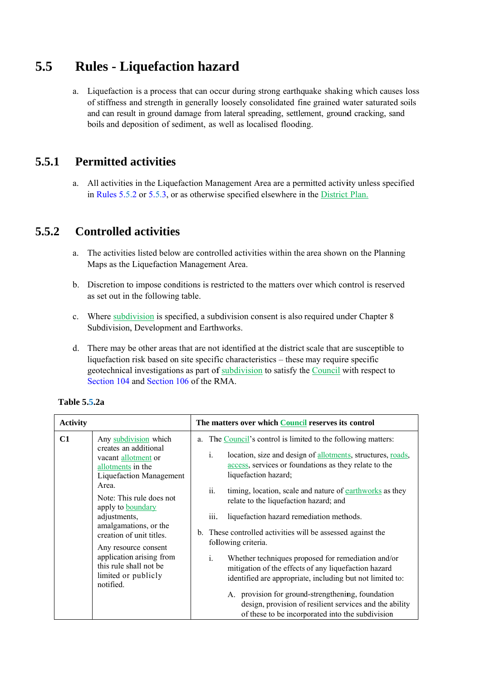#### **5. .5 Rules - Liquefaction hazard**

a. Liquefaction is a process that can occur during strong earthquake shaking which causes loss of stiffness and strength in generally loosely consolidated fine grained water saturated soils and can result in ground damage from lateral spreading, settlement, ground cracking, sand boils and deposition of sediment, as well as localised flooding.

#### **5. .5.1 Pe ermitted activities s**

a. All activities in the Liquefaction Management Area are a permitted activity unless specified in Rules  $5.5.2$  or  $5.5.3$ , or as otherwise specified elsewhere in the District Plan.

#### **5. .5.2 Co ontrolled** activities

- a. The activities listed below are controlled activities within the area shown on the Planning Maps as the Liquefaction Management Area.
- b. Discretion to impose conditions is restricted to the matters over which control is reserved as set out in the following table.
- c. Where subdivision is specified, a subdivision consent is also required under Chapter 8 Subdivision, Development and Earthworks.
- d. There may be other areas that are not identified at the district scale that are susceptible to liquefaction risk based on site specific characteristics – these may require specific geotechnical investigations as part of subdivision to satisfy the Council with respect to Section 104 and Section 106 of the RMA.

| <b>Activity</b> |                                                                                                                                                                                                                                                                                                                                                                                      | The matters over which Council reserves its control                                                                                                                                                                                                                                                                                                                                                                                                                                                                                                                                                                                                                                                                                                                                                                                                |
|-----------------|--------------------------------------------------------------------------------------------------------------------------------------------------------------------------------------------------------------------------------------------------------------------------------------------------------------------------------------------------------------------------------------|----------------------------------------------------------------------------------------------------------------------------------------------------------------------------------------------------------------------------------------------------------------------------------------------------------------------------------------------------------------------------------------------------------------------------------------------------------------------------------------------------------------------------------------------------------------------------------------------------------------------------------------------------------------------------------------------------------------------------------------------------------------------------------------------------------------------------------------------------|
| C1              | Any subdivision which<br>creates an additional<br>vacant allotment or<br>allotments in the<br><b>Liquefaction Management</b><br>Area.<br>Note: This rule does not<br>apply to <b>boundary</b><br>adjustments,<br>amalgamations, or the<br>creation of unit titles.<br>Any resource consent<br>application arising from<br>this rule shall not be<br>limited or publicly<br>notified. | a. The Council's control is limited to the following matters:<br>location, size and design of allotments, structures, roads,<br>$\mathbf{1}$ .<br>access, services or foundations as they relate to the<br>liquefaction hazard;<br>ii.<br>timing, location, scale and nature of earthworks as they<br>relate to the liquefaction hazard; and<br>liquefaction hazard remediation methods.<br><i>iii.</i><br>b. These controlled activities will be assessed against the<br>following criteria.<br>i.<br>Whether techniques proposed for remediation and/or<br>mitigation of the effects of any liquefaction hazard<br>identified are appropriate, including but not limited to:<br>A. provision for ground-strengthening, foundation<br>design, provision of resilient services and the ability<br>of these to be incorporated into the subdivision |

#### **Table 5 .5.2a**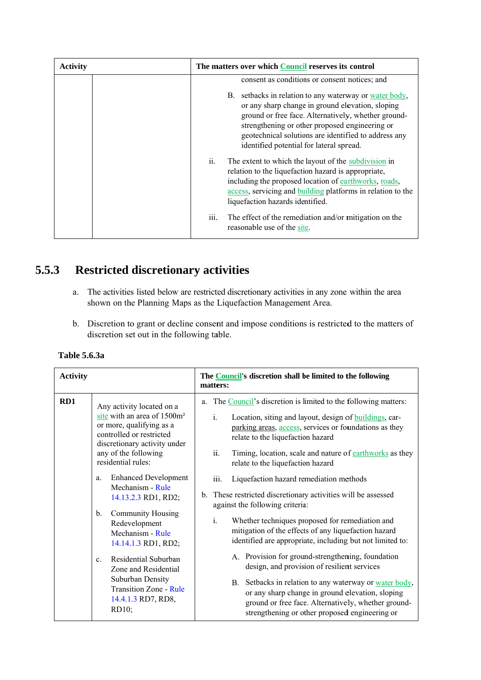| <b>Activity</b>                                 | The matters over which Council reserves its control                                                                                                                                                                                                                                                                                                                                 |  |  |  |
|-------------------------------------------------|-------------------------------------------------------------------------------------------------------------------------------------------------------------------------------------------------------------------------------------------------------------------------------------------------------------------------------------------------------------------------------------|--|--|--|
|                                                 | consent as conditions or consent notices; and<br>setbacks in relation to any waterway or <u>water body</u> ,<br>B.<br>or any sharp change in ground elevation, sloping<br>ground or free face. Alternatively, whether ground-<br>strengthening or other proposed engineering or<br>geotechnical solutions are identified to address any<br>identified potential for lateral spread. |  |  |  |
|                                                 | ii.<br>The extent to which the layout of the subdivision in<br>relation to the liquefaction hazard is appropriate,<br>including the proposed location of earthworks, roads,<br>access, servicing and <b>building</b> platforms in relation to the<br>liquefaction hazards identified.                                                                                               |  |  |  |
|                                                 | iii.<br>The effect of the remediation and/or mitigation on the<br>reasonable use of the site.                                                                                                                                                                                                                                                                                       |  |  |  |
| 3<br><b>Restricted discretionary activities</b> |                                                                                                                                                                                                                                                                                                                                                                                     |  |  |  |

#### **5. 5.3** Restricted discretionary activities

- a. The activities listed below are restricted discretionary activities in any zone within the area shown on the Planning Maps as the Liquefaction Management Area.
- b. Discretion to grant or decline consent and impose conditions is restricted to the matters of discretion set out in the following table.

| <b>Activity</b> |                                                                                                                                                                                                                                                                                                                                                                                                                                                                                                                                       | The <b>Council</b> 's discretion shall be limited to the following<br>matters:                                                                                                                                                                                                                                                                                                                                                                                                                                                                                                                                                                                                                                                                                                                                                                                                                                                                                                                                         |
|-----------------|---------------------------------------------------------------------------------------------------------------------------------------------------------------------------------------------------------------------------------------------------------------------------------------------------------------------------------------------------------------------------------------------------------------------------------------------------------------------------------------------------------------------------------------|------------------------------------------------------------------------------------------------------------------------------------------------------------------------------------------------------------------------------------------------------------------------------------------------------------------------------------------------------------------------------------------------------------------------------------------------------------------------------------------------------------------------------------------------------------------------------------------------------------------------------------------------------------------------------------------------------------------------------------------------------------------------------------------------------------------------------------------------------------------------------------------------------------------------------------------------------------------------------------------------------------------------|
| RD1             | Any activity located on a<br>site with an area of 1500m <sup>2</sup><br>or more, qualifying as a<br>controlled or restricted<br>discretionary activity under<br>any of the following<br>residential rules:<br><b>Enhanced Development</b><br>a.<br>Mechanism - Rule<br>14.13.2.3 RD1, RD2;<br>Community Housing<br>$b_{-}$<br>Redevelopment<br>Mechanism - Rule<br>14.14.1.3 RD1, RD2;<br>Residential Suburban<br>$C_{-}$<br>Zone and Residential<br>Suburban Density<br><b>Transition Zone - Rule</b><br>14.4.1.3 RD7, RD8,<br>RD10; | The Council's discretion is limited to the following matters:<br>a.<br>Location, siting and layout, design of buildings, car-<br>i.<br>parking areas, access, services or foundations as they<br>relate to the liquefaction hazard<br>ii.<br>Timing, location, scale and nature of earthworks as they<br>relate to the liquefaction hazard<br>Liquefaction hazard remediation methods<br>iii.<br>b. These restricted discretionary activities will be assessed<br>against the following criteria:<br>Whether techniques proposed for remediation and<br>$\mathbf{i}$ .<br>mitigation of the effects of any liquefaction hazard<br>identified are appropriate, including but not limited to:<br>A. Provision for ground-strengthening, foundation<br>design, and provision of resilient services<br>B. Setbacks in relation to any waterway or water body,<br>or any sharp change in ground elevation, sloping<br>ground or free face. Alternatively, whether ground-<br>strengthening or other proposed engineering or |

**Table 5 .6.3a**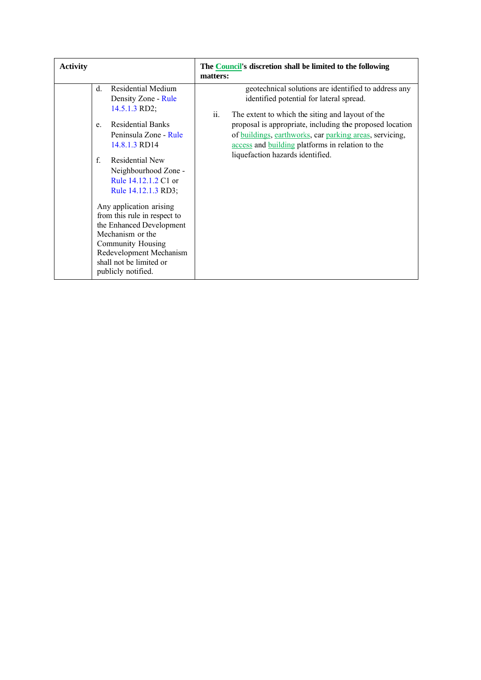| <b>Activity</b> |                                                                                                                                                                                                                                                                                                                                               | The <b>Council's</b> discretion shall be limited to the following<br>matters:                                                                                                                                                                                                                                                                                              |
|-----------------|-----------------------------------------------------------------------------------------------------------------------------------------------------------------------------------------------------------------------------------------------------------------------------------------------------------------------------------------------|----------------------------------------------------------------------------------------------------------------------------------------------------------------------------------------------------------------------------------------------------------------------------------------------------------------------------------------------------------------------------|
|                 | Residential Medium<br>d.<br>Density Zone - Rule<br>14.5.1.3 RD2;<br><b>Residential Banks</b><br>e.<br>Peninsula Zone - Rule<br>14.8.1.3 RD14<br>$\mathbf{f}$<br>Residential New<br>Neighbourhood Zone -<br>Rule 14.12.1.2 C1 or<br>Rule 14.12.1.3 RD3;<br>Any application arising<br>from this rule in respect to<br>the Enhanced Development | geotechnical solutions are identified to address any<br>identified potential for lateral spread.<br>ii.<br>The extent to which the siting and layout of the<br>proposal is appropriate, including the proposed location<br>of buildings, earthworks, car parking areas, servicing,<br>access and building platforms in relation to the<br>liquefaction hazards identified. |
|                 | Mechanism or the<br>Community Housing<br>Redevelopment Mechanism<br>shall not be limited or<br>publicly notified.                                                                                                                                                                                                                             |                                                                                                                                                                                                                                                                                                                                                                            |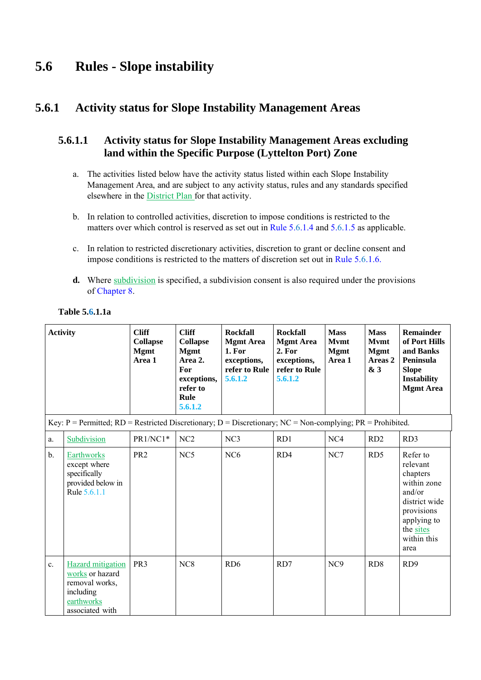# **5.6 Rules - Slope instability**

## **5.6.1 Activity status for Slope Instability Management Areas**

### **5.6.1.1 Activity status for Slope Instability Management Areas excluding land within the Specific Purpose (Lyttelton Port) Zone**

- a. The activities listed below have the activity status listed within each Slope Instability Management Area, and are subject to any activity status, rules and any standards specified elsewhere in the District Plan for that activity.
- b. In relation to controlled activities, discretion to impose conditions is restricted to the matters over which control is reserved as set out in Rule 5.6.1.4 and 5.6.1.5 as applicable.
- c. In relation to restricted discretionary activities, discretion to grant or decline consent and impose conditions is restricted to the matters of discretion set out in Rule 5.6.1.6.
- **d.** Where subdivision is specified, a subdivision consent is also required under the provisions of Chapter 8.

| <b>Activity</b> |                                                                                                                      | <b>Cliff</b><br><b>Collapse</b><br><b>Mgmt</b><br>Area 1 | <b>Cliff</b><br><b>Collapse</b><br><b>Mgmt</b><br>Area 2.<br>For<br>exceptions,<br>refer to<br>Rule<br>5.6.1.2 | <b>Rockfall</b><br><b>Mgmt Area</b><br><b>1. For</b><br>exceptions,<br>refer to Rule<br>5.6.1.2 | <b>Rockfall</b><br><b>Mgmt Area</b><br>2. For<br>exceptions,<br>refer to Rule<br>5.6.1.2 | <b>Mass</b><br><b>Mymt</b><br><b>Mgmt</b><br>Area 1 | <b>Mass</b><br><b>Mymt</b><br><b>Mgmt</b><br>Areas 2<br>& 3 | <b>Remainder</b><br>of Port Hills<br>and Banks<br>Peninsula<br><b>Slope</b><br><b>Instability</b><br><b>Mgmt Area</b>                       |
|-----------------|----------------------------------------------------------------------------------------------------------------------|----------------------------------------------------------|----------------------------------------------------------------------------------------------------------------|-------------------------------------------------------------------------------------------------|------------------------------------------------------------------------------------------|-----------------------------------------------------|-------------------------------------------------------------|---------------------------------------------------------------------------------------------------------------------------------------------|
|                 | Key: $P =$ Permitted; $RD =$ Restricted Discretionary; $D =$ Discretionary; $NC =$ Non-complying; $PR =$ Prohibited. |                                                          |                                                                                                                |                                                                                                 |                                                                                          |                                                     |                                                             |                                                                                                                                             |
| a.              | Subdivision                                                                                                          | PR1/NC1*                                                 | NC2                                                                                                            | NC <sub>3</sub>                                                                                 | RD1                                                                                      | NC4                                                 | RD <sub>2</sub>                                             | RD3                                                                                                                                         |
| $\mathbf b$ .   | Earthworks<br>except where<br>specifically<br>provided below in<br>Rule 5.6.1.1                                      | PR <sub>2</sub>                                          | NC5                                                                                                            | NC <sub>6</sub>                                                                                 | RD4                                                                                      | NC7                                                 | RD <sub>5</sub>                                             | Refer to<br>relevant<br>chapters<br>within zone<br>and/or<br>district wide<br>provisions<br>applying to<br>the sites<br>within this<br>area |
| c.              | Hazard mitigation<br>works or hazard<br>removal works,<br>including<br>earthworks<br>associated with                 | PR <sub>3</sub>                                          | NC <sub>8</sub>                                                                                                | RD <sub>6</sub>                                                                                 | RD7                                                                                      | NC <sub>9</sub>                                     | RD <sub>8</sub>                                             | RD <sub>9</sub>                                                                                                                             |

#### **Table 5.6.1.1a**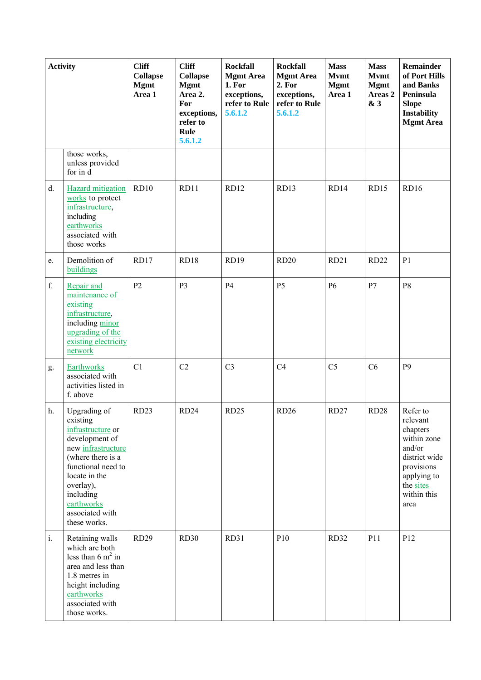| <b>Activity</b> |                                                                                                                                                                                                                              | <b>Cliff</b><br><b>Collapse</b><br><b>Mgmt</b><br>Area 1 | <b>Cliff</b><br><b>Collapse</b><br><b>Mgmt</b><br>Area 2.<br>For<br>exceptions,<br>refer to<br>Rule<br>5.6.1.2 | <b>Rockfall</b><br><b>Mgmt Area</b><br>1. For<br>exceptions,<br>refer to Rule<br>5.6.1.2 | <b>Rockfall</b><br><b>Mgmt Area</b><br>2. For<br>exceptions,<br>refer to Rule<br>5.6.1.2 | <b>Mass</b><br><b>Mymt</b><br><b>Mgmt</b><br>Area 1 | <b>Mass</b><br><b>Mymt</b><br><b>Mgmt</b><br>Areas <sub>2</sub><br>& 3 | <b>Remainder</b><br>of Port Hills<br>and Banks<br>Peninsula<br><b>Slope</b><br><b>Instability</b><br><b>Mgmt Area</b>                       |
|-----------------|------------------------------------------------------------------------------------------------------------------------------------------------------------------------------------------------------------------------------|----------------------------------------------------------|----------------------------------------------------------------------------------------------------------------|------------------------------------------------------------------------------------------|------------------------------------------------------------------------------------------|-----------------------------------------------------|------------------------------------------------------------------------|---------------------------------------------------------------------------------------------------------------------------------------------|
|                 | those works,<br>unless provided<br>for in d                                                                                                                                                                                  |                                                          |                                                                                                                |                                                                                          |                                                                                          |                                                     |                                                                        |                                                                                                                                             |
| d.              | <b>Hazard</b> mitigation<br>works to protect<br>infrastructure,<br>including<br>earthworks<br>associated with<br>those works                                                                                                 | RD10                                                     | RD11                                                                                                           | <b>RD12</b>                                                                              | RD13                                                                                     | RD14                                                | <b>RD15</b>                                                            | RD16                                                                                                                                        |
| e.              | Demolition of<br>buildings                                                                                                                                                                                                   | RD17                                                     | RD18                                                                                                           | <b>RD19</b>                                                                              | RD20                                                                                     | <b>RD21</b>                                         | <b>RD22</b>                                                            | P1                                                                                                                                          |
| f.              | Repair and<br>maintenance of<br>existing<br>infrastructure,<br>including minor<br>upgrading of the<br>existing electricity<br>network                                                                                        | P <sub>2</sub>                                           | P <sub>3</sub>                                                                                                 | <b>P4</b>                                                                                | P <sub>5</sub>                                                                           | <b>P6</b>                                           | P7                                                                     | P <sub>8</sub>                                                                                                                              |
| g.              | Earthworks<br>associated with<br>activities listed in<br>f. above                                                                                                                                                            | C1                                                       | C <sub>2</sub>                                                                                                 | C <sub>3</sub>                                                                           | C <sub>4</sub>                                                                           | C <sub>5</sub>                                      | C6                                                                     | P <sub>9</sub>                                                                                                                              |
| h.              | Upgrading of<br>existing<br>infrastructure or<br>development of<br>new infrastructure<br>(where there is a<br>functional need to<br>locate in the<br>overlay),<br>including<br>earthworks<br>associated with<br>these works. | RD <sub>23</sub>                                         | RD <sub>24</sub>                                                                                               | <b>RD25</b>                                                                              | <b>RD26</b>                                                                              | RD <sub>27</sub>                                    | <b>RD28</b>                                                            | Refer to<br>relevant<br>chapters<br>within zone<br>and/or<br>district wide<br>provisions<br>applying to<br>the sites<br>within this<br>area |
| $\mathbf{i}$ .  | Retaining walls<br>which are both<br>less than $6 \text{ m}^2$ in<br>area and less than<br>1.8 metres in<br>height including<br>earthworks<br>associated with<br>those works.                                                | <b>RD29</b>                                              | <b>RD30</b>                                                                                                    | RD31                                                                                     | P10                                                                                      | RD32                                                | P11                                                                    | P12                                                                                                                                         |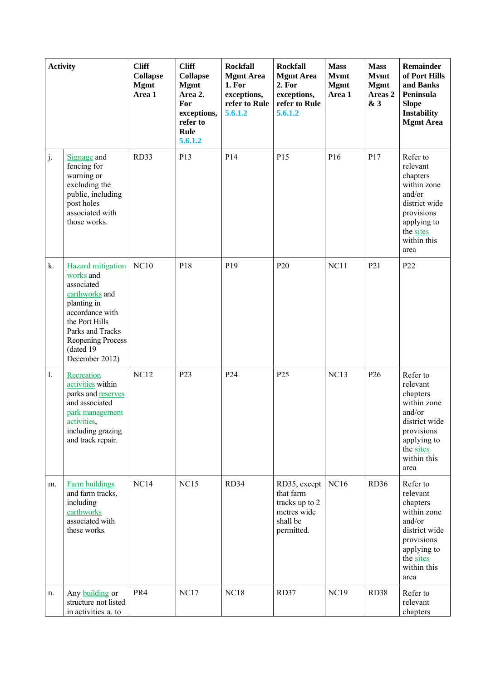| <b>Activity</b> |                                                                                                                                                                                                   | <b>Cliff</b><br><b>Collapse</b><br><b>Mgmt</b><br>Area 1 | <b>Cliff</b><br><b>Collapse</b><br><b>Mgmt</b><br>Area 2.<br>For<br>exceptions,<br>refer to<br>Rule<br>5.6.1.2 | <b>Rockfall</b><br><b>Mgmt Area</b><br>1. For<br>exceptions,<br>refer to Rule<br>5.6.1.2 | <b>Rockfall</b><br><b>Mgmt Area</b><br>2. For<br>exceptions,<br>refer to Rule<br>5.6.1.2 | <b>Mass</b><br><b>Mymt</b><br><b>Mgmt</b><br>Area 1 | <b>Mass</b><br><b>Mvmt</b><br><b>Mgmt</b><br>Areas <sub>2</sub><br>& 3 | <b>Remainder</b><br>of Port Hills<br>and Banks<br>Peninsula<br><b>Slope</b><br><b>Instability</b><br><b>Mgmt Area</b>                       |
|-----------------|---------------------------------------------------------------------------------------------------------------------------------------------------------------------------------------------------|----------------------------------------------------------|----------------------------------------------------------------------------------------------------------------|------------------------------------------------------------------------------------------|------------------------------------------------------------------------------------------|-----------------------------------------------------|------------------------------------------------------------------------|---------------------------------------------------------------------------------------------------------------------------------------------|
| j.              | Signage and<br>fencing for<br>warning or<br>excluding the<br>public, including<br>post holes<br>associated with<br>those works.                                                                   | RD33                                                     | P <sub>13</sub>                                                                                                | P14                                                                                      | P <sub>15</sub>                                                                          | P <sub>16</sub>                                     | P17                                                                    | Refer to<br>relevant<br>chapters<br>within zone<br>and/or<br>district wide<br>provisions<br>applying to<br>the sites<br>within this<br>area |
| k.              | <b>Hazard</b> mitigation<br>works and<br>associated<br>earthworks and<br>planting in<br>accordance with<br>the Port Hills<br>Parks and Tracks<br>Reopening Process<br>(dated 19<br>December 2012) | <b>NC10</b>                                              | P18                                                                                                            | P <sub>19</sub>                                                                          | P <sub>20</sub>                                                                          | NC11                                                | P <sub>21</sub>                                                        | P <sub>22</sub>                                                                                                                             |
| $\mathbf{1}$ .  | Recreation<br>activities within<br>parks and reserves<br>and associated<br>park management<br>activities,<br>including grazing<br>and track repair.                                               | <b>NC12</b>                                              | P <sub>23</sub>                                                                                                | P24                                                                                      | P <sub>25</sub>                                                                          | NC13                                                | P <sub>26</sub>                                                        | Refer to<br>relevant<br>chapters<br>within zone<br>and/or<br>district wide<br>provisions<br>applying to<br>the sites<br>within this<br>area |
| m.              | <b>Farm buildings</b><br>and farm tracks,<br>including<br>earthworks<br>associated with<br>these works.                                                                                           | NC14                                                     | <b>NC15</b>                                                                                                    | RD34                                                                                     | RD35, except<br>that farm<br>tracks up to 2<br>metres wide<br>shall be<br>permitted.     | <b>NC16</b>                                         | <b>RD36</b>                                                            | Refer to<br>relevant<br>chapters<br>within zone<br>and/or<br>district wide<br>provisions<br>applying to<br>the sites<br>within this<br>area |
| n.              | Any building or<br>structure not listed<br>in activities a. to                                                                                                                                    | PR4                                                      | <b>NC17</b>                                                                                                    | <b>NC18</b>                                                                              | RD37                                                                                     | <b>NC19</b>                                         | RD38                                                                   | Refer to<br>relevant<br>chapters                                                                                                            |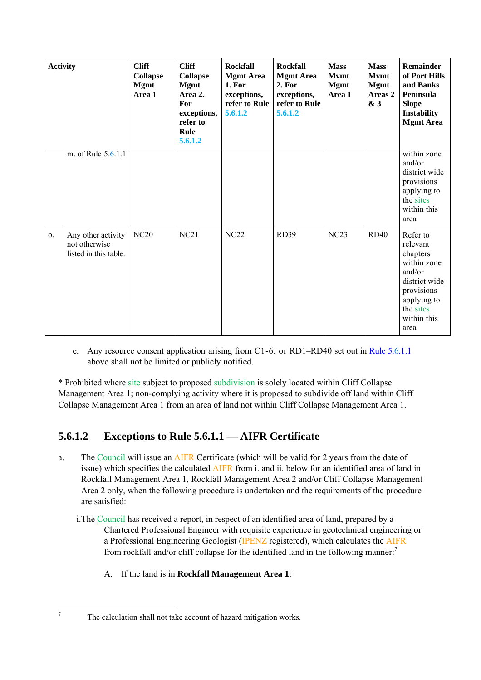| <b>Activity</b> |                                                              | <b>Cliff</b><br><b>Collapse</b><br><b>Mgmt</b><br>Area 1 | <b>Cliff</b><br><b>Collapse</b><br><b>Mgmt</b><br>Area 2.<br>For<br>exceptions,<br>refer to<br>Rule<br>5.6.1.2 | <b>Rockfall</b><br><b>Mgmt Area</b><br>1. For<br>exceptions,<br>refer to Rule<br>5.6.1.2 | <b>Rockfall</b><br><b>Mgmt Area</b><br>2. For<br>exceptions,<br>refer to Rule<br>5.6.1.2 | <b>Mass</b><br><b>Mymt</b><br><b>Mgmt</b><br>Area 1 | <b>Mass</b><br><b>Mymt</b><br><b>Mgmt</b><br>Areas 2<br>& 3 | <b>Remainder</b><br>of Port Hills<br>and Banks<br>Peninsula<br><b>Slope</b><br>Instability<br><b>Mgmt Area</b>                              |
|-----------------|--------------------------------------------------------------|----------------------------------------------------------|----------------------------------------------------------------------------------------------------------------|------------------------------------------------------------------------------------------|------------------------------------------------------------------------------------------|-----------------------------------------------------|-------------------------------------------------------------|---------------------------------------------------------------------------------------------------------------------------------------------|
|                 | m. of Rule 5.6.1.1                                           |                                                          |                                                                                                                |                                                                                          |                                                                                          |                                                     |                                                             | within zone<br>and/or<br>district wide<br>provisions<br>applying to<br>the sites<br>within this<br>area                                     |
| 0.              | Any other activity<br>not otherwise<br>listed in this table. | <b>NC20</b>                                              | NC21                                                                                                           | NC22                                                                                     | <b>RD39</b>                                                                              | NC23                                                | <b>RD40</b>                                                 | Refer to<br>relevant<br>chapters<br>within zone<br>and/or<br>district wide<br>provisions<br>applying to<br>the sites<br>within this<br>area |

e. Any resource consent application arising from C1-6, or RD1–RD40 set out in Rule 5.6.1.1 above shall not be limited or publicly notified.

\* Prohibited where site subject to proposed subdivision is solely located within Cliff Collapse Management Area 1; non-complying activity where it is proposed to subdivide off land within Cliff Collapse Management Area 1 from an area of land not within Cliff Collapse Management Area 1.

## **5.6.1.2 Exceptions to Rule 5.6.1.1 — AIFR Certificate**

- a. The Council will issue an AIFR Certificate (which will be valid for 2 years from the date of issue) which specifies the calculated AIFR from i. and ii. below for an identified area of land in Rockfall Management Area 1, Rockfall Management Area 2 and/or Cliff Collapse Management Area 2 only, when the following procedure is undertaken and the requirements of the procedure are satisfied:
	- i.The Council has received a report, in respect of an identified area of land, prepared by a Chartered Professional Engineer with requisite experience in geotechnical engineering or a Professional Engineering Geologist (IPENZ registered), which calculates the AIFR from rockfall and/or cliff collapse for the identified land in the following manner:<sup>7</sup>
		- A. If the land is in **Rockfall Management Area 1**:

-<br>7

The calculation shall not take account of hazard mitigation works.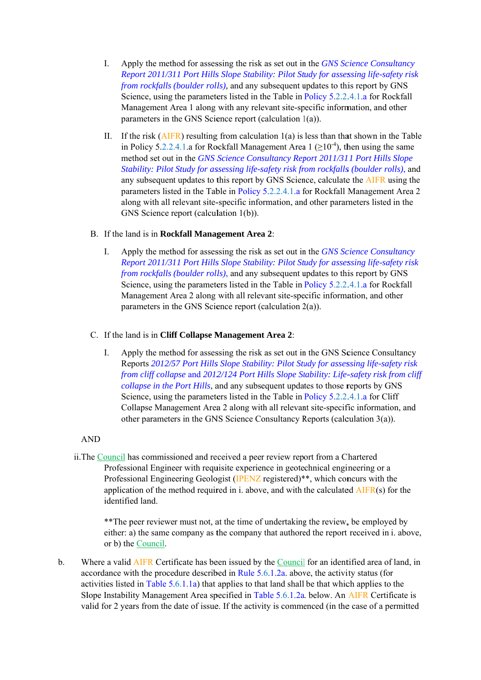- I. Apply the method for assessing the risk as set out in the *GNS Science Consultancy Report 2011/311 Port Hills Slope Stability: Pilot Study for assessing life-safety risk from rockfalls (boulder rolls),* and any subsequent updates to this report by GNS Science, using the parameters listed in the Table in Policy 5.2.2.4.1.a for Rockfall Management Area 1 along with any relevant site-specific information, and other parameters in the GNS Science report (calculation  $l(a)$ ).
- II. If the risk  $(AIFR)$  resulting from calculation  $1(a)$  is less than that shown in the Table in Policy 5.2.2.4.1.a for Rockfall Management Area  $1 \left( \geq 10^{-4} \right)$ , then using the same method set out in the *GNS Science Consultancy Report 2011/311 Port Hills Slope Stability: Pilot Study for assessing life-safety risk from rockfalls (boulder rolls), and* any subsequent updates to this report by GNS Science, calculate the **AIFR** using the parameters listed in the Table in Policy 5.2.2.4.1.a for Rockfall Management Area 2 along with all relevant site-specific information, and other parameters listed in the GNS Science report (calculation 1(b)).

#### B. If the land is in **Rockfall Management Area 2**:

I. Apply the method for assessing the risk as set out in the *GNS Science Consultancy Report 2011/311 Port Hills Slope Stability: Pilot Study for assessing life-safety risk from rockfalls (boulder rolls)*, and any subsequent updates to this report by GNS Science, using the parameters listed in the Table in Policy 5.2.2.4.1.a for Rockfall Management Area 2 along with all relevant site-specific information, and other parameters in the GNS Science report (calculation  $2(a)$ ).

#### C. If the land is in **Cliff Collapse Management Area 2**:

I. Apply the method for assessing the risk as set out in the GNS Science Consultancy Reports 2012/57 Port Hills Slope Stability: Pilot Study for assessing life-safety risk *from cliff collapse* and 2012/124 Port Hills Slope Stability: Life-safety risk from cliff collapse in the Port Hills, and any subsequent updates to those reports by GNS Science, using the parameters listed in the Table in Policy 5.2.2.4.1.a for Cliff Collapse Management Area 2 along with all relevant site-specific information, and other parameters in the GNS Science Consultancy Reports (calculation  $3(a)$ ).

#### A AND

ii. The Council has commissioned and received a peer review report from a Chartered Professional Engineer with requisite experience in geotechnical engineering or a Professional Engineering Geologist (IPENZ registered)<sup>\*\*</sup>, which concurs with the application of the method required in i. above, and with the calculated  $\overline{AIFR}(s)$  for the identified land.

\*\*The peer reviewer must not, at the time of undertaking the review, be employed by either: a) the same company as the company that authored the report received in i. above, or b) the Council.

b. Where a valid AIFR Certificate has been issued by the Council for an identified area of land, in accordance with the procedure described in Rule 5.6.1.2a. above, the activity status (for accordance with the procedure described in Rule  $5.6.1.2a$ . above, the activity status (for activities listed in Table  $5.6.1.1a$ ) that applies to that land shall be that which applies to the Slope Instability Management Area specified in Table 5.6.1.2a. below. An AIFR Certificate is valid for 2 years from the date of issue. If the activity is commenced (in the case of a permitted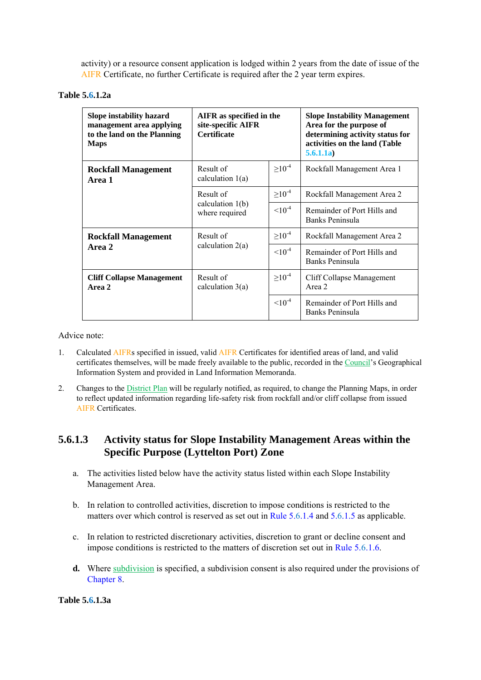activity) or a resource consent application is lodged within 2 years from the date of issue of the AIFR Certificate, no further Certificate is required after the 2 year term expires.

#### **Table 5.6.1.2a**

| Slope instability hazard<br>management area applying<br>to the land on the Planning<br><b>Maps</b> | AIFR as specified in the<br>site-specific AIFR<br><b>Certificate</b> |                | <b>Slope Instability Management</b><br>Area for the purpose of<br>determining activity status for<br>activities on the land (Table<br>5.6.1.1a) |
|----------------------------------------------------------------------------------------------------|----------------------------------------------------------------------|----------------|-------------------------------------------------------------------------------------------------------------------------------------------------|
| <b>Rockfall Management</b><br>Area 1                                                               | Result of<br>calculation $1(a)$                                      | $\geq 10^{-4}$ | Rockfall Management Area 1                                                                                                                      |
|                                                                                                    | Result of                                                            | $\geq 10^{-4}$ | Rockfall Management Area 2                                                                                                                      |
|                                                                                                    | calculation $1(b)$<br>where required                                 | $10^{-4}$      | Remainder of Port Hills and<br>Banks Peninsula                                                                                                  |
| <b>Rockfall Management</b>                                                                         | Result of                                                            | $\geq 10^{-4}$ | Rockfall Management Area 2                                                                                                                      |
| Area 2                                                                                             | calculation $2(a)$                                                   | $10^{-4}$      | Remainder of Port Hills and<br>Banks Peninsula                                                                                                  |
| <b>Cliff Collapse Management</b><br>Area 2                                                         | Result of<br>calculation $3(a)$                                      | $\geq 10^{-4}$ | Cliff Collapse Management<br>Area 2                                                                                                             |
|                                                                                                    |                                                                      | $10^{-4}$      | Remainder of Port Hills and<br>Banks Peninsula                                                                                                  |

Advice note:

- 1. Calculated AIFRs specified in issued, valid AIFR Certificates for identified areas of land, and valid certificates themselves, will be made freely available to the public, recorded in the Council's Geographical Information System and provided in Land Information Memoranda.
- 2. Changes to the District Plan will be regularly notified, as required, to change the Planning Maps, in order to reflect updated information regarding life-safety risk from rockfall and/or cliff collapse from issued AIFR Certificates.

### **5.6.1.3 Activity status for Slope Instability Management Areas within the Specific Purpose (Lyttelton Port) Zone**

- a. The activities listed below have the activity status listed within each Slope Instability Management Area.
- b. In relation to controlled activities, discretion to impose conditions is restricted to the matters over which control is reserved as set out in Rule 5.6.1.4 and 5.6.1.5 as applicable.
- c. In relation to restricted discretionary activities, discretion to grant or decline consent and impose conditions is restricted to the matters of discretion set out in Rule 5.6.1.6.
- **d.** Where subdivision is specified, a subdivision consent is also required under the provisions of Chapter 8.

**Table 5.6.1.3a**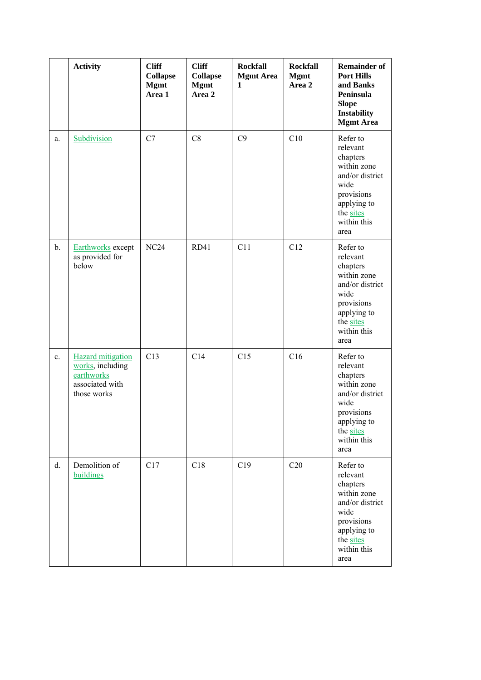|               | <b>Activity</b>                                                                              | <b>Cliff</b><br><b>Collapse</b><br><b>Mgmt</b><br>Area 1 | <b>Cliff</b><br><b>Collapse</b><br><b>Mgmt</b><br>Area 2 | <b>Rockfall</b><br><b>Mgmt Area</b><br>$\mathbf{1}$ | <b>Rockfall</b><br><b>Mgmt</b><br>Area 2 | <b>Remainder of</b><br><b>Port Hills</b><br>and Banks<br>Peninsula<br><b>Slope</b><br><b>Instability</b><br><b>Mgmt Area</b>                |
|---------------|----------------------------------------------------------------------------------------------|----------------------------------------------------------|----------------------------------------------------------|-----------------------------------------------------|------------------------------------------|---------------------------------------------------------------------------------------------------------------------------------------------|
| a.            | Subdivision                                                                                  | C7                                                       | C8                                                       | C9                                                  | C10                                      | Refer to<br>relevant<br>chapters<br>within zone<br>and/or district<br>wide<br>provisions<br>applying to<br>the sites<br>within this<br>area |
| $\mathbf b$ . | Earthworks except<br>as provided for<br>below                                                | NC24                                                     | <b>RD41</b>                                              | C11                                                 | C12                                      | Refer to<br>relevant<br>chapters<br>within zone<br>and/or district<br>wide<br>provisions<br>applying to<br>the sites<br>within this<br>area |
| c.            | <b>Hazard</b> mitigation<br>works, including<br>earthworks<br>associated with<br>those works | C13                                                      | C14                                                      | C15                                                 | C16                                      | Refer to<br>relevant<br>chapters<br>within zone<br>and/or district<br>wide<br>provisions<br>applying to<br>the sites<br>within this<br>area |
| d.            | Demolition of<br>buildings                                                                   | C17                                                      | C18                                                      | C19                                                 | C20                                      | Refer to<br>relevant<br>chapters<br>within zone<br>and/or district<br>wide<br>provisions<br>applying to<br>the sites<br>within this<br>area |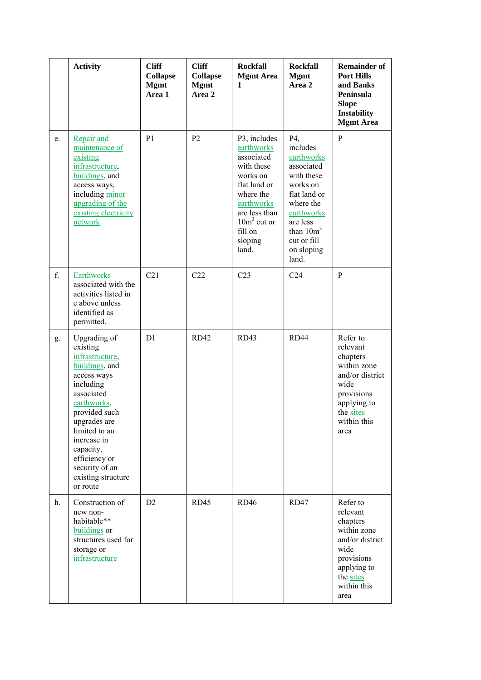|             | <b>Activity</b>                                                                                                                                                                                                                                                           | <b>Cliff</b><br><b>Collapse</b><br><b>Mgmt</b><br>Area 1 | <b>Cliff</b><br><b>Collapse</b><br><b>Mgmt</b><br>Area 2 | <b>Rockfall</b><br><b>Mgmt Area</b><br>$\mathbf{1}$                                                                                                                            | <b>Rockfall</b><br><b>Mgmt</b><br>Area 2                                                                                                                                          | <b>Remainder of</b><br><b>Port Hills</b><br>and Banks<br>Peninsula<br><b>Slope</b><br>Instability<br><b>Mgmt Area</b>                       |
|-------------|---------------------------------------------------------------------------------------------------------------------------------------------------------------------------------------------------------------------------------------------------------------------------|----------------------------------------------------------|----------------------------------------------------------|--------------------------------------------------------------------------------------------------------------------------------------------------------------------------------|-----------------------------------------------------------------------------------------------------------------------------------------------------------------------------------|---------------------------------------------------------------------------------------------------------------------------------------------|
| e.          | Repair and<br>maintenance of<br>existing<br>infrastructure,<br>buildings, and<br>access ways,<br>including minor<br>upgrading of the<br>existing electricity<br>network.                                                                                                  | P <sub>1</sub>                                           | P <sub>2</sub>                                           | P3, includes<br>earthworks<br>associated<br>with these<br>works on<br>flat land or<br>where the<br>earthworks<br>are less than<br>$10m3$ cut or<br>fill on<br>sloping<br>land. | P4,<br>includes<br>earthworks<br>associated<br>with these<br>works on<br>flat land or<br>where the<br>earthworks<br>are less<br>than $10m3$<br>cut or fill<br>on sloping<br>land. | $\mathbf{P}$                                                                                                                                |
| f.          | <b>Earthworks</b><br>associated with the<br>activities listed in<br>e above unless<br>identified as<br>permitted.                                                                                                                                                         | C21                                                      | C22                                                      | C <sub>23</sub>                                                                                                                                                                | C <sub>24</sub>                                                                                                                                                                   | P                                                                                                                                           |
| g.          | Upgrading of<br>existing<br>infrastructure,<br>buildings, and<br>access ways<br>including<br>associated<br>earthworks,<br>provided such<br>upgrades are<br>limited to an<br>increase in<br>capacity,<br>efficiency or<br>security of an<br>existing structure<br>or route | D1                                                       | <b>RD42</b>                                              | RD43                                                                                                                                                                           | RD44                                                                                                                                                                              | Refer to<br>relevant<br>chapters<br>within zone<br>and/or district<br>wide<br>provisions<br>applying to<br>the sites<br>within this<br>area |
| $h_{\cdot}$ | Construction of<br>new non-<br>habitable**<br>buildings or<br>structures used for<br>storage or<br>infrastructure                                                                                                                                                         | D2                                                       | RD45                                                     | <b>RD46</b>                                                                                                                                                                    | <b>RD47</b>                                                                                                                                                                       | Refer to<br>relevant<br>chapters<br>within zone<br>and/or district<br>wide<br>provisions<br>applying to<br>the sites<br>within this<br>area |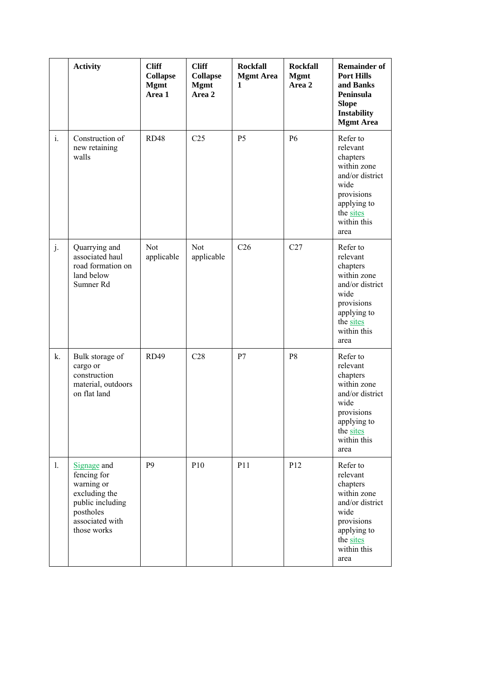|                | <b>Activity</b>                                                                                                              | <b>Cliff</b><br><b>Collapse</b><br><b>Mgmt</b><br>Area 1 | <b>Cliff</b><br><b>Collapse</b><br><b>Mgmt</b><br>Area 2 | <b>Rockfall</b><br><b>Mgmt Area</b><br>$\mathbf{1}$ | <b>Rockfall</b><br><b>Mgmt</b><br>Area 2 | <b>Remainder of</b><br><b>Port Hills</b><br>and Banks<br>Peninsula<br><b>Slope</b><br>Instability<br><b>Mgmt Area</b>                       |
|----------------|------------------------------------------------------------------------------------------------------------------------------|----------------------------------------------------------|----------------------------------------------------------|-----------------------------------------------------|------------------------------------------|---------------------------------------------------------------------------------------------------------------------------------------------|
| $\mathbf{i}$ . | Construction of<br>new retaining<br>walls                                                                                    | <b>RD48</b>                                              | C <sub>25</sub>                                          | P <sub>5</sub>                                      | P <sub>6</sub>                           | Refer to<br>relevant<br>chapters<br>within zone<br>and/or district<br>wide<br>provisions<br>applying to<br>the sites<br>within this<br>area |
| j.             | Quarrying and<br>associated haul<br>road formation on<br>land below<br>Sumner Rd                                             | Not<br>applicable                                        | Not<br>applicable                                        | C <sub>26</sub>                                     | C27                                      | Refer to<br>relevant<br>chapters<br>within zone<br>and/or district<br>wide<br>provisions<br>applying to<br>the sites<br>within this<br>area |
| k.             | Bulk storage of<br>cargo or<br>construction<br>material, outdoors<br>on flat land                                            | <b>RD49</b>                                              | C28                                                      | P7                                                  | P <sub>8</sub>                           | Refer to<br>relevant<br>chapters<br>within zone<br>and/or district<br>wide<br>provisions<br>applying to<br>the sites<br>within this<br>area |
| 1.             | Signage and<br>fencing for<br>warning or<br>excluding the<br>public including<br>postholes<br>associated with<br>those works | P <sub>9</sub>                                           | P10                                                      | P11                                                 | P12                                      | Refer to<br>relevant<br>chapters<br>within zone<br>and/or district<br>wide<br>provisions<br>applying to<br>the sites<br>within this<br>area |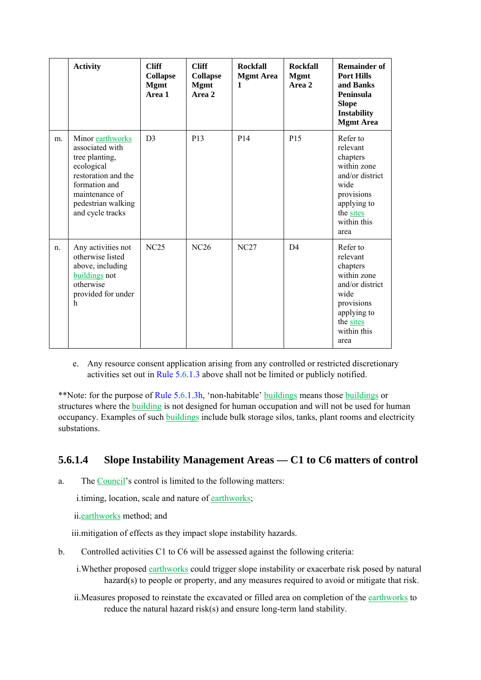|         | <b>Activity</b>                                                                                                                                                         | <b>Cliff</b><br><b>Collapse</b><br><b>Mgmt</b><br>Area 1 | <b>Cliff</b><br><b>Collapse</b><br><b>Mgmt</b><br>Area 2 | <b>Rockfall</b><br><b>Mgmt Area</b><br>1 | <b>Rockfall</b><br><b>Mgmt</b><br>Area 2 | <b>Remainder of</b><br><b>Port Hills</b><br>and Banks<br>Peninsula<br><b>Slope</b><br><b>Instability</b><br><b>Mgmt Area</b>                |
|---------|-------------------------------------------------------------------------------------------------------------------------------------------------------------------------|----------------------------------------------------------|----------------------------------------------------------|------------------------------------------|------------------------------------------|---------------------------------------------------------------------------------------------------------------------------------------------|
| m.      | Minor earthworks<br>associated with<br>tree planting,<br>ecological<br>restoration and the<br>formation and<br>maintenance of<br>pedestrian walking<br>and cycle tracks | D <sub>3</sub>                                           | P <sub>13</sub>                                          | P14                                      | P <sub>15</sub>                          | Refer to<br>relevant<br>chapters<br>within zone<br>and/or district<br>wide<br>provisions<br>applying to<br>the sites<br>within this<br>area |
| $n_{-}$ | Any activities not<br>otherwise listed<br>above, including<br>buildings not<br>otherwise<br>provided for under<br>h                                                     | NC25                                                     | <b>NC26</b>                                              | NC27                                     | D <sub>4</sub>                           | Refer to<br>relevant<br>chapters<br>within zone<br>and/or district<br>wide<br>provisions<br>applying to<br>the sites<br>within this<br>area |

e. Any resource consent application arising from any controlled or restricted discretionary activities set out in Rule 5.6.1.3 above shall not be limited or publicly notified.

\*\*Note: for the purpose of Rule 5.6.1.3h, 'non-habitable' buildings means those buildings or structures where the building is not designed for human occupation and will not be used for human occupancy. Examples of such buildings include bulk storage silos, tanks, plant rooms and electricity substations.

### **5.6.1.4 Slope Instability Management Areas — C1 to C6 matters of control**

a. The Council's control is limited to the following matters:

i.timing, location, scale and nature of earthworks;

ii.earthworks method; and

iii.mitigation of effects as they impact slope instability hazards.

- b. Controlled activities C1 to C6 will be assessed against the following criteria:
	- i. Whether proposed earthworks could trigger slope instability or exacerbate risk posed by natural hazard(s) to people or property, and any measures required to avoid or mitigate that risk.
	- ii.Measures proposed to reinstate the excavated or filled area on completion of the earthworks to reduce the natural hazard risk(s) and ensure long-term land stability.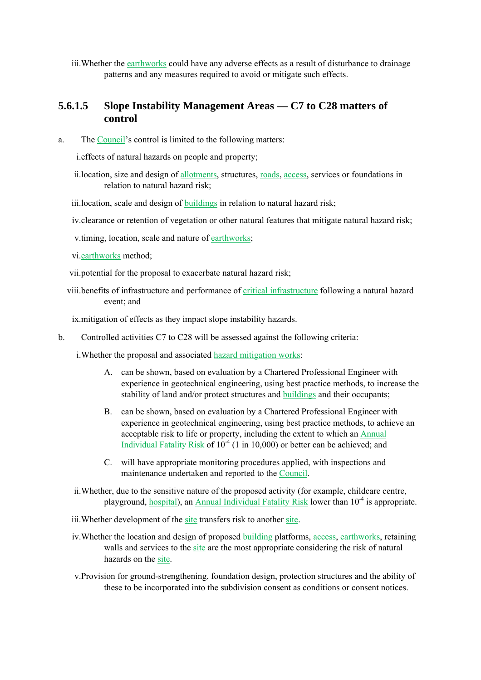iii.Whether the earthworks could have any adverse effects as a result of disturbance to drainage patterns and any measures required to avoid or mitigate such effects.

### **5.6.1.5 Slope Instability Management Areas — C7 to C28 matters of control**

a. The Council's control is limited to the following matters:

i.effects of natural hazards on people and property;

ii.location, size and design of allotments, structures, roads, access, services or foundations in relation to natural hazard risk;

iii.location, scale and design of **buildings** in relation to natural hazard risk;

iv.clearance or retention of vegetation or other natural features that mitigate natural hazard risk;

v.timing, location, scale and nature of earthworks;

vi.earthworks method;

vii.potential for the proposal to exacerbate natural hazard risk;

viii.benefits of infrastructure and performance of critical infrastructure following a natural hazard event; and

ix.mitigation of effects as they impact slope instability hazards.

b. Controlled activities C7 to C28 will be assessed against the following criteria:

i. Whether the proposal and associated hazard mitigation works:

- A. can be shown, based on evaluation by a Chartered Professional Engineer with experience in geotechnical engineering, using best practice methods, to increase the stability of land and/or protect structures and buildings and their occupants;
- B. can be shown, based on evaluation by a Chartered Professional Engineer with experience in geotechnical engineering, using best practice methods, to achieve an acceptable risk to life or property, including the extent to which an Annual Individual Fatality Risk of  $10^{-4}$  (1 in 10,000) or better can be achieved; and
- C. will have appropriate monitoring procedures applied, with inspections and maintenance undertaken and reported to the Council.
- ii.Whether, due to the sensitive nature of the proposed activity (for example, childcare centre, playground, hospital), an Annual Individual Fatality Risk lower than 10<sup>-4</sup> is appropriate.
- iii.Whether development of the site transfers risk to another site.
- iv.Whether the location and design of proposed building platforms, access, earthworks, retaining walls and services to the site are the most appropriate considering the risk of natural hazards on the site.
- v.Provision for ground-strengthening, foundation design, protection structures and the ability of these to be incorporated into the subdivision consent as conditions or consent notices.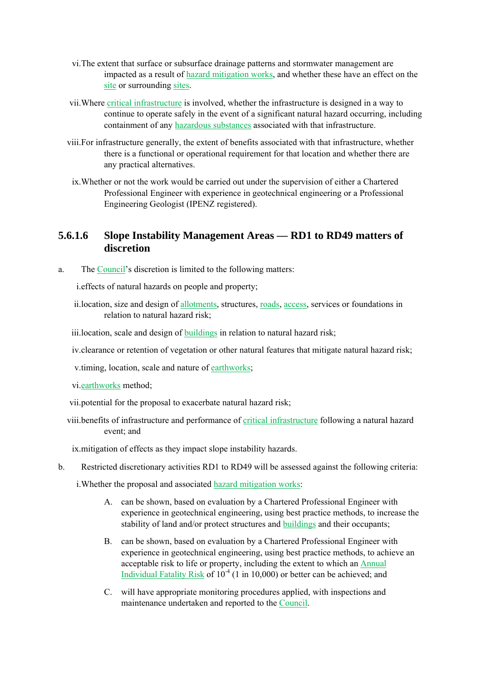- vi.The extent that surface or subsurface drainage patterns and stormwater management are impacted as a result of hazard mitigation works, and whether these have an effect on the site or surrounding sites.
- vii.Where critical infrastructure is involved, whether the infrastructure is designed in a way to continue to operate safely in the event of a significant natural hazard occurring, including containment of any hazardous substances associated with that infrastructure.
- viii.For infrastructure generally, the extent of benefits associated with that infrastructure, whether there is a functional or operational requirement for that location and whether there are any practical alternatives.
	- ix.Whether or not the work would be carried out under the supervision of either a Chartered Professional Engineer with experience in geotechnical engineering or a Professional Engineering Geologist (IPENZ registered).

### **5.6.1.6 Slope Instability Management Areas — RD1 to RD49 matters of discretion**

a. The Council's discretion is limited to the following matters:

i.effects of natural hazards on people and property;

ii.location, size and design of allotments, structures, roads, access, services or foundations in relation to natural hazard risk;

iii.location, scale and design of buildings in relation to natural hazard risk;

iv.clearance or retention of vegetation or other natural features that mitigate natural hazard risk;

v.timing, location, scale and nature of earthworks;

vi.earthworks method;

- vii.potential for the proposal to exacerbate natural hazard risk;
- viii.benefits of infrastructure and performance of critical infrastructure following a natural hazard event; and

ix.mitigation of effects as they impact slope instability hazards.

b. Restricted discretionary activities RD1 to RD49 will be assessed against the following criteria:

i.Whether the proposal and associated hazard mitigation works:

- A. can be shown, based on evaluation by a Chartered Professional Engineer with experience in geotechnical engineering, using best practice methods, to increase the stability of land and/or protect structures and buildings and their occupants;
- B. can be shown, based on evaluation by a Chartered Professional Engineer with experience in geotechnical engineering, using best practice methods, to achieve an acceptable risk to life or property, including the extent to which an Annual Individual Fatality Risk of  $10<sup>-4</sup>$  (1 in 10,000) or better can be achieved; and
- C. will have appropriate monitoring procedures applied, with inspections and maintenance undertaken and reported to the Council.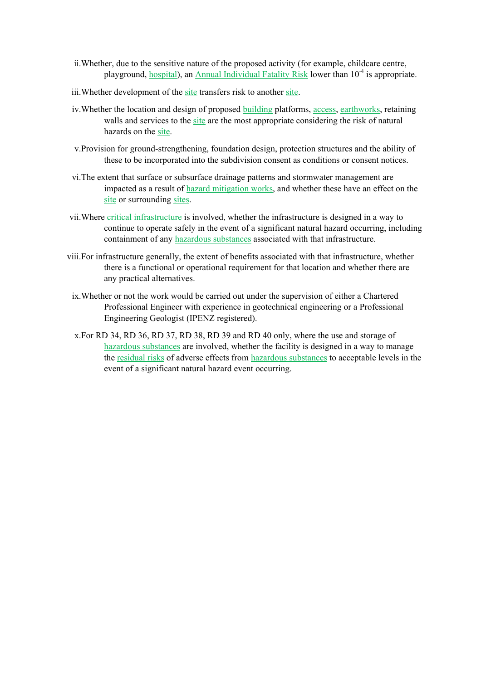- ii.Whether, due to the sensitive nature of the proposed activity (for example, childcare centre, playground, hospital), an Annual Individual Fatality Risk lower than 10<sup>-4</sup> is appropriate.
- iii. Whether development of the site transfers risk to another site.
- iv.Whether the location and design of proposed building platforms, access, earthworks, retaining walls and services to the site are the most appropriate considering the risk of natural hazards on the site.
- v.Provision for ground-strengthening, foundation design, protection structures and the ability of these to be incorporated into the subdivision consent as conditions or consent notices.
- vi.The extent that surface or subsurface drainage patterns and stormwater management are impacted as a result of hazard mitigation works, and whether these have an effect on the site or surrounding sites.
- vii.Where critical infrastructure is involved, whether the infrastructure is designed in a way to continue to operate safely in the event of a significant natural hazard occurring, including containment of any hazardous substances associated with that infrastructure.
- viii.For infrastructure generally, the extent of benefits associated with that infrastructure, whether there is a functional or operational requirement for that location and whether there are any practical alternatives.
	- ix.Whether or not the work would be carried out under the supervision of either a Chartered Professional Engineer with experience in geotechnical engineering or a Professional Engineering Geologist (IPENZ registered).
	- x.For RD 34, RD 36, RD 37, RD 38, RD 39 and RD 40 only, where the use and storage of hazardous substances are involved, whether the facility is designed in a way to manage the residual risks of adverse effects from hazardous substances to acceptable levels in the event of a significant natural hazard event occurring.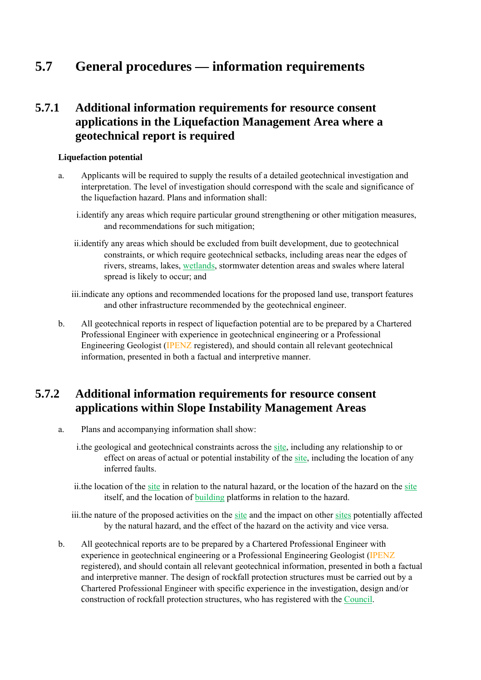# **5.7 General procedures — information requirements**

### **5.7.1 Additional information requirements for resource consent applications in the Liquefaction Management Area where a geotechnical report is required**

#### **Liquefaction potential**

- a. Applicants will be required to supply the results of a detailed geotechnical investigation and interpretation. The level of investigation should correspond with the scale and significance of the liquefaction hazard. Plans and information shall:
	- i.identify any areas which require particular ground strengthening or other mitigation measures, and recommendations for such mitigation;
	- ii.identify any areas which should be excluded from built development, due to geotechnical constraints, or which require geotechnical setbacks, including areas near the edges of rivers, streams, lakes, wetlands, stormwater detention areas and swales where lateral spread is likely to occur; and
	- iii.indicate any options and recommended locations for the proposed land use, transport features and other infrastructure recommended by the geotechnical engineer.
- b. All geotechnical reports in respect of liquefaction potential are to be prepared by a Chartered Professional Engineer with experience in geotechnical engineering or a Professional Engineering Geologist (IPENZ registered), and should contain all relevant geotechnical information, presented in both a factual and interpretive manner.

## **5.7.2 Additional information requirements for resource consent applications within Slope Instability Management Areas**

- a. Plans and accompanying information shall show:
	- i.the geological and geotechnical constraints across the site, including any relationship to or effect on areas of actual or potential instability of the site, including the location of any inferred faults.
	- ii.the location of the site in relation to the natural hazard, or the location of the hazard on the site itself, and the location of building platforms in relation to the hazard.

iii.the nature of the proposed activities on the site and the impact on other sites potentially affected by the natural hazard, and the effect of the hazard on the activity and vice versa.

b. All geotechnical reports are to be prepared by a Chartered Professional Engineer with experience in geotechnical engineering or a Professional Engineering Geologist (IPENZ registered), and should contain all relevant geotechnical information, presented in both a factual and interpretive manner. The design of rockfall protection structures must be carried out by a Chartered Professional Engineer with specific experience in the investigation, design and/or construction of rockfall protection structures, who has registered with the Council.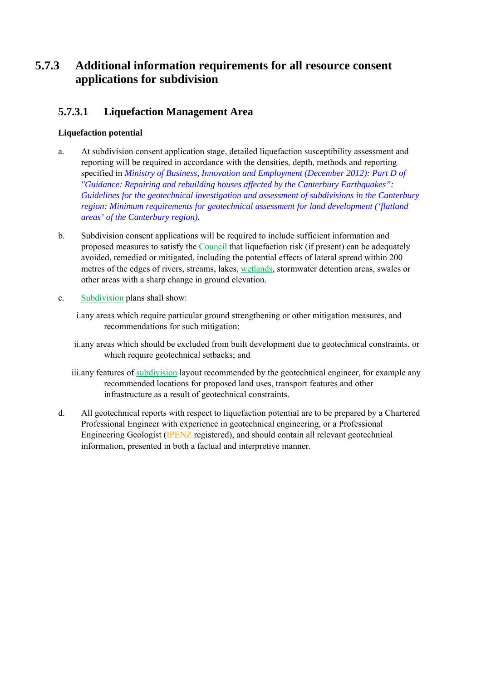## **5.7.3 Additional information requirements for all resource consent applications for subdivision**

### **5.7.3.1 Liquefaction Management Area**

#### **Liquefaction potential**

- a. At subdivision consent application stage, detailed liquefaction susceptibility assessment and reporting will be required in accordance with the densities, depth, methods and reporting specified in *Ministry of Business, Innovation and Employment (December 2012): Part D of "Guidance: Repairing and rebuilding houses affected by the Canterbury Earthquakes": Guidelines for the geotechnical investigation and assessment of subdivisions in the Canterbury region: Minimum requirements for geotechnical assessment for land development ('flatland areas' of the Canterbury region).*
- b. Subdivision consent applications will be required to include sufficient information and proposed measures to satisfy the Council that liquefaction risk (if present) can be adequately avoided, remedied or mitigated, including the potential effects of lateral spread within 200 metres of the edges of rivers, streams, lakes, wetlands, stormwater detention areas, swales or other areas with a sharp change in ground elevation.
- c. Subdivision plans shall show:
	- i.any areas which require particular ground strengthening or other mitigation measures, and recommendations for such mitigation;
	- ii.any areas which should be excluded from built development due to geotechnical constraints, or which require geotechnical setbacks; and
	- iii.any features of subdivision layout recommended by the geotechnical engineer, for example any recommended locations for proposed land uses, transport features and other infrastructure as a result of geotechnical constraints.
- d. All geotechnical reports with respect to liquefaction potential are to be prepared by a Chartered Professional Engineer with experience in geotechnical engineering, or a Professional Engineering Geologist (IPENZ registered), and should contain all relevant geotechnical information, presented in both a factual and interpretive manner.